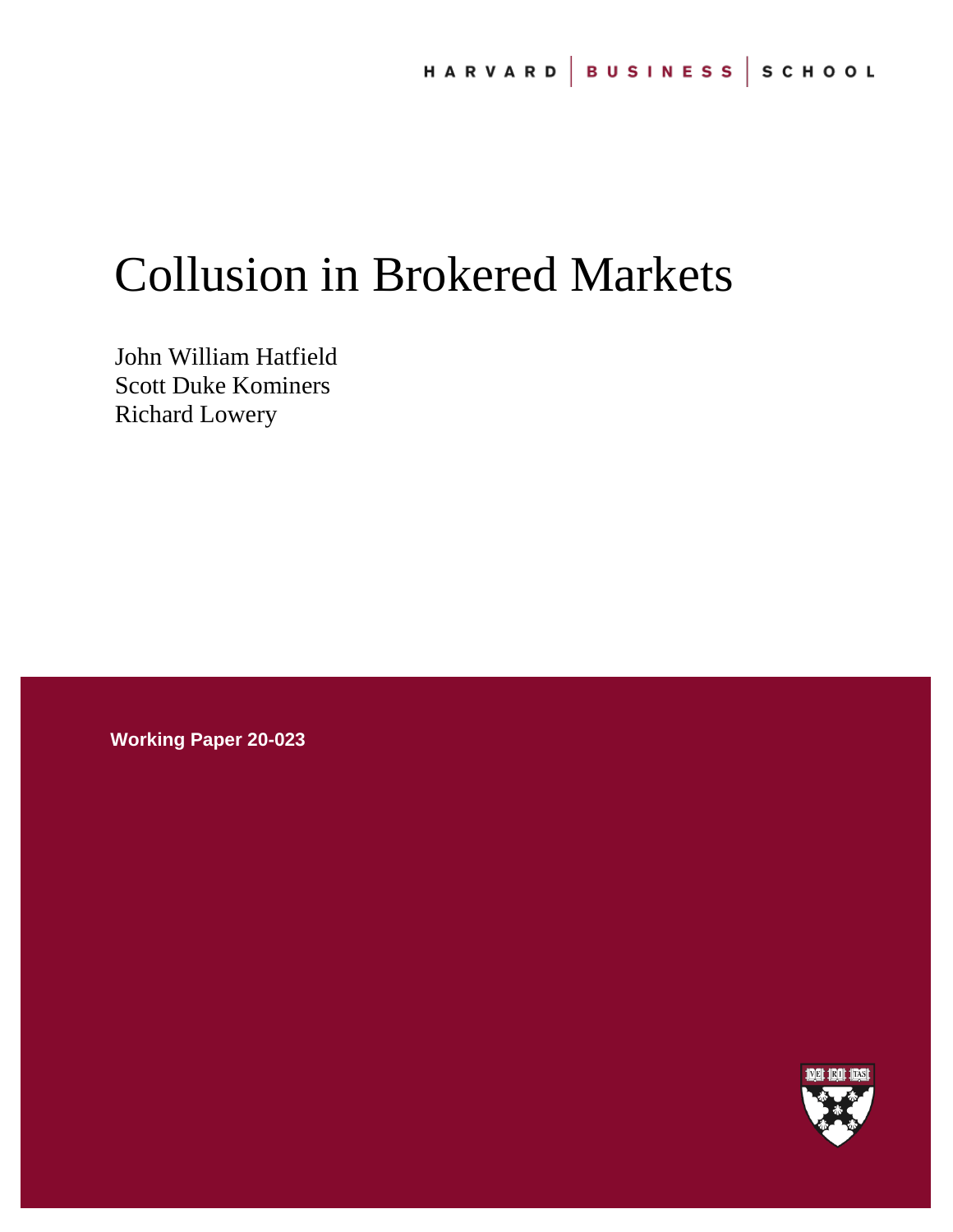# Collusion in Brokered Markets

John William Hatfield Scott Duke Kominers Richard Lowery

**Working Paper 20-023**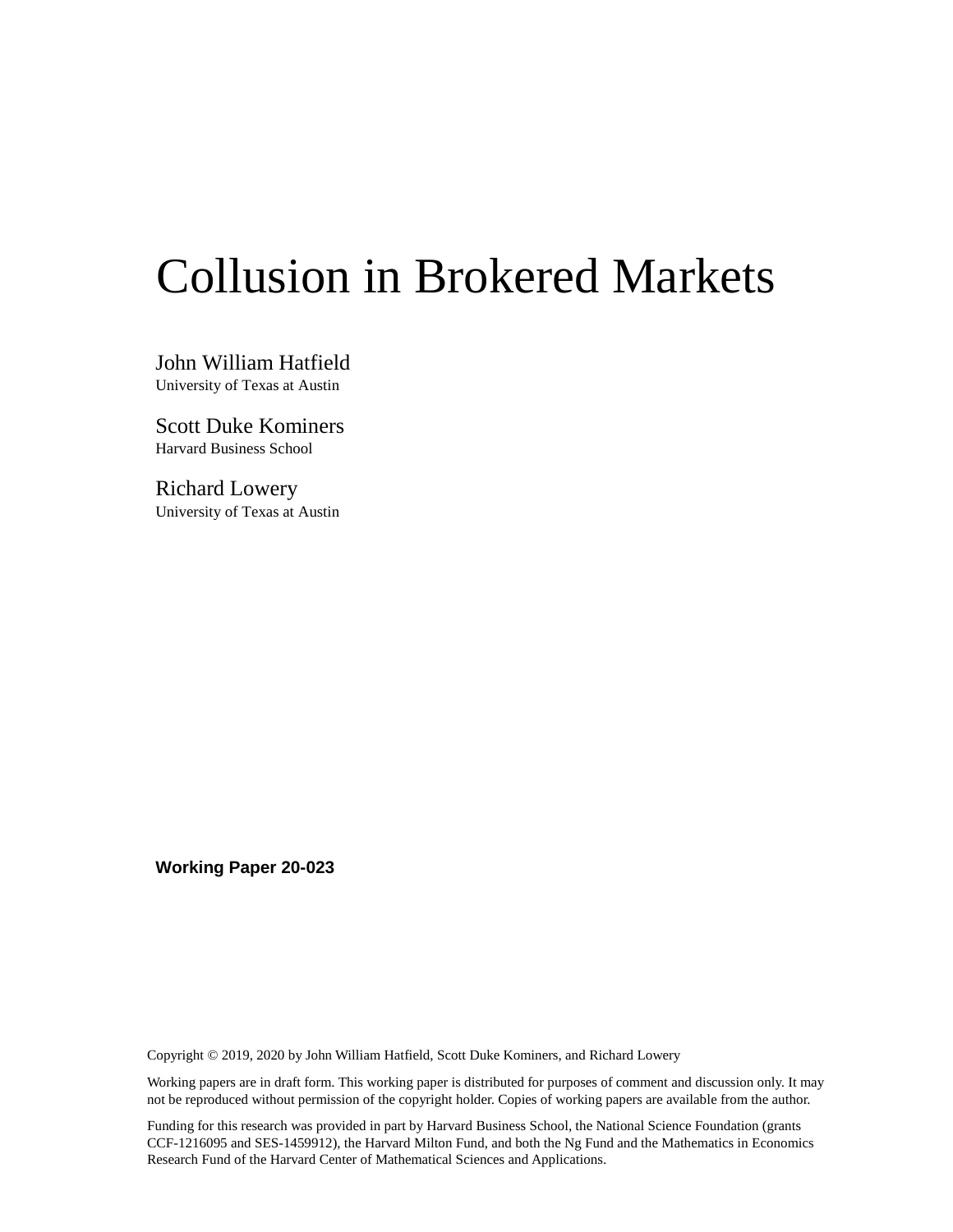# Collusion in Brokered Markets

John William Hatfield University of Texas at Austin

Scott Duke Kominers Harvard Business School

Richard Lowery University of Texas at Austin

**Working Paper 20-023**

Copyright © 2019, 2020 by John William Hatfield, Scott Duke Kominers, and Richard Lowery

Working papers are in draft form. This working paper is distributed for purposes of comment and discussion only. It may not be reproduced without permission of the copyright holder. Copies of working papers are available from the author.

Funding for this research was provided in part by Harvard Business School, the National Science Foundation (grants CCF-1216095 and SES-1459912), the Harvard Milton Fund, and both the Ng Fund and the Mathematics in Economics Research Fund of the Harvard Center of Mathematical Sciences and Applications.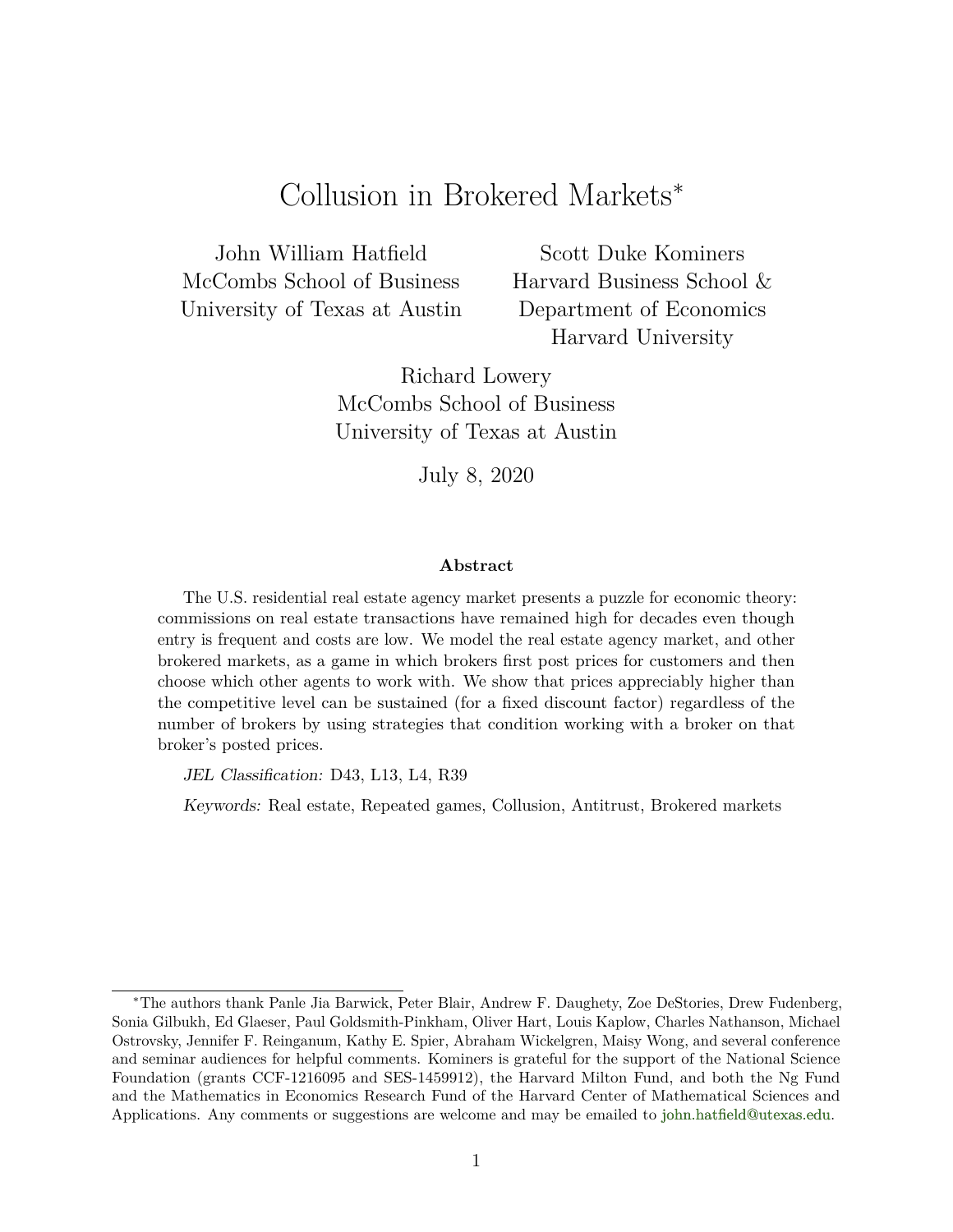# Collusion in Brokered Markets<sup>∗</sup>

John William Hatfield McCombs School of Business University of Texas at Austin

Scott Duke Kominers Harvard Business School & Department of Economics Harvard University

Richard Lowery McCombs School of Business University of Texas at Austin

July 8, 2020

#### **Abstract**

The U.S. residential real estate agency market presents a puzzle for economic theory: commissions on real estate transactions have remained high for decades even though entry is frequent and costs are low. We model the real estate agency market, and other brokered markets, as a game in which brokers first post prices for customers and then choose which other agents to work with. We show that prices appreciably higher than the competitive level can be sustained (for a fixed discount factor) regardless of the number of brokers by using strategies that condition working with a broker on that broker's posted prices.

JEL Classification: D43, L13, L4, R39

Keywords: Real estate, Repeated games, Collusion, Antitrust, Brokered markets

<sup>∗</sup>The authors thank Panle Jia Barwick, Peter Blair, Andrew F. Daughety, Zoe DeStories, Drew Fudenberg, Sonia Gilbukh, Ed Glaeser, Paul Goldsmith-Pinkham, Oliver Hart, Louis Kaplow, Charles Nathanson, Michael Ostrovsky, Jennifer F. Reinganum, Kathy E. Spier, Abraham Wickelgren, Maisy Wong, and several conference and seminar audiences for helpful comments. Kominers is grateful for the support of the National Science Foundation (grants CCF-1216095 and SES-1459912), the Harvard Milton Fund, and both the Ng Fund and the Mathematics in Economics Research Fund of the Harvard Center of Mathematical Sciences and Applications. Any comments or suggestions are welcome and may be emailed to [john.hatfield@utexas.edu.](mailto:john.hatfield@utexas.edu)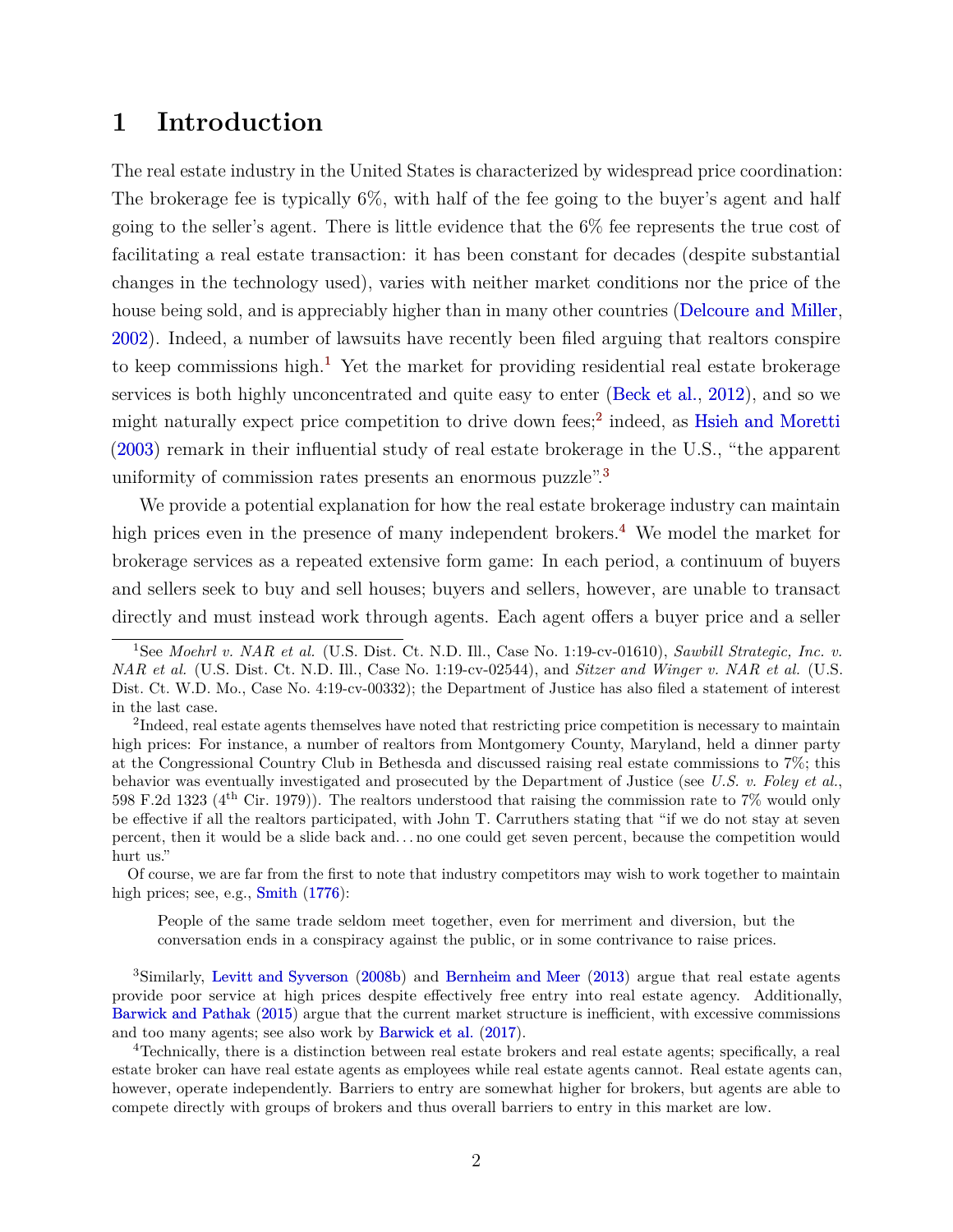# <span id="page-3-4"></span>**1 Introduction**

The real estate industry in the United States is characterized by widespread price coordination: The brokerage fee is typically 6%, with half of the fee going to the buyer's agent and half going to the seller's agent. There is little evidence that the 6% fee represents the true cost of facilitating a real estate transaction: it has been constant for decades (despite substantial changes in the technology used), varies with neither market conditions nor the price of the house being sold, and is appreciably higher than in many other countries [\(Delcoure and Miller,](#page-39-0) [2002\)](#page-39-0). Indeed, a number of lawsuits have recently been filed arguing that realtors conspire to keep commissions high.<sup>[1](#page-3-0)</sup> Yet the market for providing residential real estate brokerage services is both highly unconcentrated and quite easy to enter [\(Beck et al.,](#page-38-0) [2012\)](#page-38-0), and so we might naturally expect price competition to drive down fees;<sup>[2](#page-3-1)</sup> indeed, as [Hsieh and Moretti](#page-40-0) [\(2003\)](#page-40-0) remark in their influential study of real estate brokerage in the U.S., "the apparent uniformity of commission rates presents an enormous puzzle".<sup>[3](#page-3-2)</sup>

We provide a potential explanation for how the real estate brokerage industry can maintain high prices even in the presence of many independent brokers.<sup>[4](#page-3-3)</sup> We model the market for brokerage services as a repeated extensive form game: In each period, a continuum of buyers and sellers seek to buy and sell houses; buyers and sellers, however, are unable to transact directly and must instead work through agents. Each agent offers a buyer price and a seller

Of course, we are far from the first to note that industry competitors may wish to work together to maintain high prices; see, e.g., [Smith](#page-41-0)  $(1776)$ :

People of the same trade seldom meet together, even for merriment and diversion, but the conversation ends in a conspiracy against the public, or in some contrivance to raise prices.

<span id="page-3-2"></span><sup>3</sup>Similarly, [Levitt and Syverson](#page-40-1) [\(2008b\)](#page-40-1) and [Bernheim and Meer](#page-38-1) [\(2013\)](#page-38-1) argue that real estate agents provide poor service at high prices despite effectively free entry into real estate agency. Additionally, [Barwick and Pathak](#page-38-2) [\(2015\)](#page-38-2) argue that the current market structure is inefficient, with excessive commissions and too many agents; see also work by [Barwick et al.](#page-38-3) [\(2017\)](#page-38-3).

<span id="page-3-3"></span><sup>4</sup>Technically, there is a distinction between real estate brokers and real estate agents; specifically, a real estate broker can have real estate agents as employees while real estate agents cannot. Real estate agents can, however, operate independently. Barriers to entry are somewhat higher for brokers, but agents are able to compete directly with groups of brokers and thus overall barriers to entry in this market are low.

<span id="page-3-0"></span><sup>1</sup>See *Moehrl v. NAR et al.* (U.S. Dist. Ct. N.D. Ill., Case No. 1:19-cv-01610), *Sawbill Strategic, Inc. v. NAR et al.* (U.S. Dist. Ct. N.D. Ill., Case No. 1:19-cv-02544), and *Sitzer and Winger v. NAR et al.* (U.S. Dist. Ct. W.D. Mo., Case No. 4:19-cv-00332); the Department of Justice has also filed a statement of interest in the last case.

<span id="page-3-1"></span><sup>&</sup>lt;sup>2</sup>Indeed, real estate agents themselves have noted that restricting price competition is necessary to maintain high prices: For instance, a number of realtors from Montgomery County, Maryland, held a dinner party at the Congressional Country Club in Bethesda and discussed raising real estate commissions to 7%; this behavior was eventually investigated and prosecuted by the Department of Justice (see *U.S. v. Foley et al.*, 598 F.2d 1323 (4th Cir. 1979)). The realtors understood that raising the commission rate to 7% would only be effective if all the realtors participated, with John T. Carruthers stating that "if we do not stay at seven percent, then it would be a slide back and. . . no one could get seven percent, because the competition would hurt us."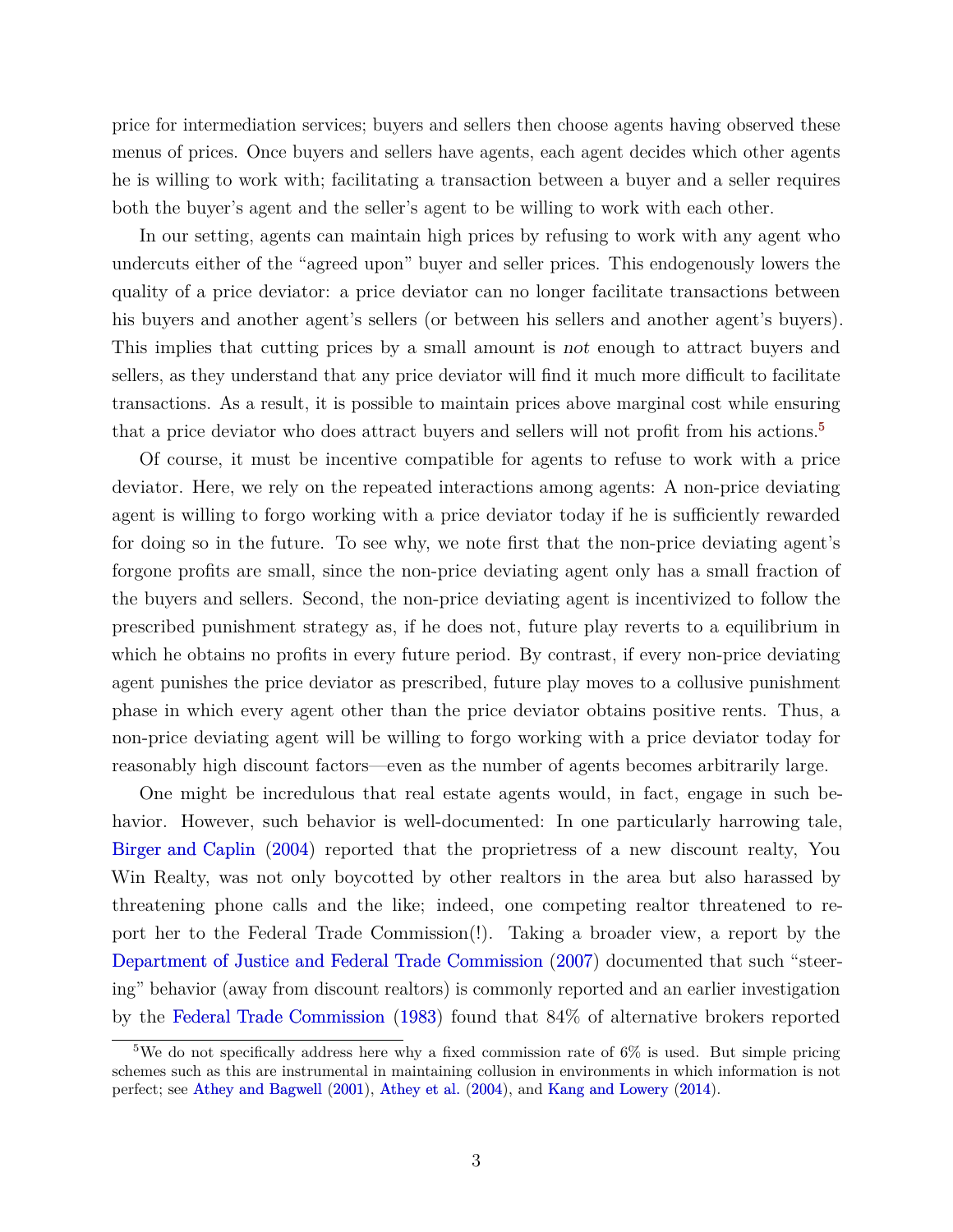<span id="page-4-1"></span>price for intermediation services; buyers and sellers then choose agents having observed these menus of prices. Once buyers and sellers have agents, each agent decides which other agents he is willing to work with; facilitating a transaction between a buyer and a seller requires both the buyer's agent and the seller's agent to be willing to work with each other.

In our setting, agents can maintain high prices by refusing to work with any agent who undercuts either of the "agreed upon" buyer and seller prices. This endogenously lowers the quality of a price deviator: a price deviator can no longer facilitate transactions between his buyers and another agent's sellers (or between his sellers and another agent's buyers). This implies that cutting prices by a small amount is not enough to attract buyers and sellers, as they understand that any price deviator will find it much more difficult to facilitate transactions. As a result, it is possible to maintain prices above marginal cost while ensuring that a price deviator who does attract buyers and sellers will not profit from his actions.<sup>[5](#page-4-0)</sup>

Of course, it must be incentive compatible for agents to refuse to work with a price deviator. Here, we rely on the repeated interactions among agents: A non-price deviating agent is willing to forgo working with a price deviator today if he is sufficiently rewarded for doing so in the future. To see why, we note first that the non-price deviating agent's forgone profits are small, since the non-price deviating agent only has a small fraction of the buyers and sellers. Second, the non-price deviating agent is incentivized to follow the prescribed punishment strategy as, if he does not, future play reverts to a equilibrium in which he obtains no profits in every future period. By contrast, if every non-price deviating agent punishes the price deviator as prescribed, future play moves to a collusive punishment phase in which every agent other than the price deviator obtains positive rents. Thus, a non-price deviating agent will be willing to forgo working with a price deviator today for reasonably high discount factors—even as the number of agents becomes arbitrarily large.

One might be incredulous that real estate agents would, in fact, engage in such behavior. However, such behavior is well-documented: In one particularly harrowing tale, [Birger and Caplin](#page-39-1) [\(2004\)](#page-39-1) reported that the proprietress of a new discount realty, You Win Realty, was not only boycotted by other realtors in the area but also harassed by threatening phone calls and the like; indeed, one competing realtor threatened to report her to the Federal Trade Commission(!). Taking a broader view, a report by the [Department of Justice and Federal Trade Commission](#page-39-2) [\(2007\)](#page-39-2) documented that such "steering" behavior (away from discount realtors) is commonly reported and an earlier investigation by the [Federal Trade Commission](#page-39-3) [\(1983\)](#page-39-3) found that 84% of alternative brokers reported

<span id="page-4-0"></span><sup>&</sup>lt;sup>5</sup>We do not specifically address here why a fixed commission rate of  $6\%$  is used. But simple pricing schemes such as this are instrumental in maintaining collusion in environments in which information is not perfect; see [Athey and Bagwell](#page-38-4) [\(2001\)](#page-38-4), [Athey et al.](#page-38-5) [\(2004\)](#page-38-5), and [Kang and Lowery](#page-40-2) [\(2014\)](#page-40-2).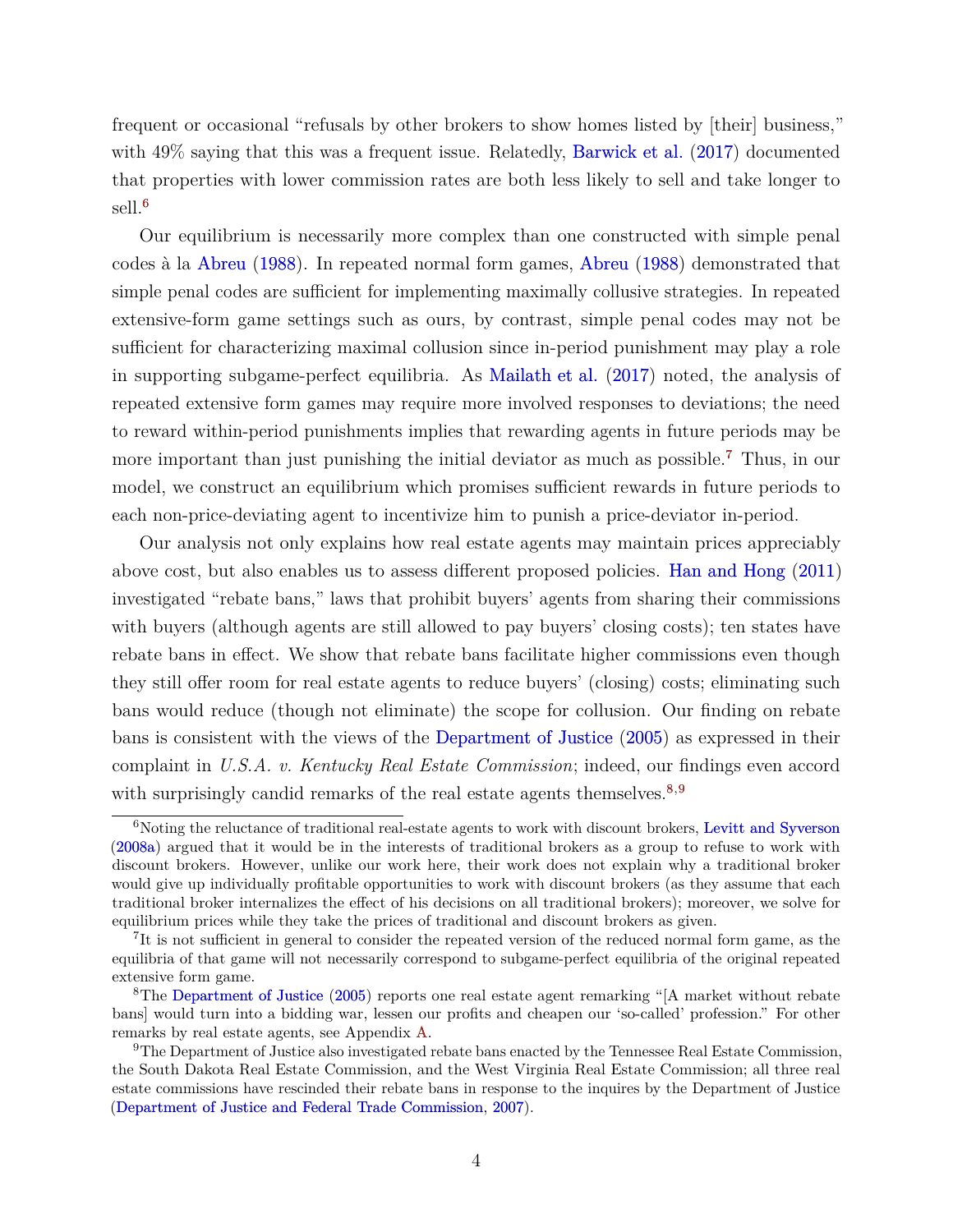<span id="page-5-4"></span>frequent or occasional "refusals by other brokers to show homes listed by [their] business," with  $49\%$  saying that this was a frequent issue. Relatedly, [Barwick et al.](#page-38-3) [\(2017\)](#page-38-3) documented that properties with lower commission rates are both less likely to sell and take longer to sell.[6](#page-5-0)

Our equilibrium is necessarily more complex than one constructed with simple penal codes à la [Abreu](#page-38-6) [\(1988\)](#page-38-6). In repeated normal form games, [Abreu](#page-38-6) [\(1988\)](#page-38-6) demonstrated that simple penal codes are sufficient for implementing maximally collusive strategies. In repeated extensive-form game settings such as ours, by contrast, simple penal codes may not be sufficient for characterizing maximal collusion since in-period punishment may play a role in supporting subgame-perfect equilibria. As [Mailath et al.](#page-40-3) [\(2017\)](#page-40-3) noted, the analysis of repeated extensive form games may require more involved responses to deviations; the need to reward within-period punishments implies that rewarding agents in future periods may be more important than just punishing the initial deviator as much as possible.<sup>[7](#page-5-1)</sup> Thus, in our model, we construct an equilibrium which promises sufficient rewards in future periods to each non-price-deviating agent to incentivize him to punish a price-deviator in-period.

Our analysis not only explains how real estate agents may maintain prices appreciably above cost, but also enables us to assess different proposed policies. [Han and Hong](#page-39-4) [\(2011\)](#page-39-4) investigated "rebate bans," laws that prohibit buyers' agents from sharing their commissions with buyers (although agents are still allowed to pay buyers' closing costs); ten states have rebate bans in effect. We show that rebate bans facilitate higher commissions even though they still offer room for real estate agents to reduce buyers' (closing) costs; eliminating such bans would reduce (though not eliminate) the scope for collusion. Our finding on rebate bans is consistent with the views of the [Department of Justice](#page-39-5) [\(2005\)](#page-39-5) as expressed in their complaint in *U.S.A. v. Kentucky Real Estate Commission*; indeed, our findings even accord with surprisingly candid remarks of the real estate agents themselves.<sup>[8,](#page-5-2)[9](#page-5-3)</sup>

<span id="page-5-0"></span><sup>&</sup>lt;sup>6</sup>Noting the reluctance of traditional real-estate agents to work with discount brokers, [Levitt and Syverson](#page-40-4) [\(2008a\)](#page-40-4) argued that it would be in the interests of traditional brokers as a group to refuse to work with discount brokers. However, unlike our work here, their work does not explain why a traditional broker would give up individually profitable opportunities to work with discount brokers (as they assume that each traditional broker internalizes the effect of his decisions on all traditional brokers); moreover, we solve for equilibrium prices while they take the prices of traditional and discount brokers as given.

<span id="page-5-1"></span><sup>&</sup>lt;sup>7</sup>It is not sufficient in general to consider the repeated version of the reduced normal form game, as the equilibria of that game will not necessarily correspond to subgame-perfect equilibria of the original repeated extensive form game.

<span id="page-5-2"></span><sup>8</sup>The [Department of Justice](#page-39-5) [\(2005\)](#page-39-5) reports one real estate agent remarking "[A market without rebate bans] would turn into a bidding war, lessen our profits and cheapen our 'so-called' profession." For other remarks by real estate agents, see Appendix [A.](#page-42-0)

<span id="page-5-3"></span><sup>9</sup>The Department of Justice also investigated rebate bans enacted by the Tennessee Real Estate Commission, the South Dakota Real Estate Commission, and the West Virginia Real Estate Commission; all three real estate commissions have rescinded their rebate bans in response to the inquires by the Department of Justice [\(Department of Justice and Federal Trade Commission,](#page-39-2) [2007\)](#page-39-2).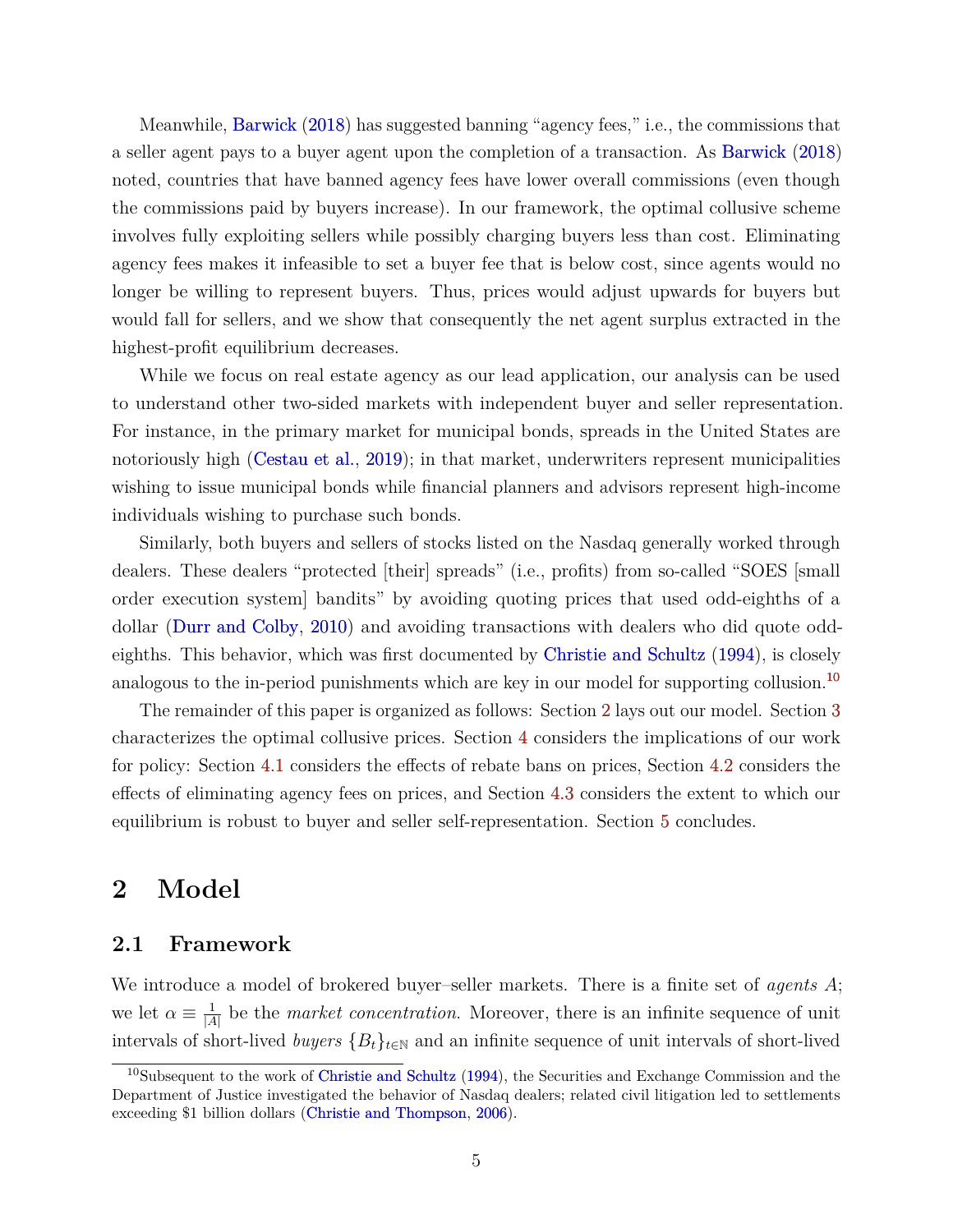<span id="page-6-2"></span>Meanwhile, [Barwick](#page-38-7) [\(2018\)](#page-38-7) has suggested banning "agency fees," i.e., the commissions that a seller agent pays to a buyer agent upon the completion of a transaction. As [Barwick](#page-38-7) [\(2018\)](#page-38-7) noted, countries that have banned agency fees have lower overall commissions (even though the commissions paid by buyers increase). In our framework, the optimal collusive scheme involves fully exploiting sellers while possibly charging buyers less than cost. Eliminating agency fees makes it infeasible to set a buyer fee that is below cost, since agents would no longer be willing to represent buyers. Thus, prices would adjust upwards for buyers but would fall for sellers, and we show that consequently the net agent surplus extracted in the highest-profit equilibrium decreases.

While we focus on real estate agency as our lead application, our analysis can be used to understand other two-sided markets with independent buyer and seller representation. For instance, in the primary market for municipal bonds, spreads in the United States are notoriously high [\(Cestau et al.,](#page-39-6) [2019\)](#page-39-6); in that market, underwriters represent municipalities wishing to issue municipal bonds while financial planners and advisors represent high-income individuals wishing to purchase such bonds.

Similarly, both buyers and sellers of stocks listed on the Nasdaq generally worked through dealers. These dealers "protected [their] spreads" (i.e., profits) from so-called "SOES [small order execution system] bandits" by avoiding quoting prices that used odd-eighths of a dollar [\(Durr and Colby,](#page-39-7) [2010\)](#page-39-7) and avoiding transactions with dealers who did quote oddeighths. This behavior, which was first documented by [Christie and Schultz](#page-39-8) [\(1994\)](#page-39-8), is closely analogous to the in-period punishments which are key in our model for supporting collusion.<sup>[10](#page-6-0)</sup>

The remainder of this paper is organized as follows: Section [2](#page-6-1) lays out our model. Section [3](#page-11-0) characterizes the optimal collusive prices. Section [4](#page-25-0) considers the implications of our work for policy: Section [4.1](#page-25-1) considers the effects of rebate bans on prices, Section [4.2](#page-26-0) considers the effects of eliminating agency fees on prices, and Section [4.3](#page-36-0) considers the extent to which our equilibrium is robust to buyer and seller self-representation. Section [5](#page-36-1) concludes.

## <span id="page-6-1"></span>**2 Model**

## **2.1 Framework**

We introduce a model of brokered buyer–seller markets. There is a finite set of *agents A*; we let  $\alpha \equiv \frac{1}{14}$  $\frac{1}{|A|}$  be the *market concentration*. Moreover, there is an infinite sequence of unit intervals of short-lived *buyers*  ${B_t}_{t \in \mathbb{N}}$  and an infinite sequence of unit intervals of short-lived

<span id="page-6-0"></span><sup>&</sup>lt;sup>10</sup>Subsequent to the work of [Christie and Schultz](#page-39-8) [\(1994\)](#page-39-8), the Securities and Exchange Commission and the Department of Justice investigated the behavior of Nasdaq dealers; related civil litigation led to settlements exceeding \$1 billion dollars [\(Christie and Thompson,](#page-39-9) [2006\)](#page-39-9).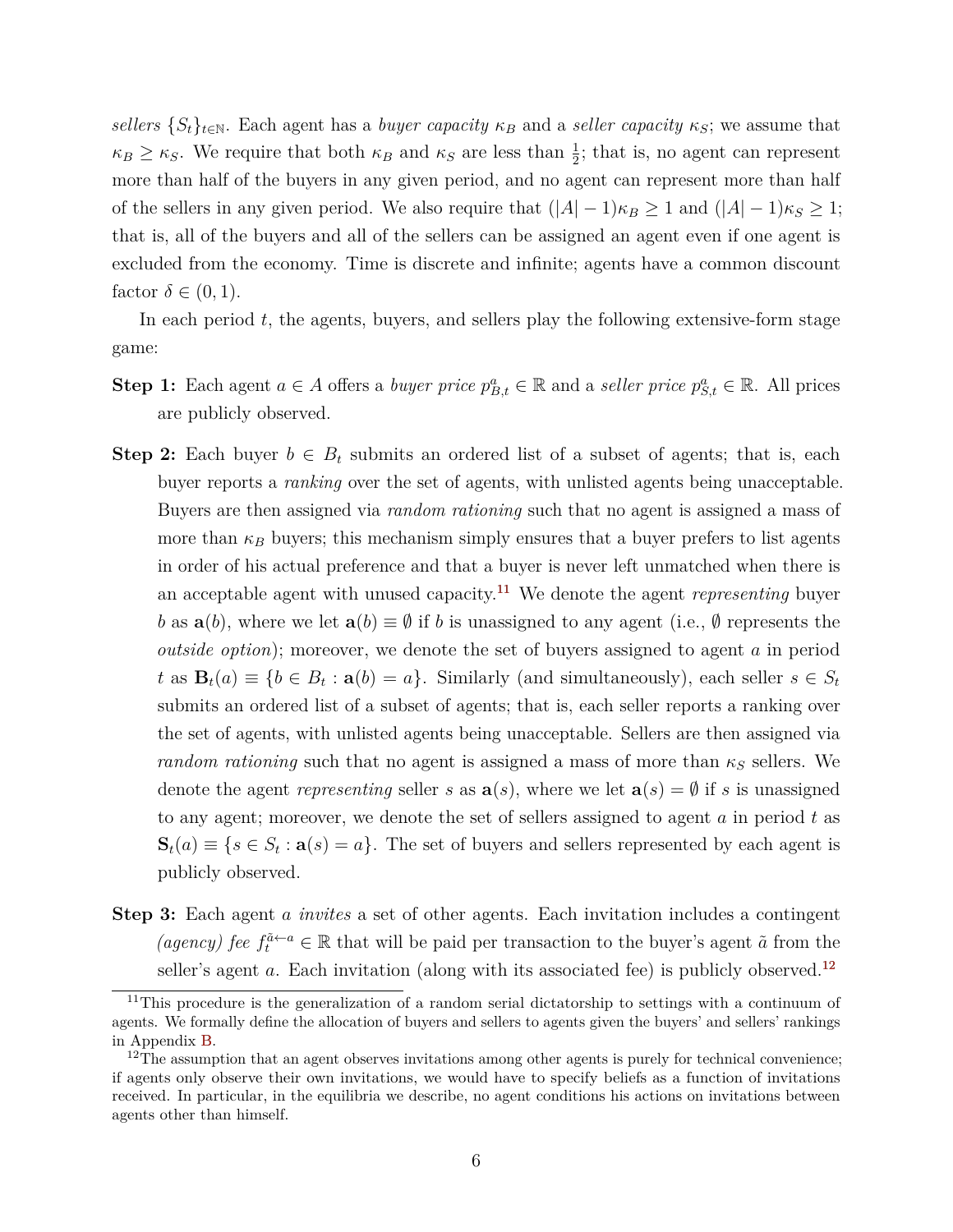*sellers*  $\{S_t\}_{t\in\mathbb{N}}$ . Each agent has a *buyer capacity*  $\kappa_B$  and a *seller capacity*  $\kappa_S$ ; we assume that  $\kappa_B \geq \kappa_S$ . We require that both  $\kappa_B$  and  $\kappa_S$  are less than  $\frac{1}{2}$ ; that is, no agent can represent more than half of the buyers in any given period, and no agent can represent more than half of the sellers in any given period. We also require that  $(|A| - 1)\kappa_B \ge 1$  and  $(|A| - 1)\kappa_S \ge 1$ ; that is, all of the buyers and all of the sellers can be assigned an agent even if one agent is excluded from the economy. Time is discrete and infinite; agents have a common discount factor  $\delta \in (0,1)$ .

In each period *t*, the agents, buyers, and sellers play the following extensive-form stage game:

- **Step 1:** Each agent  $a \in A$  offers a *buyer price*  $p_{B,t}^a \in \mathbb{R}$  and a *seller price*  $p_{S,t}^a \in \mathbb{R}$ . All prices are publicly observed.
- **Step 2:** Each buyer  $b \in B_t$  submits an ordered list of a subset of agents; that is, each buyer reports a *ranking* over the set of agents, with unlisted agents being unacceptable. Buyers are then assigned via *random rationing* such that no agent is assigned a mass of more than  $\kappa_B$  buyers; this mechanism simply ensures that a buyer prefers to list agents in order of his actual preference and that a buyer is never left unmatched when there is an acceptable agent with unused capacity.[11](#page-7-0) We denote the agent *representing* buyer *b* as  $\mathbf{a}(b)$ , where we let  $\mathbf{a}(b) \equiv \emptyset$  if *b* is unassigned to any agent (i.e.,  $\emptyset$  represents the *outside option*); moreover, we denote the set of buyers assigned to agent *a* in period  $t$  as  $\mathbf{B}_t(a) \equiv \{b \in B_t : \mathbf{a}(b) = a\}$ . Similarly (and simultaneously), each seller  $s \in S_t$ submits an ordered list of a subset of agents; that is, each seller reports a ranking over the set of agents, with unlisted agents being unacceptable. Sellers are then assigned via *random rationing* such that no agent is assigned a mass of more than  $\kappa_S$  sellers. We denote the agent *representing* seller *s* as  $\mathbf{a}(s)$ , where we let  $\mathbf{a}(s) = \emptyset$  if *s* is unassigned to any agent; moreover, we denote the set of sellers assigned to agent *a* in period *t* as  $\mathbf{S}_t(a) \equiv \{s \in S_t : \mathbf{a}(s) = a\}$ . The set of buyers and sellers represented by each agent is publicly observed.
- **Step 3:** Each agent *a invites* a set of other agents. Each invitation includes a contingent *(agency) fee*  $f_t^{\tilde{a} \leftarrow a} \in \mathbb{R}$  that will be paid per transaction to the buyer's agent  $\tilde{a}$  from the seller's agent *a*. Each invitation (along with its associated fee) is publicly observed.<sup>[12](#page-7-1)</sup>

<span id="page-7-0"></span><sup>&</sup>lt;sup>11</sup>This procedure is the generalization of a random serial dictatorship to settings with a continuum of agents. We formally define the allocation of buyers and sellers to agents given the buyers' and sellers' rankings in Appendix [B.](#page-42-1)

<span id="page-7-1"></span><sup>&</sup>lt;sup>12</sup>The assumption that an agent observes invitations among other agents is purely for technical convenience; if agents only observe their own invitations, we would have to specify beliefs as a function of invitations received. In particular, in the equilibria we describe, no agent conditions his actions on invitations between agents other than himself.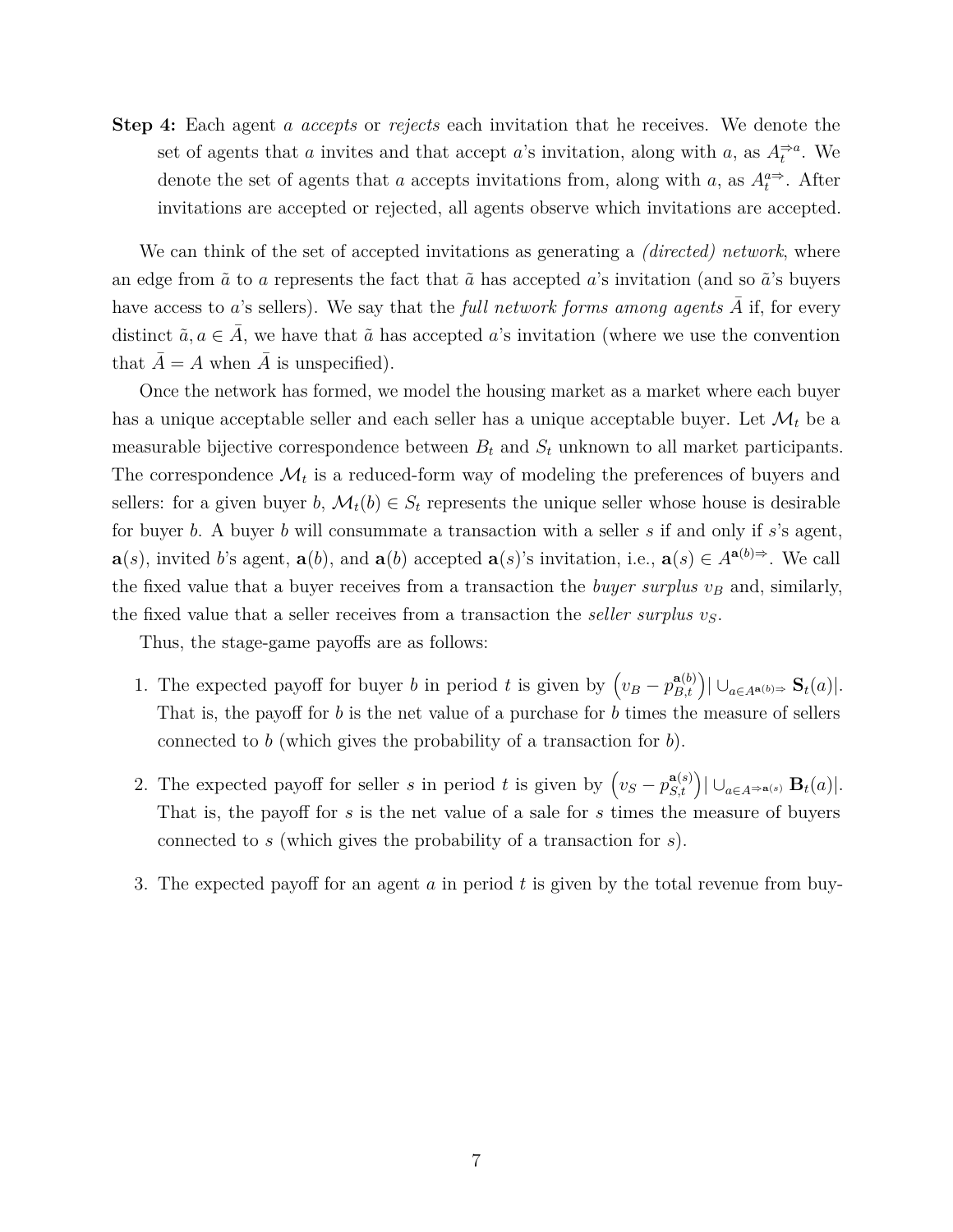**Step 4:** Each agent *a accepts* or *rejects* each invitation that he receives. We denote the set of agents that *a* invites and that accept *a*'s invitation, along with *a*, as  $A_t^{\Rightarrow a}$ . We denote the set of agents that *a* accepts invitations from, along with *a*, as  $A_t^{a\Rightarrow}$ . After invitations are accepted or rejected, all agents observe which invitations are accepted.

We can think of the set of accepted invitations as generating a *(directed) network*, where an edge from  $\tilde{a}$  to *a* represents the fact that  $\tilde{a}$  has accepted *a*'s invitation (and so  $\tilde{a}$ 's buyers have access to *a*'s sellers). We say that the *full network forms among agents*  $\overline{A}$  if, for every distinct  $\tilde{a}, a \in \overline{A}$ , we have that  $\tilde{a}$  has accepted *a*'s invitation (where we use the convention that  $\overline{A} = A$  when  $\overline{A}$  is unspecified).

Once the network has formed, we model the housing market as a market where each buyer has a unique acceptable seller and each seller has a unique acceptable buyer. Let  $\mathcal{M}_t$  be a measurable bijective correspondence between  $B_t$  and  $S_t$  unknown to all market participants. The correspondence  $\mathcal{M}_t$  is a reduced-form way of modeling the preferences of buyers and sellers: for a given buyer *b*,  $\mathcal{M}_t(b) \in S_t$  represents the unique seller whose house is desirable for buyer *b*. A buyer *b* will consummate a transaction with a seller *s* if and only if *s*'s agent, **a**(*s*), invited *b*'s agent, **a**(*b*), and **a**(*b*) accepted **a**(*s*)'s invitation, i.e., **a**(*s*) ∈  $A^{a(b)}$ . We call the fixed value that a buyer receives from a transaction the *buyer surplus v<sup>B</sup>* and, similarly, the fixed value that a seller receives from a transaction the *seller surplus vS*.

Thus, the stage-game payoffs are as follows:

- 1. The expected payoff for buyer *b* in period *t* is given by  $(v_B p_{B,t}^{a(b)}) | \cup_{a \in A^{a(b)}} S_t(a)|$ . That is, the payoff for *b* is the net value of a purchase for *b* times the measure of sellers connected to *b* (which gives the probability of a transaction for *b*).
- 2. The expected payoff for seller *s* in period *t* is given by  $(v_S p_{S,t}^{a(s)}) | \cup_{a \in A^{\Rightarrow a(s)}} \mathbf{B}_t(a)|$ . That is, the payoff for *s* is the net value of a sale for *s* times the measure of buyers connected to *s* (which gives the probability of a transaction for *s*).
- 3. The expected payoff for an agent *a* in period *t* is given by the total revenue from buy-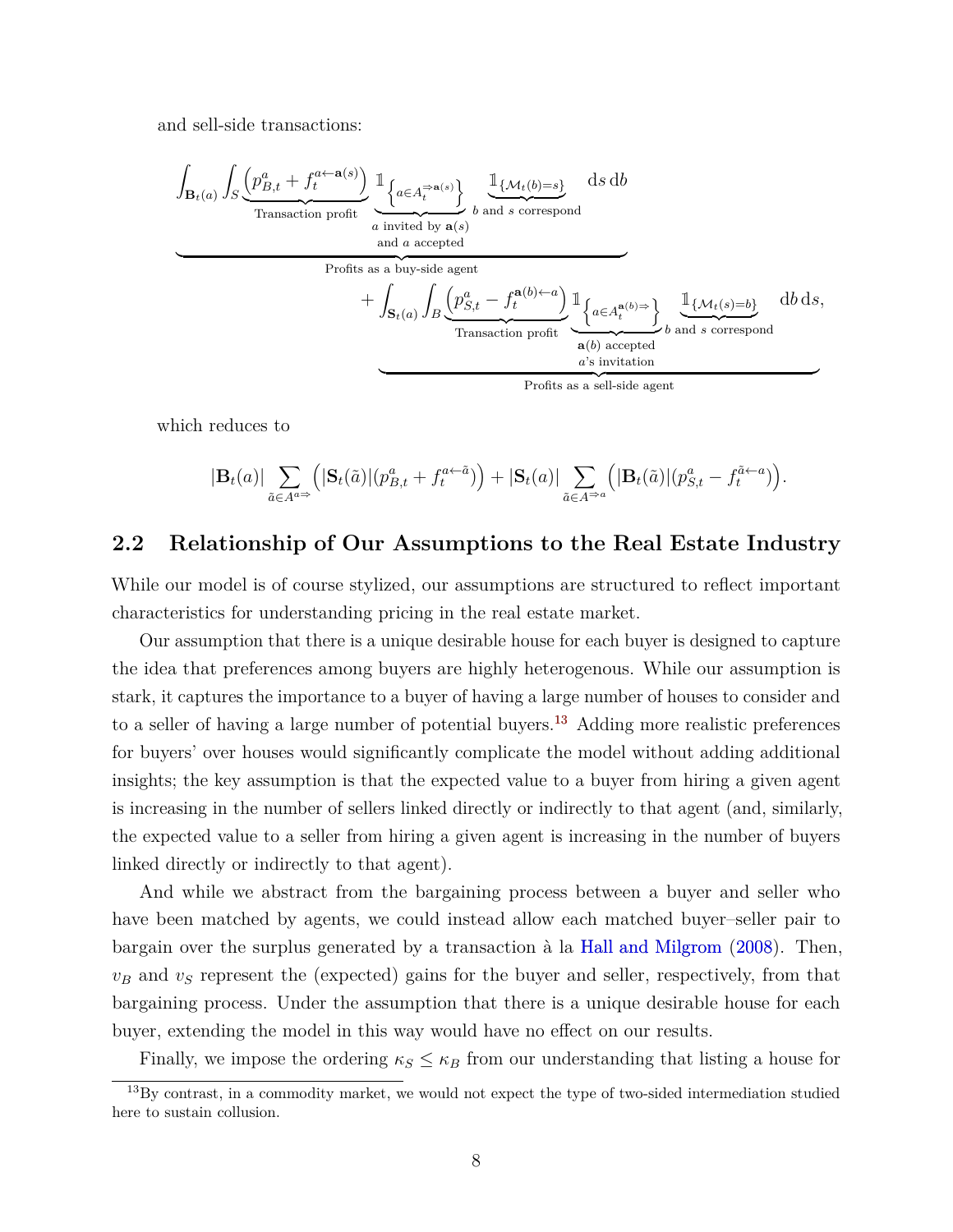<span id="page-9-1"></span>and sell-side transactions:

$$
\int_{\mathbf{B}_{t}(a)} \int_{S} \underbrace{\left(p_{B,t}^{a} + f_{t}^{a \leftarrow a(s)}\right)}_{\text{Transaction profit}} \underbrace{\mathbb{1}_{\left\{a \in A_{t}^{\Rightarrow a(s)}\right\}}}_{\text{and } a \text{ accepted}} \underbrace{\mathbb{1}_{\left\{\mathcal{M}_{t}(b)=s\right\}}}_{\text{Profits as a buy-side agent}} \text{ds db}
$$
\n
$$
+ \int_{\mathbf{S}_{t}(a)} \int_{B} \underbrace{\left(p_{S,t}^{a} - f_{t}^{a(b)\leftarrow a}\right)}_{\text{Transaction profit}} \underbrace{\mathbb{1}_{\left\{a \in A_{t}^{a(b)}\right\}}}_{a(b) \text{ accepted}} \underbrace{\mathbb{1}_{\left\{\mathcal{M}_{t}(s)=b\right\}}}_{a's \text{ invitation}} \text{db ds},
$$
\n
$$
+ \underbrace{\left\{\mathbb{1}_{\left\{\mathcal{M}_{t}(a)\right\}}\right\}}_{a's \text{ institution profit}} \underbrace{\mathbb{1}_{\left\{\mathcal{M}_{t}(s)=b\right\}}}_{a's \text{ invitation}}
$$

which reduces to

$$
|\mathbf{B}_t(a)| \sum_{\tilde{a}\in A^{a\Rightarrow}} (|\mathbf{S}_t(\tilde{a})| (p_{B,t}^a + f_t^{a\leftarrow \tilde{a}})) + |\mathbf{S}_t(a)| \sum_{\tilde{a}\in A^{\Rightarrow a}} (|\mathbf{B}_t(\tilde{a})| (p_{S,t}^a - f_t^{\tilde{a}\leftarrow a}))
$$

## **2.2 Relationship of Our Assumptions to the Real Estate Industry**

While our model is of course stylized, our assumptions are structured to reflect important characteristics for understanding pricing in the real estate market.

Our assumption that there is a unique desirable house for each buyer is designed to capture the idea that preferences among buyers are highly heterogenous. While our assumption is stark, it captures the importance to a buyer of having a large number of houses to consider and to a seller of having a large number of potential buyers.<sup>[13](#page-9-0)</sup> Adding more realistic preferences for buyers' over houses would significantly complicate the model without adding additional insights; the key assumption is that the expected value to a buyer from hiring a given agent is increasing in the number of sellers linked directly or indirectly to that agent (and, similarly, the expected value to a seller from hiring a given agent is increasing in the number of buyers linked directly or indirectly to that agent).

And while we abstract from the bargaining process between a buyer and seller who have been matched by agents, we could instead allow each matched buyer–seller pair to bargain over the surplus generated by a transaction à la [Hall and Milgrom](#page-39-10) [\(2008\)](#page-39-10). Then,  $v_B$  and  $v_S$  represent the (expected) gains for the buyer and seller, respectively, from that bargaining process. Under the assumption that there is a unique desirable house for each buyer, extending the model in this way would have no effect on our results.

Finally, we impose the ordering  $\kappa_S \leq \kappa_B$  from our understanding that listing a house for

<span id="page-9-0"></span> $13\text{By contrast, in a commodity market, we would not expect the type of two-sided intermediate studies.}$ here to sustain collusion.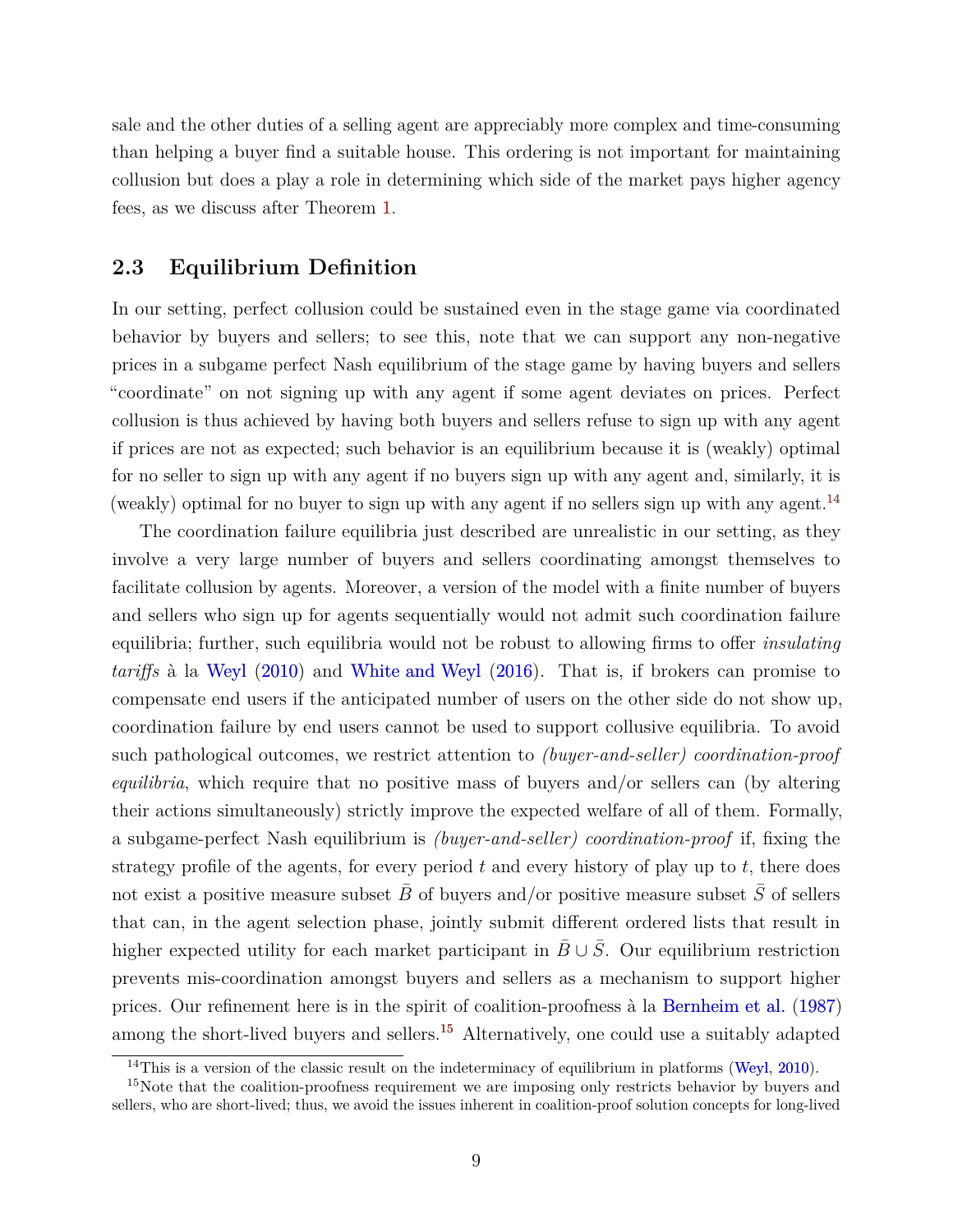<span id="page-10-2"></span>sale and the other duties of a selling agent are appreciably more complex and time-consuming than helping a buyer find a suitable house. This ordering is not important for maintaining collusion but does a play a role in determining which side of the market pays higher agency fees, as we discuss after Theorem [1.](#page-11-1)

## **2.3 Equilibrium Definition**

In our setting, perfect collusion could be sustained even in the stage game via coordinated behavior by buyers and sellers; to see this, note that we can support any non-negative prices in a subgame perfect Nash equilibrium of the stage game by having buyers and sellers "coordinate" on not signing up with any agent if some agent deviates on prices. Perfect collusion is thus achieved by having both buyers and sellers refuse to sign up with any agent if prices are not as expected; such behavior is an equilibrium because it is (weakly) optimal for no seller to sign up with any agent if no buyers sign up with any agent and, similarly, it is (weakly) optimal for no buyer to sign up with any agent if no sellers sign up with any agent.<sup>[14](#page-10-0)</sup>

The coordination failure equilibria just described are unrealistic in our setting, as they involve a very large number of buyers and sellers coordinating amongst themselves to facilitate collusion by agents. Moreover, a version of the model with a finite number of buyers and sellers who sign up for agents sequentially would not admit such coordination failure equilibria; further, such equilibria would not be robust to allowing firms to offer *insulating tariffs* à la [Weyl](#page-41-1) [\(2010\)](#page-41-1) and [White and Weyl](#page-41-2) [\(2016\)](#page-41-2). That is, if brokers can promise to compensate end users if the anticipated number of users on the other side do not show up, coordination failure by end users cannot be used to support collusive equilibria. To avoid such pathological outcomes, we restrict attention to *(buyer-and-seller) coordination-proof equilibria*, which require that no positive mass of buyers and/or sellers can (by altering their actions simultaneously) strictly improve the expected welfare of all of them. Formally, a subgame-perfect Nash equilibrium is *(buyer-and-seller) coordination-proof* if, fixing the strategy profile of the agents, for every period *t* and every history of play up to *t*, there does not exist a positive measure subset  $\bar{B}$  of buyers and/or positive measure subset  $\bar{S}$  of sellers that can, in the agent selection phase, jointly submit different ordered lists that result in higher expected utility for each market participant in  $\bar{B} \cup \bar{S}$ . Our equilibrium restriction prevents mis-coordination amongst buyers and sellers as a mechanism to support higher prices. Our refinement here is in the spirit of coalition-proofness à la [Bernheim et al.](#page-38-8) [\(1987\)](#page-38-8) among the short-lived buyers and sellers.<sup>[15](#page-10-1)</sup> Alternatively, one could use a suitably adapted

<span id="page-10-1"></span><span id="page-10-0"></span><sup>&</sup>lt;sup>14</sup>This is a version of the classic result on the indeterminacy of equilibrium in platforms [\(Weyl,](#page-41-1) [2010\)](#page-41-1).

<sup>&</sup>lt;sup>15</sup>Note that the coalition-proofness requirement we are imposing only restricts behavior by buyers and sellers, who are short-lived; thus, we avoid the issues inherent in coalition-proof solution concepts for long-lived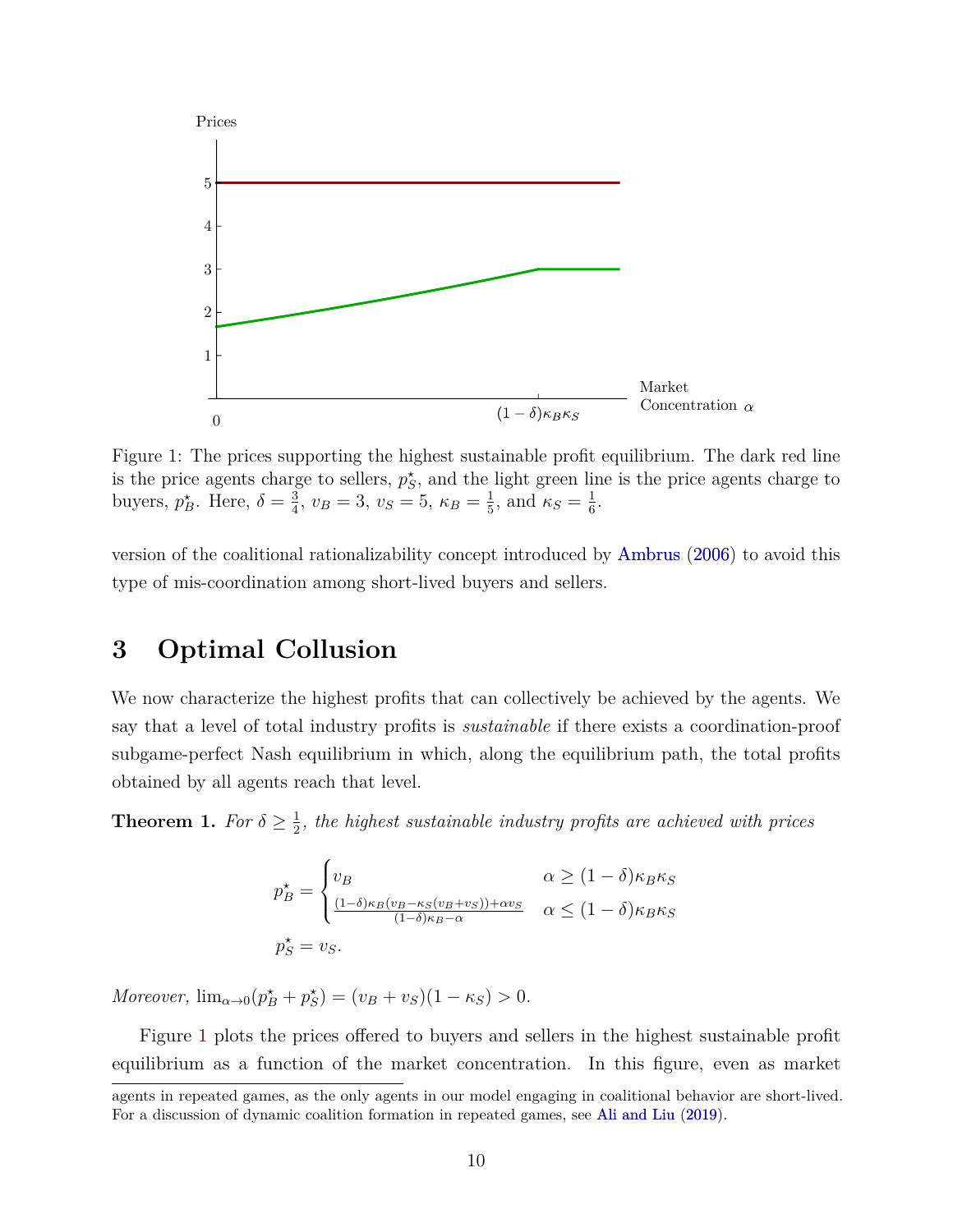<span id="page-11-3"></span><span id="page-11-2"></span>

Figure 1: The prices supporting the highest sustainable profit equilibrium. The dark red line is the price agents charge to sellers,  $p_S^*$ , and the light green line is the price agents charge to buyers,  $p_B^*$ . Here,  $\delta = \frac{3}{4}$  $\frac{3}{4}$ ,  $v_B = 3$ ,  $v_S = 5$ ,  $\kappa_B = \frac{1}{5}$  $\frac{1}{5}$ , and  $\kappa_S = \frac{1}{6}$  $\frac{1}{6}$ .

version of the coalitional rationalizability concept introduced by [Ambrus](#page-38-9) [\(2006\)](#page-38-9) to avoid this type of mis-coordination among short-lived buyers and sellers.

## <span id="page-11-0"></span>**3 Optimal Collusion**

We now characterize the highest profits that can collectively be achieved by the agents. We say that a level of total industry profits is *sustainable* if there exists a coordination-proof subgame-perfect Nash equilibrium in which, along the equilibrium path, the total profits obtained by all agents reach that level.

<span id="page-11-1"></span>**Theorem 1.** *For*  $\delta \geq \frac{1}{2}$  $\frac{1}{2}$ , the highest sustainable industry profits are achieved with prices

$$
p_B^* = \begin{cases} v_B & \alpha \ge (1 - \delta)\kappa_B \kappa_S \\ \frac{(1 - \delta)\kappa_B (v_B - \kappa_S (v_B + v_S)) + \alpha v_S}{(1 - \delta)\kappa_B - \alpha} & \alpha \le (1 - \delta)\kappa_B \kappa_S \\ p_S^* = v_S. \end{cases}
$$

*Moreover*,  $\lim_{\alpha \to 0} (p_B^* + p_S^*) = (v_B + v_S)(1 - \kappa_S) > 0.$ 

Figure [1](#page-11-2) plots the prices offered to buyers and sellers in the highest sustainable profit equilibrium as a function of the market concentration. In this figure, even as market

agents in repeated games, as the only agents in our model engaging in coalitional behavior are short-lived. For a discussion of dynamic coalition formation in repeated games, see [Ali and Liu](#page-38-10) [\(2019\)](#page-38-10).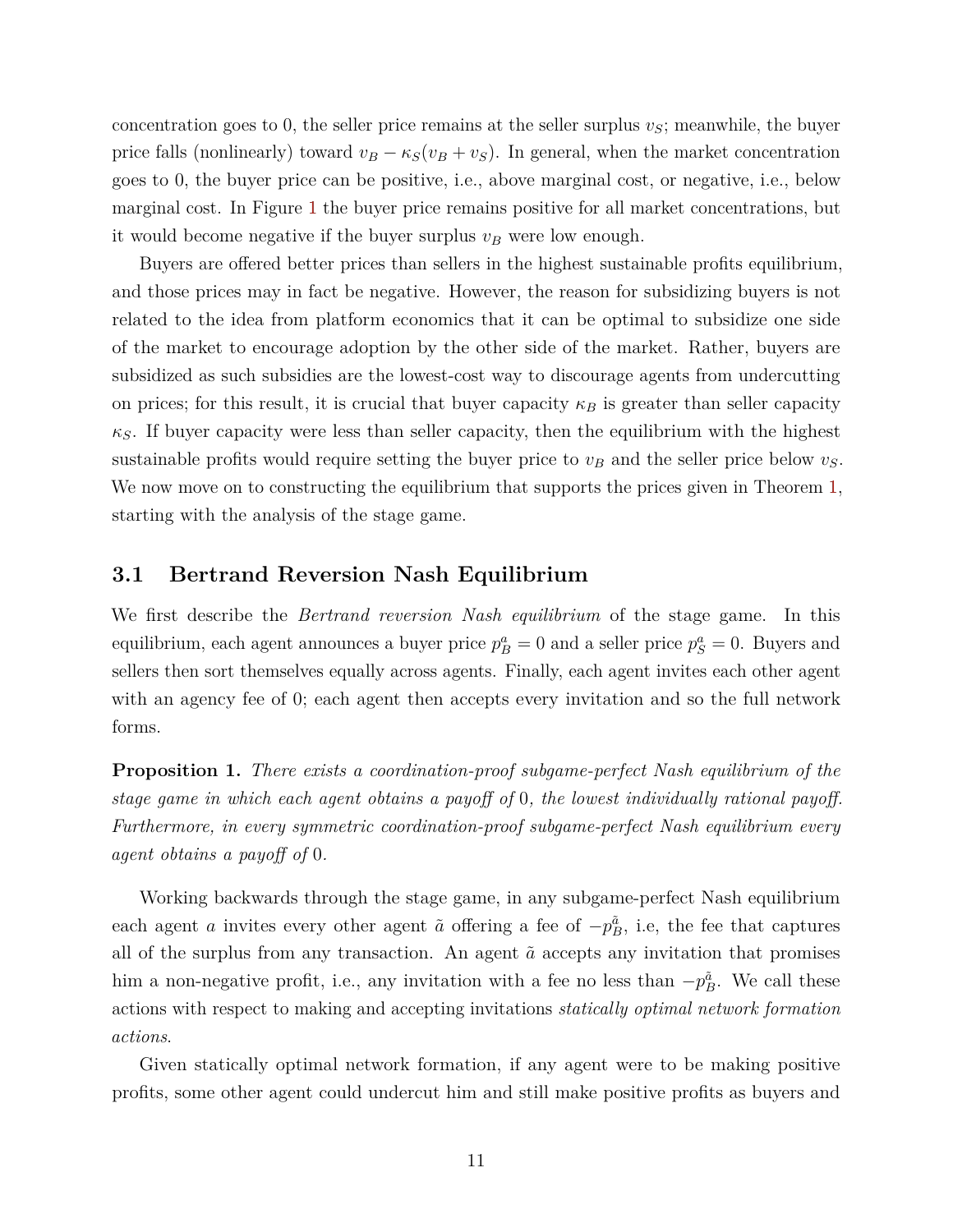concentration goes to 0, the seller price remains at the seller surplus  $v<sub>S</sub>$ ; meanwhile, the buyer price falls (nonlinearly) toward  $v_B - \kappa_S(v_B + v_S)$ . In general, when the market concentration goes to 0, the buyer price can be positive, i.e., above marginal cost, or negative, i.e., below marginal cost. In Figure [1](#page-11-2) the buyer price remains positive for all market concentrations, but it would become negative if the buyer surplus  $v_B$  were low enough.

Buyers are offered better prices than sellers in the highest sustainable profits equilibrium, and those prices may in fact be negative. However, the reason for subsidizing buyers is not related to the idea from platform economics that it can be optimal to subsidize one side of the market to encourage adoption by the other side of the market. Rather, buyers are subsidized as such subsidies are the lowest-cost way to discourage agents from undercutting on prices; for this result, it is crucial that buyer capacity  $\kappa_B$  is greater than seller capacity  $\kappa_S$ . If buyer capacity were less than seller capacity, then the equilibrium with the highest sustainable profits would require setting the buyer price to  $v_B$  and the seller price below  $v_S$ . We now move on to constructing the equilibrium that supports the prices given in Theorem [1,](#page-11-1) starting with the analysis of the stage game.

## **3.1 Bertrand Reversion Nash Equilibrium**

We first describe the *Bertrand reversion Nash equilibrium* of the stage game. In this equilibrium, each agent announces a buyer price  $p_B^a = 0$  and a seller price  $p_S^a = 0$ . Buyers and sellers then sort themselves equally across agents. Finally, each agent invites each other agent with an agency fee of 0; each agent then accepts every invitation and so the full network forms.

<span id="page-12-0"></span>**Proposition 1.** *There exists a coordination-proof subgame-perfect Nash equilibrium of the stage game in which each agent obtains a payoff of* 0*, the lowest individually rational payoff. Furthermore, in every symmetric coordination-proof subgame-perfect Nash equilibrium every agent obtains a payoff of* 0*.*

Working backwards through the stage game, in any subgame-perfect Nash equilibrium each agent *a* invites every other agent  $\tilde{a}$  offering a fee of  $-p_B^{\tilde{a}}$ , i.e, the fee that captures all of the surplus from any transaction. An agent  $\tilde{a}$  accepts any invitation that promises him a non-negative profit, i.e., any invitation with a fee no less than  $-p_B^{\tilde{a}}$ . We call these actions with respect to making and accepting invitations *statically optimal network formation actions*.

Given statically optimal network formation, if any agent were to be making positive profits, some other agent could undercut him and still make positive profits as buyers and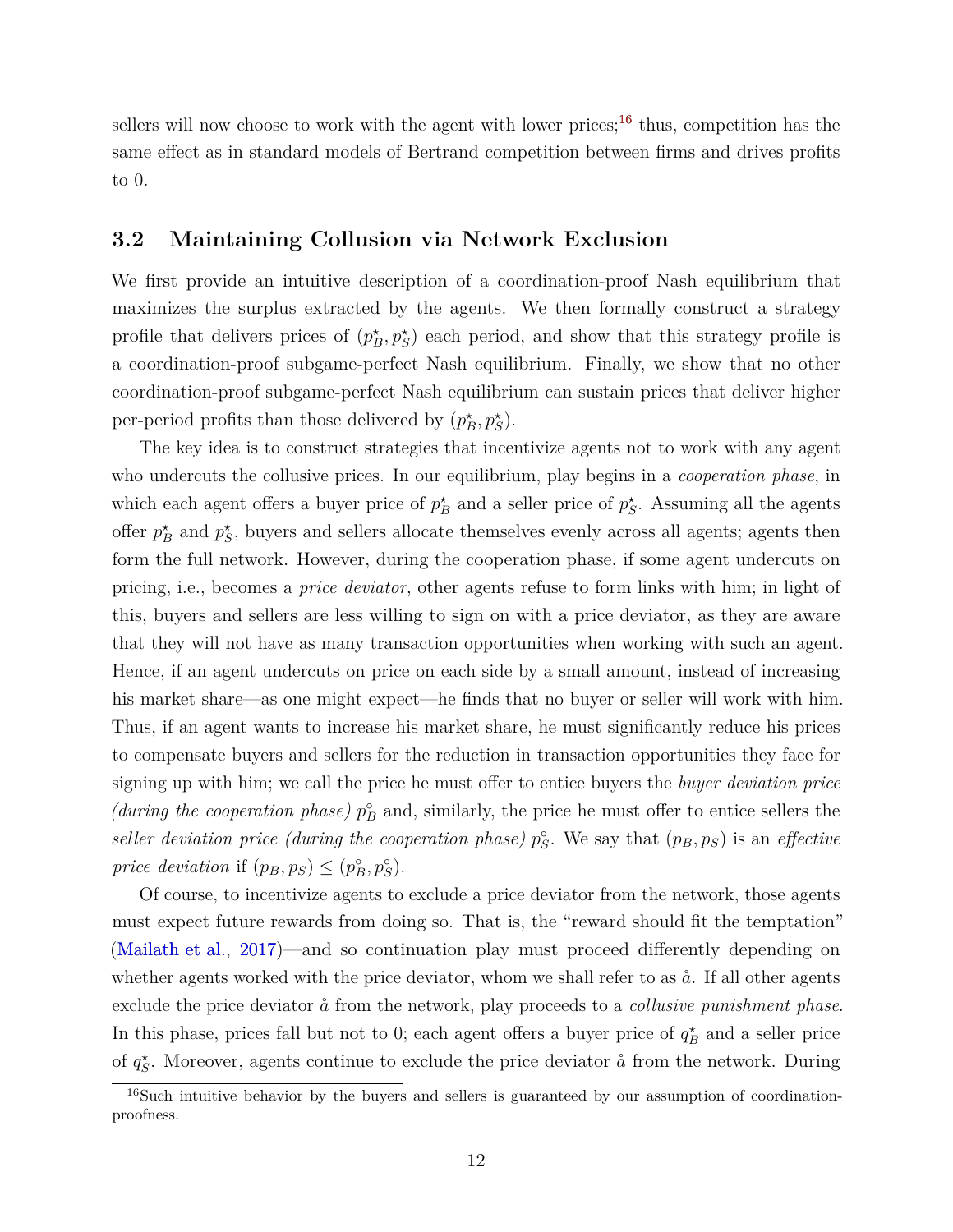<span id="page-13-2"></span>sellers will now choose to work with the agent with lower prices;<sup>[16](#page-13-0)</sup> thus, competition has the same effect as in standard models of Bertrand competition between firms and drives profits to 0.

## <span id="page-13-1"></span>**3.2 Maintaining Collusion via Network Exclusion**

We first provide an intuitive description of a coordination-proof Nash equilibrium that maximizes the surplus extracted by the agents. We then formally construct a strategy profile that delivers prices of  $(p_B^*, p_S^*)$  each period, and show that this strategy profile is a coordination-proof subgame-perfect Nash equilibrium. Finally, we show that no other coordination-proof subgame-perfect Nash equilibrium can sustain prices that deliver higher per-period profits than those delivered by  $(p_B^*, p_S^*)$ .

The key idea is to construct strategies that incentivize agents not to work with any agent who undercuts the collusive prices. In our equilibrium, play begins in a *cooperation phase*, in which each agent offers a buyer price of  $p_B^*$  and a seller price of  $p_S^*$ . Assuming all the agents offer  $p_B^*$  and  $p_S^*$ , buyers and sellers allocate themselves evenly across all agents; agents then form the full network. However, during the cooperation phase, if some agent undercuts on pricing, i.e., becomes a *price deviator*, other agents refuse to form links with him; in light of this, buyers and sellers are less willing to sign on with a price deviator, as they are aware that they will not have as many transaction opportunities when working with such an agent. Hence, if an agent undercuts on price on each side by a small amount, instead of increasing his market share—as one might expect—he finds that no buyer or seller will work with him. Thus, if an agent wants to increase his market share, he must significantly reduce his prices to compensate buyers and sellers for the reduction in transaction opportunities they face for signing up with him; we call the price he must offer to entice buyers the *buyer deviation price* (during the cooperation phase)  $p_B^{\circ}$  and, similarly, the price he must offer to entice sellers the *seller deviation price (during the cooperation phase)*  $p_S^{\circ}$ . We say that  $(p_B, p_S)$  is an *effective price deviation* if  $(p_B, p_S) \leq (p_B^{\circ}, p_S^{\circ}).$ 

Of course, to incentivize agents to exclude a price deviator from the network, those agents must expect future rewards from doing so. That is, the "reward should fit the temptation" [\(Mailath et al.,](#page-40-3) [2017\)](#page-40-3)—and so continuation play must proceed differently depending on whether agents worked with the price deviator, whom we shall refer to as  $\aa$ . If all other agents exclude the price deviator  $\aa$  from the network, play proceeds to a *collusive punishment phase*. In this phase, prices fall but not to 0; each agent offers a buyer price of  $q_B^*$  and a seller price of  $q_S^*$ . Moreover, agents continue to exclude the price deviator  $\aa$  from the network. During

<span id="page-13-0"></span><sup>&</sup>lt;sup>16</sup>Such intuitive behavior by the buyers and sellers is guaranteed by our assumption of coordinationproofness.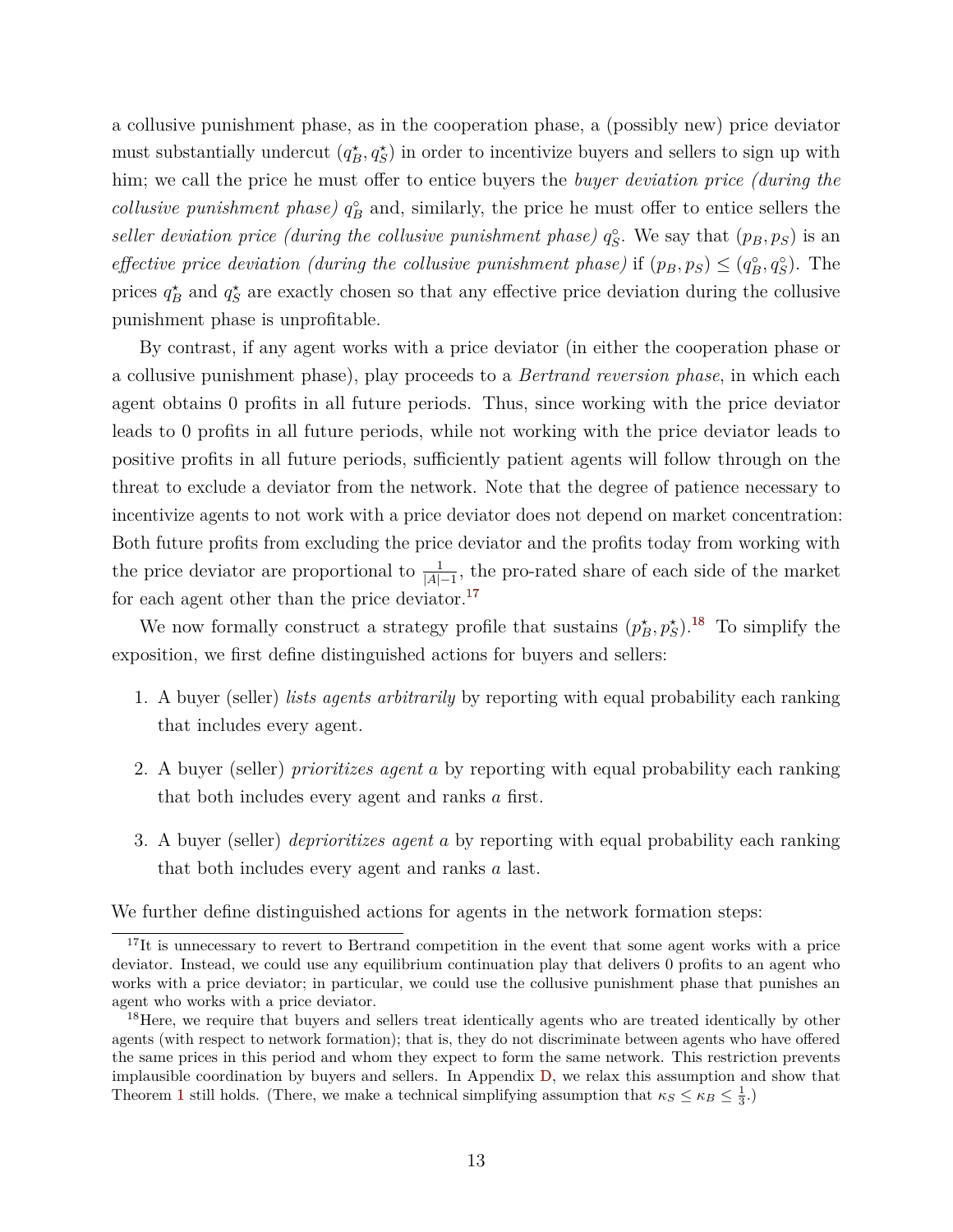a collusive punishment phase, as in the cooperation phase, a (possibly new) price deviator must substantially undercut  $(q_B^*, q_S^*)$  in order to incentivize buyers and sellers to sign up with him; we call the price he must offer to entice buyers the *buyer deviation price (during the collusive punishment phase)*  $q_B^{\circ}$  and, similarly, the price he must offer to entice sellers the *seller deviation price (during the collusive punishment phase)*  $q_S^{\circ}$ . We say that  $(p_B, p_S)$  is an *effective price deviation (during the collusive punishment phase)* if  $(p_B, p_S) \leq (q_B^{\circ}, q_S^{\circ})$ . The prices  $q_B^*$  and  $q_S^*$  are exactly chosen so that any effective price deviation during the collusive punishment phase is unprofitable.

By contrast, if any agent works with a price deviator (in either the cooperation phase or a collusive punishment phase), play proceeds to a *Bertrand reversion phase*, in which each agent obtains 0 profits in all future periods. Thus, since working with the price deviator leads to 0 profits in all future periods, while not working with the price deviator leads to positive profits in all future periods, sufficiently patient agents will follow through on the threat to exclude a deviator from the network. Note that the degree of patience necessary to incentivize agents to not work with a price deviator does not depend on market concentration: Both future profits from excluding the price deviator and the profits today from working with the price deviator are proportional to  $\frac{1}{|A|-1}$ , the pro-rated share of each side of the market for each agent other than the price deviator. $^{17}$  $^{17}$  $^{17}$ 

We now formally construct a strategy profile that sustains  $(p_B^*, p_S^*)$ .<sup>[18](#page-14-1)</sup> To simplify the exposition, we first define distinguished actions for buyers and sellers:

- 1. A buyer (seller) *lists agents arbitrarily* by reporting with equal probability each ranking that includes every agent.
- 2. A buyer (seller) *prioritizes agent a* by reporting with equal probability each ranking that both includes every agent and ranks *a* first.
- 3. A buyer (seller) *deprioritizes agent a* by reporting with equal probability each ranking that both includes every agent and ranks *a* last.

We further define distinguished actions for agents in the network formation steps:

<span id="page-14-0"></span><sup>&</sup>lt;sup>17</sup>It is unnecessary to revert to Bertrand competition in the event that some agent works with a price deviator. Instead, we could use any equilibrium continuation play that delivers 0 profits to an agent who works with a price deviator; in particular, we could use the collusive punishment phase that punishes an agent who works with a price deviator.

<span id="page-14-1"></span><sup>&</sup>lt;sup>18</sup>Here, we require that buyers and sellers treat identically agents who are treated identically by other agents (with respect to network formation); that is, they do not discriminate between agents who have offered the same prices in this period and whom they expect to form the same network. This restriction prevents implausible coordination by buyers and sellers. In Appendix [D,](#page-64-0) we relax this assumption and show that Theorem [1](#page-11-1) still holds. (There, we make a technical simplifying assumption that  $\kappa_S \leq \kappa_B \leq \frac{1}{3}$ .)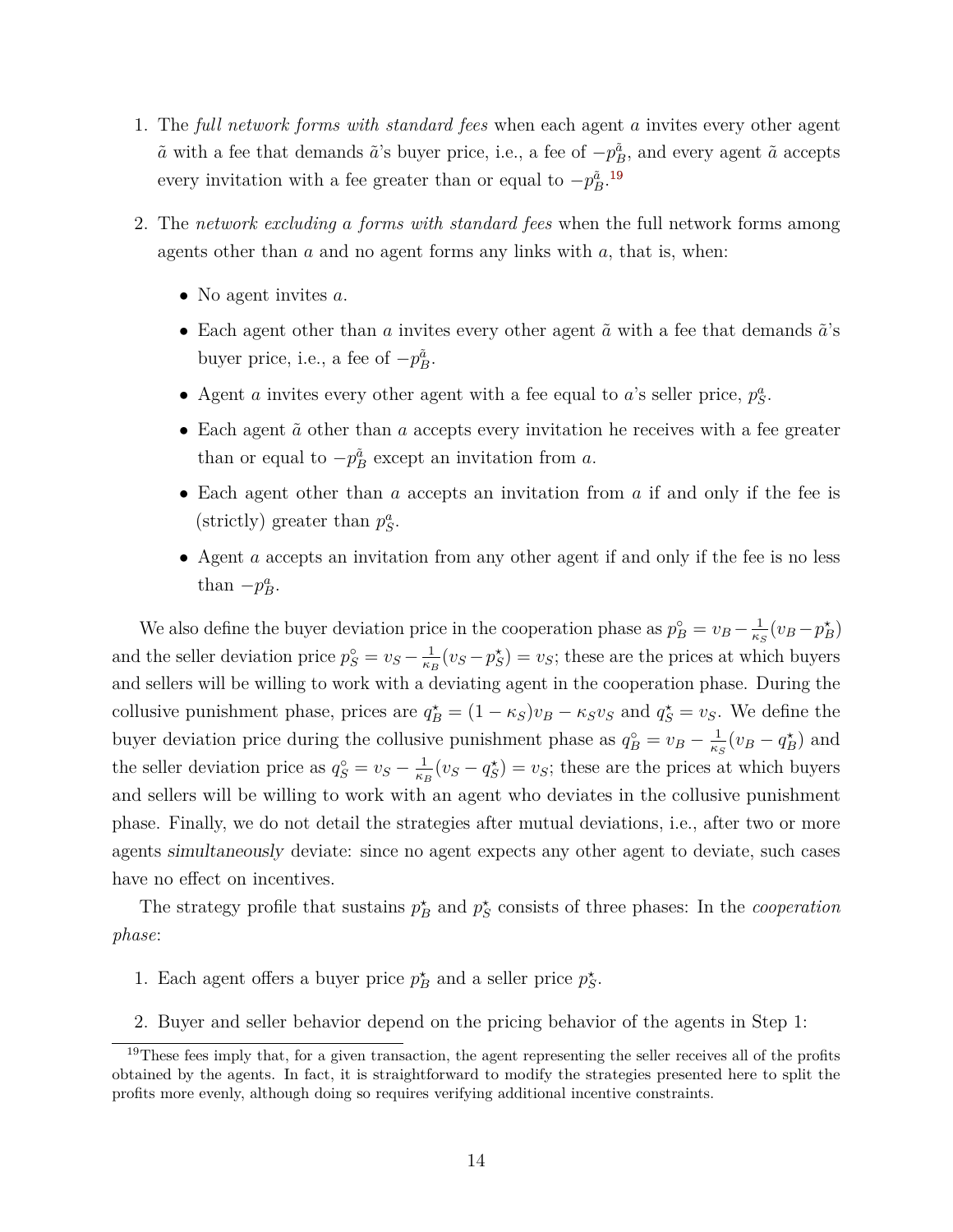- 1. The *full network forms with standard fees* when each agent *a* invites every other agent  $\tilde{a}$  with a fee that demands  $\tilde{a}$ 's buyer price, i.e., a fee of  $-p_B^{\tilde{a}}$ , and every agent  $\tilde{a}$  accepts every invitation with a fee greater than or equal to  $-p_B^{\tilde{a}}$ .<sup>[19](#page-15-0)</sup>
- 2. The *network excluding a forms with standard fees* when the full network forms among agents other than *a* and no agent forms any links with *a*, that is, when:
	- No agent invites *a*.
	- Each agent other than *a* invites every other agent  $\tilde{a}$  with a fee that demands  $\tilde{a}$ 's buyer price, i.e., a fee of  $-p_B^{\tilde{a}}$ .
	- Agent *a* invites every other agent with a fee equal to *a*'s seller price,  $p_S^a$ .
	- Each agent  $\tilde{a}$  other than *a* accepts every invitation he receives with a fee greater than or equal to  $-p_B^{\tilde{a}}$  except an invitation from *a*.
	- Each agent other than *a* accepts an invitation from *a* if and only if the fee is (strictly) greater than  $p_S^a$ .
	- Agent *a* accepts an invitation from any other agent if and only if the fee is no less than  $-p_B^a$ .

We also define the buyer deviation price in the cooperation phase as  $p_B^{\circ} = v_B - \frac{1}{\kappa^2}$  $\frac{1}{\kappa_S}(v_B - p_B^{\star})$ and the seller deviation price  $p_S^{\circ} = v_S - \frac{1}{\kappa_l}$  $\frac{1}{\kappa_B}(v_S - p_S^*) = v_S$ ; these are the prices at which buyers and sellers will be willing to work with a deviating agent in the cooperation phase. During the collusive punishment phase, prices are  $q_B^* = (1 - \kappa_S)v_B - \kappa_S v_S$  and  $q_S^* = v_S$ . We define the buyer deviation price during the collusive punishment phase as  $q_B^{\circ} = v_B - \frac{1}{\kappa^2}$  $\frac{1}{\kappa_S}(v_B - q_B^{\star})$  and the seller deviation price as  $q_S^{\circ} = v_S - \frac{1}{\kappa_l}$  $\frac{1}{\kappa_B}(v_S - q_S^*) = v_S$ ; these are the prices at which buyers and sellers will be willing to work with an agent who deviates in the collusive punishment phase. Finally, we do not detail the strategies after mutual deviations, i.e., after two or more agents simultaneously deviate: since no agent expects any other agent to deviate, such cases have no effect on incentives.

The strategy profile that sustains  $p_B^*$  and  $p_S^*$  consists of three phases: In the *cooperation phase*:

- 1. Each agent offers a buyer price  $p_B^*$  and a seller price  $p_S^*$ .
- <span id="page-15-0"></span>2. Buyer and seller behavior depend on the pricing behavior of the agents in Step 1:

 $19$ These fees imply that, for a given transaction, the agent representing the seller receives all of the profits obtained by the agents. In fact, it is straightforward to modify the strategies presented here to split the profits more evenly, although doing so requires verifying additional incentive constraints.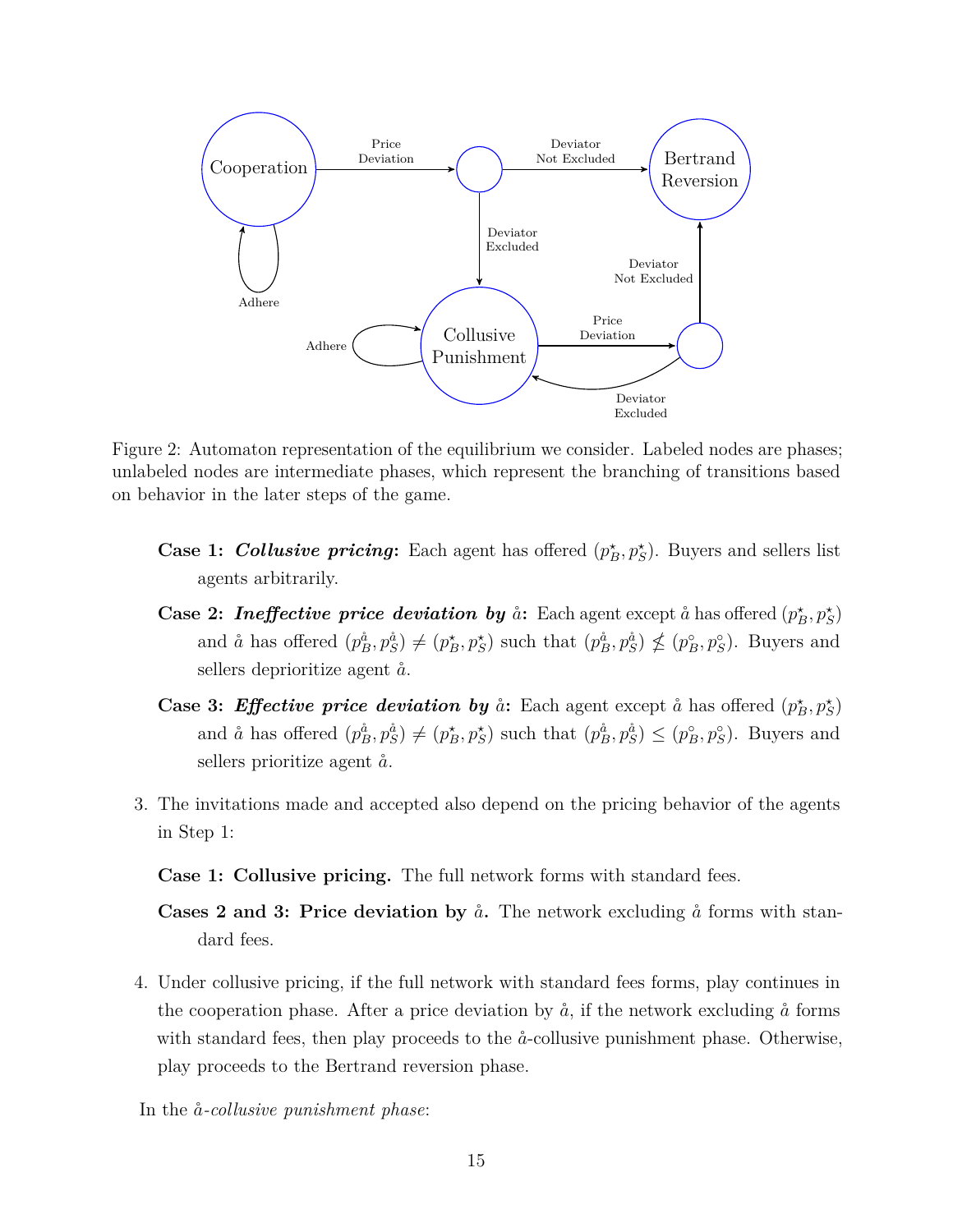<span id="page-16-0"></span>

Figure 2: Automaton representation of the equilibrium we consider. Labeled nodes are phases; unlabeled nodes are intermediate phases, which represent the branching of transitions based on behavior in the later steps of the game.

- **Case 1: Collusive pricing:** Each agent has offered  $(p_B^*, p_S^*)$ . Buyers and sellers list agents arbitrarily.
- **Case 2:** *Ineffective price deviation by*  $\aa$ *:* Each agent except  $\aa$  has offered  $(p_B^*, p_S^*)$ and  $\aa$  has offered  $(p_B^{\aa}, p_S^{\aa}) \neq (p_B^{\star}, p_S^{\star})$  such that  $(p_B^{\aa}, p_S^{\aa}) \nleq (p_B^{\circ}, p_S^{\circ})$ . Buyers and sellers deprioritize agent  $\aa$ .
- **Case 3: Effective price deviation by**  $\aa$ : Each agent except  $\aa$  has offered  $(p_B^*, p_S^*)$ and  $\aa$  has offered  $(p_B^{\aa}, p_S^{\aa}) \neq (p_B^{\star}, p_S^{\star})$  such that  $(p_B^{\aa}, p_S^{\aa}) \leq (p_B^{\circ}, p_S^{\circ})$ . Buyers and sellers prioritize agent  $\aa$ .
- 3. The invitations made and accepted also depend on the pricing behavior of the agents in Step 1:

**Case 1: Collusive pricing.** The full network forms with standard fees.

**Cases 2 and 3: Price deviation by**  $\aa$ . The network excluding  $\aa$  forms with standard fees.

4. Under collusive pricing, if the full network with standard fees forms, play continues in the cooperation phase. After a price deviation by  $\hat{a}$ , if the network excluding  $\hat{a}$  forms with standard fees, then play proceeds to the  $\aa$ -collusive punishment phase. Otherwise, play proceeds to the Bertrand reversion phase.

In the  $\aa$ -*collusive punishment phase*: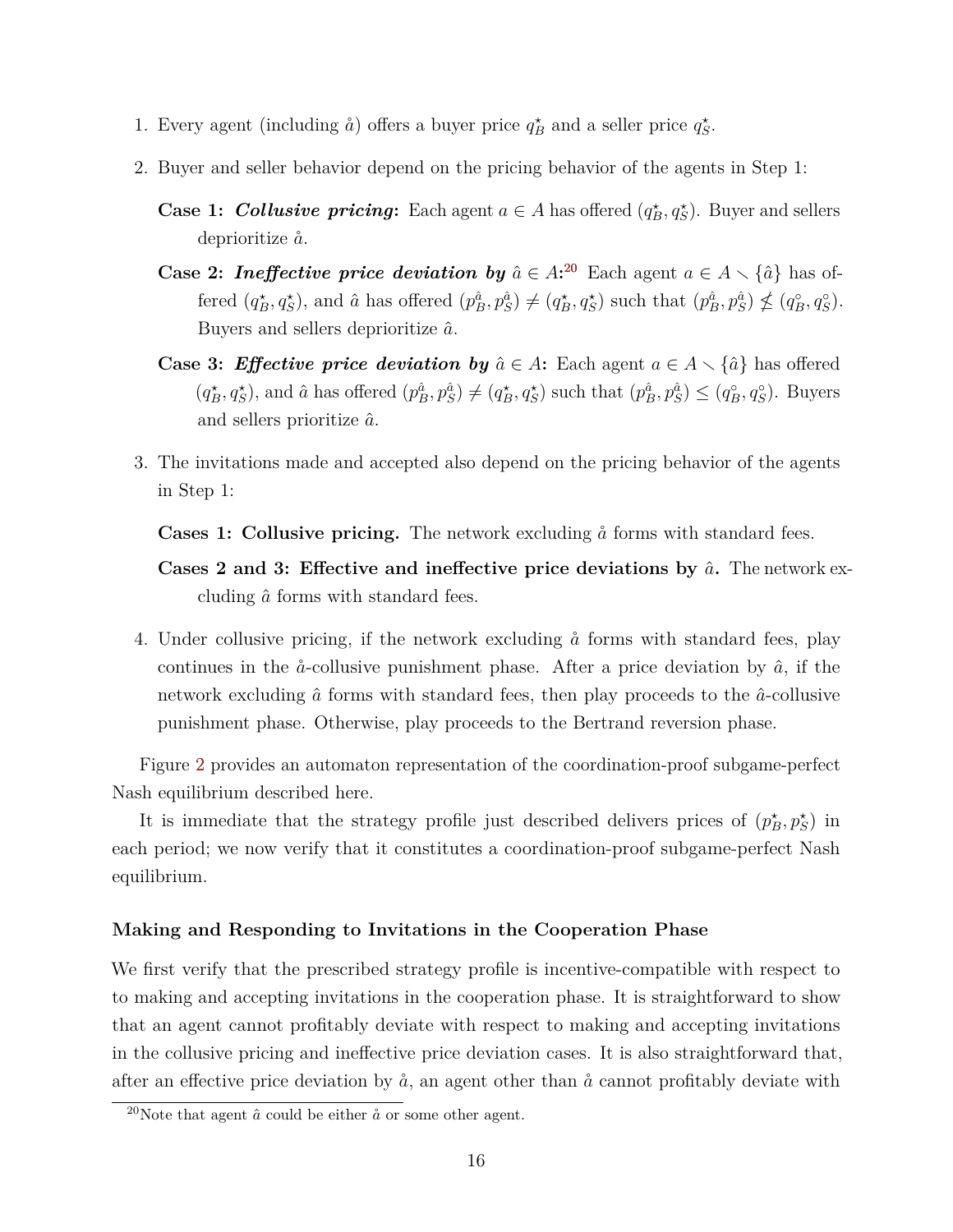- 1. Every agent (including  $\hat{a}$ ) offers a buyer price  $q_B^*$  and a seller price  $q_S^*$ .
- 2. Buyer and seller behavior depend on the pricing behavior of the agents in Step 1:
	- **Case 1:** *Collusive pricing*: Each agent  $a \in A$  has offered  $(q_B^*, q_S^*)$ . Buyer and sellers deprioritize ˚*a*.
	- **Case 2:** *Ineffective price deviation by*  $\hat{a} \in A$ <sup>[20](#page-17-0)</sup> Each agent  $a \in A \setminus {\hat{a}}$  has offered  $(q_B^*, q_S^*)$ , and  $\hat{a}$  has offered  $(p_B^{\hat{a}}, p_S^{\hat{a}}) \neq (q_B^*, q_S^*)$  such that  $(p_B^{\hat{a}}, p_S^{\hat{a}}) \nleq (q_B^{\circ}, q_S^{\circ})$ . Buyers and sellers deprioritize *a*ˆ.
	- **Case 3:** *Effective price deviation by*  $\hat{a} \in A$ : Each agent  $a \in A \setminus \{\hat{a}\}$  has offered  $(q_B^{\star}, q_S^{\star})$ , and  $\hat{a}$  has offered  $(p_B^{\hat{a}}, p_S^{\hat{a}}) \neq (q_B^{\star}, q_S^{\star})$  such that  $(p_B^{\hat{a}}, p_S^{\hat{a}}) \leq (q_B^{\circ}, q_S^{\circ})$ . Buyers and sellers prioritize *a*ˆ.
- 3. The invitations made and accepted also depend on the pricing behavior of the agents in Step 1:
	- **Cases 1: Collusive pricing.** The network excluding  $\aa$  forms with standard fees.
	- **Cases 2 and 3: Effective and ineffective price deviations by**  $\hat{a}$ **.** The network excluding *a*ˆ forms with standard fees.
- 4. Under collusive pricing, if the network excluding  $\aa$  forms with standard fees, play continues in the  $\aa$ -collusive punishment phase. After a price deviation by  $\hat{a}$ , if the network excluding  $\hat{a}$  forms with standard fees, then play proceeds to the  $\hat{a}$ -collusive punishment phase. Otherwise, play proceeds to the Bertrand reversion phase.

Figure [2](#page-16-0) provides an automaton representation of the coordination-proof subgame-perfect Nash equilibrium described here.

It is immediate that the strategy profile just described delivers prices of  $(p_B^*, p_S^*)$  in each period; we now verify that it constitutes a coordination-proof subgame-perfect Nash equilibrium.

## **Making and Responding to Invitations in the Cooperation Phase**

We first verify that the prescribed strategy profile is incentive-compatible with respect to to making and accepting invitations in the cooperation phase. It is straightforward to show that an agent cannot profitably deviate with respect to making and accepting invitations in the collusive pricing and ineffective price deviation cases. It is also straightforward that, after an effective price deviation by  $\hat{a}$ , an agent other than  $\hat{a}$  cannot profitably deviate with

<span id="page-17-0"></span><sup>&</sup>lt;sup>20</sup>Note that agent  $\hat{a}$  could be either  $\hat{a}$  or some other agent.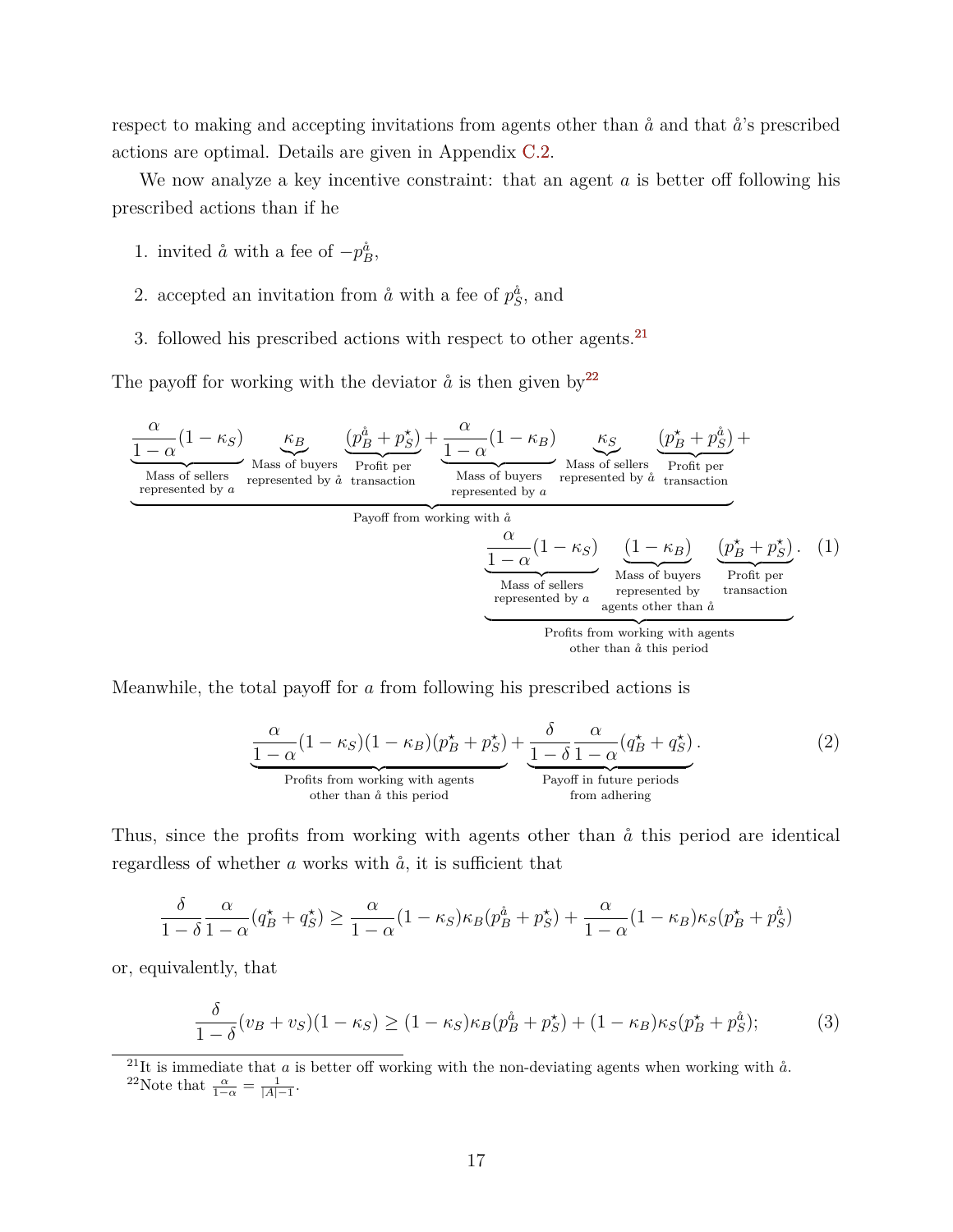respect to making and accepting invitations from agents other than  $\aa$  and that  $\aa$ 's prescribed actions are optimal. Details are given in Appendix [C.2.](#page-45-0)

We now analyze a key incentive constraint: that an agent *a* is better off following his prescribed actions than if he

- 1. invited  $\aa$  with a fee of  $-p_B^{\aa}$ ,
- 2. accepted an invitation from  $\hat{a}$  with a fee of  $p_S^{\hat{a}}$ , and
- 3. followed his prescribed actions with respect to other agents.[21](#page-18-0)

The payoff for working with the deviator  $\aa$  is then given by  $2^2$ 



Meanwhile, the total payoff for *a* from following his prescribed actions is

<span id="page-18-4"></span><span id="page-18-3"></span>
$$
\underbrace{\frac{\alpha}{1-\alpha}(1-\kappa_S)(1-\kappa_B)(p_B^{\star}+p_S^{\star})}_{\text{Profits from working with agents}} + \underbrace{\frac{\delta}{1-\delta}\frac{\alpha}{1-\alpha}(q_B^{\star}+q_S^{\star})}_{\text{Payoff in future periods}}.
$$
\n(2)

Thus, since the profits from working with agents other than  $\hat{a}$  this period are identical regardless of whether  $a$  works with  $\dot{a}$ , it is sufficient that

$$
\frac{\delta}{1-\delta} \frac{\alpha}{1-\alpha} (q_B^{\star} + q_S^{\star}) \ge \frac{\alpha}{1-\alpha} (1 - \kappa_S) \kappa_B (p_B^{\aa} + p_S^{\star}) + \frac{\alpha}{1-\alpha} (1 - \kappa_B) \kappa_S (p_B^{\star} + p_S^{\aa})
$$

or, equivalently, that

<span id="page-18-2"></span>
$$
\frac{\delta}{1-\delta}(v_B + v_S)(1 - \kappa_S) \ge (1 - \kappa_S)\kappa_B(p_B^{\hat{a}} + p_S^{\star}) + (1 - \kappa_B)\kappa_S(p_B^{\star} + p_S^{\hat{a}}); \tag{3}
$$

<span id="page-18-0"></span> $^{21}$ It is immediate that *a* is better off working with the non-deviating agents when working with  $\aa$ .

<span id="page-18-1"></span><sup>22</sup>Note that  $\frac{\alpha}{1-\alpha} = \frac{1}{|A|-1}$ .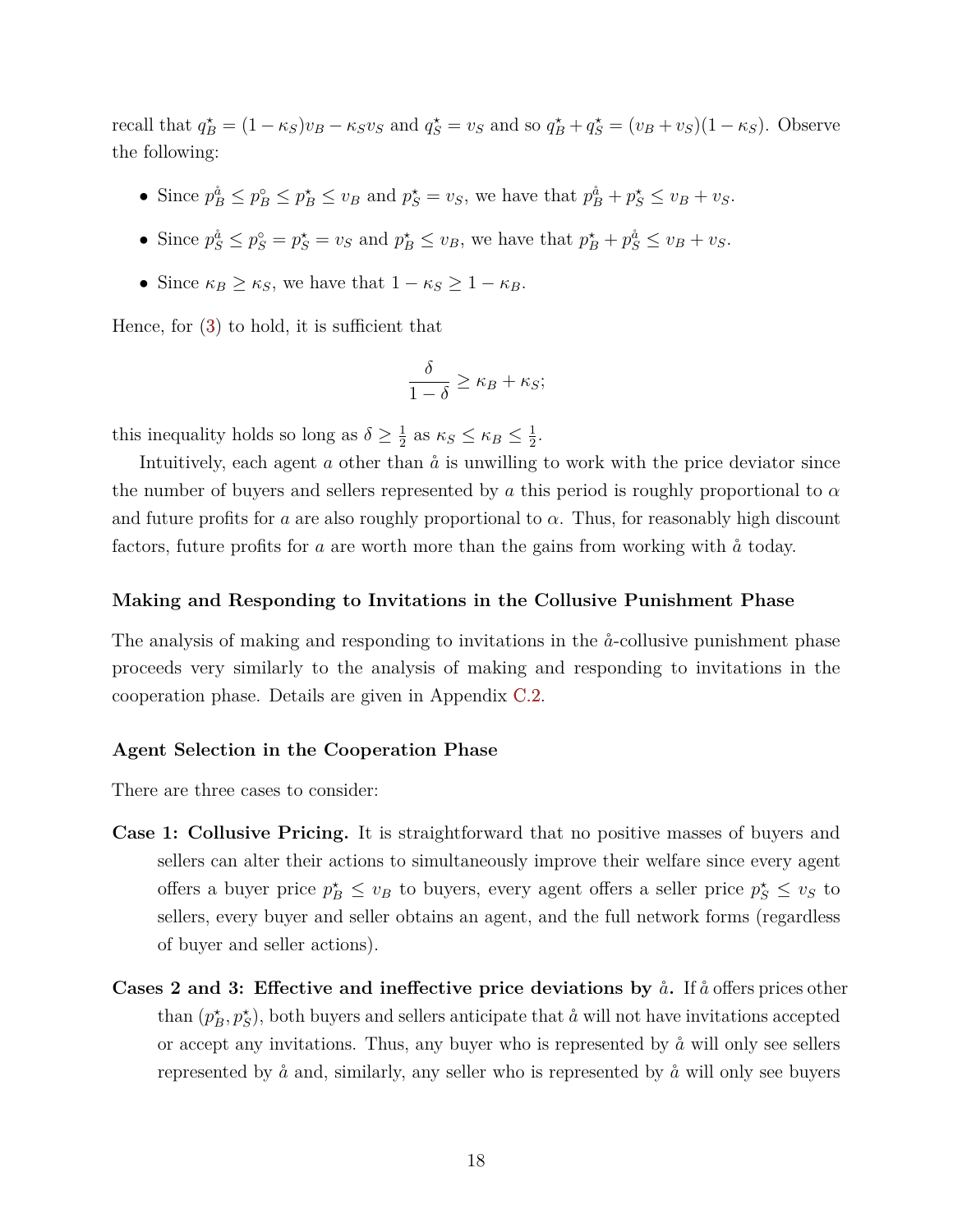recall that  $q_B^* = (1 - \kappa_S)v_B - \kappa_S v_S$  and  $q_S^* = v_S$  and so  $q_B^* + q_S^* = (v_B + v_S)(1 - \kappa_S)$ . Observe the following:

- Since  $p_B^{\hat{a}} \leq p_B^{\circ} \leq p_B^{\star} \leq v_B$  and  $p_S^{\star} = v_S$ , we have that  $p_B^{\hat{a}} + p_S^{\star} \leq v_B + v_S$ .
- Since  $p_S^{\dot a} \le p_S^{\circ} = p_S^{\star} = v_S$  and  $p_B^{\star} \le v_B$ , we have that  $p_B^{\star} + p_S^{\dot a} \le v_B + v_S$ .
- Since  $\kappa_B \geq \kappa_S$ , we have that  $1 \kappa_S \geq 1 \kappa_B$ .

Hence, for [\(3\)](#page-18-2) to hold, it is sufficient that

$$
\frac{\delta}{1-\delta} \ge \kappa_B + \kappa_S;
$$

this inequality holds so long as  $\delta \geq \frac{1}{2}$  $\frac{1}{2}$  as  $\kappa_S \leq \kappa_B \leq \frac{1}{2}$  $\frac{1}{2}$ .

Intuitively, each agent  $a$  other than  $\aa$  is unwilling to work with the price deviator since the number of buyers and sellers represented by *a* this period is roughly proportional to *α* and future profits for *a* are also roughly proportional to  $\alpha$ . Thus, for reasonably high discount factors, future profits for *a* are worth more than the gains from working with  $\hat{a}$  today.

#### **Making and Responding to Invitations in the Collusive Punishment Phase**

The analysis of making and responding to invitations in the  $\aa$ -collusive punishment phase proceeds very similarly to the analysis of making and responding to invitations in the cooperation phase. Details are given in Appendix [C.2.](#page-45-0)

#### **Agent Selection in the Cooperation Phase**

There are three cases to consider:

- **Case 1: Collusive Pricing.** It is straightforward that no positive masses of buyers and sellers can alter their actions to simultaneously improve their welfare since every agent offers a buyer price  $p_B^* \leq v_B$  to buyers, every agent offers a seller price  $p_S^* \leq v_S$  to sellers, every buyer and seller obtains an agent, and the full network forms (regardless of buyer and seller actions).
- **Cases 2 and 3: Effective and ineffective price deviations by**  $\aa$ **.** If  $\aa$  offers prices other than  $(p_B^*, p_S^*)$ , both buyers and sellers anticipate that  $\aa$  will not have invitations accepted or accept any invitations. Thus, any buyer who is represented by  $\hat{a}$  will only see sellers represented by  $\aa$  and, similarly, any seller who is represented by  $\aa$  will only see buyers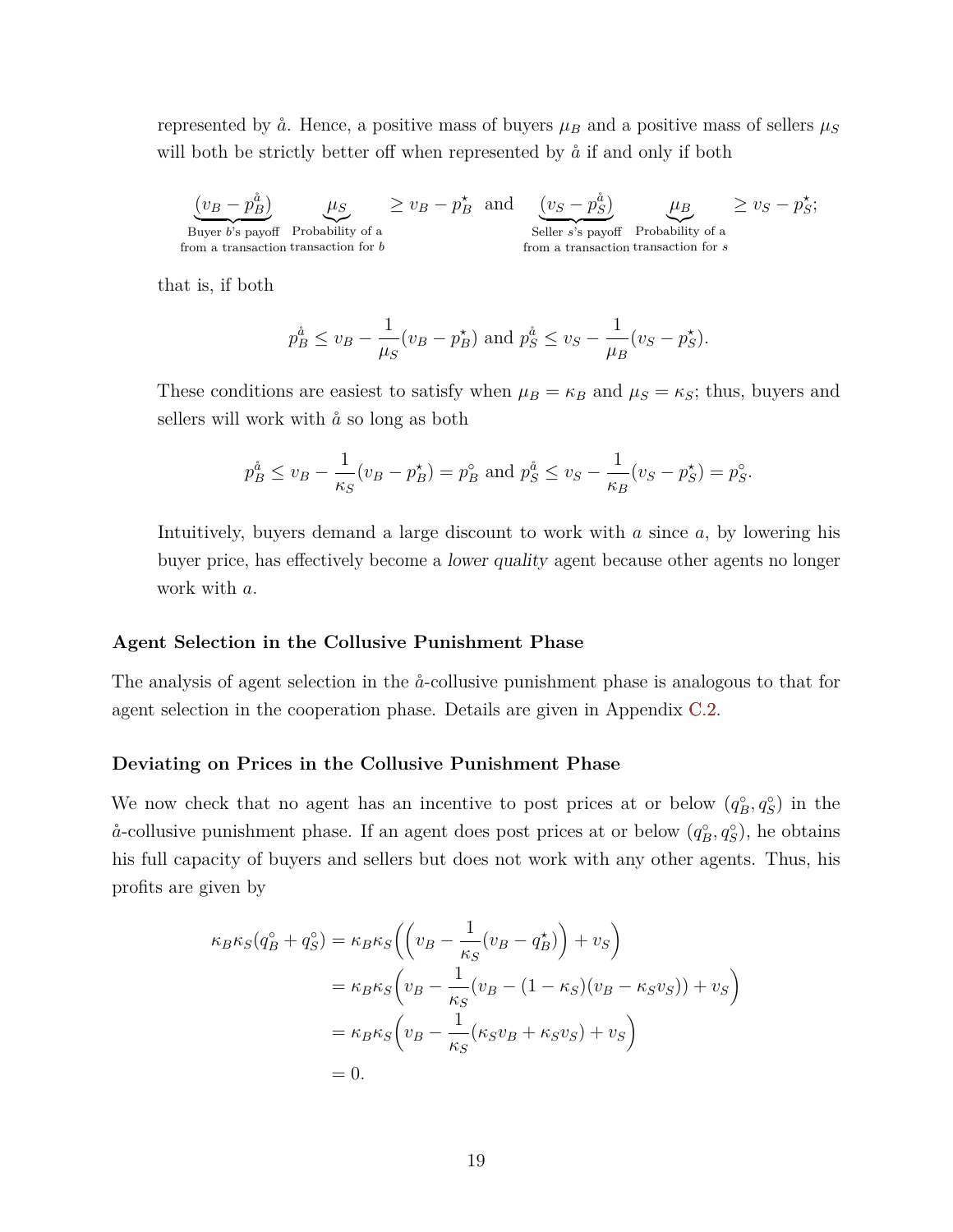represented by  $\aa$ . Hence, a positive mass of buyers  $\mu_B$  and a positive mass of sellers  $\mu_S$ will both be strictly better off when represented by  $\hat{a}$  if and only if both

 $(v_B - p_B^{\aa})$ Buyer *b*'s payoff from a transaction transaction for *b*  $\mu_S$ Probability of a  $\geq v_B - p_B^*$  and  $(v_S - p_S^{\hat{a}})$ Seller *s*'s payoff from a transaction  $\mu_B$ Probability of a transaction for *s*  $\geq v_S - p_S^*;$ 

that is, if both

$$
p_B^{\hat{a}} \le v_B - \frac{1}{\mu_S}(v_B - p_B^*)
$$
 and  $p_S^{\hat{a}} \le v_S - \frac{1}{\mu_B}(v_S - p_S^*)$ .

These conditions are easiest to satisfy when  $\mu_B = \kappa_B$  and  $\mu_S = \kappa_S$ ; thus, buyers and sellers will work with  $\aa$  so long as both

$$
p_B^{\hat{a}} \le v_B - \frac{1}{\kappa_S}(v_B - p_B^{\star}) = p_B^{\circ}
$$
 and  $p_S^{\hat{a}} \le v_S - \frac{1}{\kappa_B}(v_S - p_S^{\star}) = p_S^{\circ}$ .

Intuitively, buyers demand a large discount to work with *a* since *a*, by lowering his buyer price, has effectively become a lower quality agent because other agents no longer work with *a*.

#### **Agent Selection in the Collusive Punishment Phase**

The analysis of agent selection in the  $\aa$ -collusive punishment phase is analogous to that for agent selection in the cooperation phase. Details are given in Appendix [C.2.](#page-45-0)

#### **Deviating on Prices in the Collusive Punishment Phase**

We now check that no agent has an incentive to post prices at or below  $(q_B^{\circ}, q_S^{\circ})$  in the  $\aa$ -collusive punishment phase. If an agent does post prices at or below  $(q_B^{\circ}, q_S^{\circ})$ , he obtains his full capacity of buyers and sellers but does not work with any other agents. Thus, his profits are given by

$$
\kappa_B \kappa_S (q_B^{\circ} + q_S^{\circ}) = \kappa_B \kappa_S \left( \left( v_B - \frac{1}{\kappa_S} (v_B - q_B^{\star}) \right) + v_S \right)
$$
  
=  $\kappa_B \kappa_S \left( v_B - \frac{1}{\kappa_S} (v_B - (1 - \kappa_S)(v_B - \kappa_S v_S)) + v_S \right)$   
=  $\kappa_B \kappa_S \left( v_B - \frac{1}{\kappa_S} (\kappa_S v_B + \kappa_S v_S) + v_S \right)$   
= 0.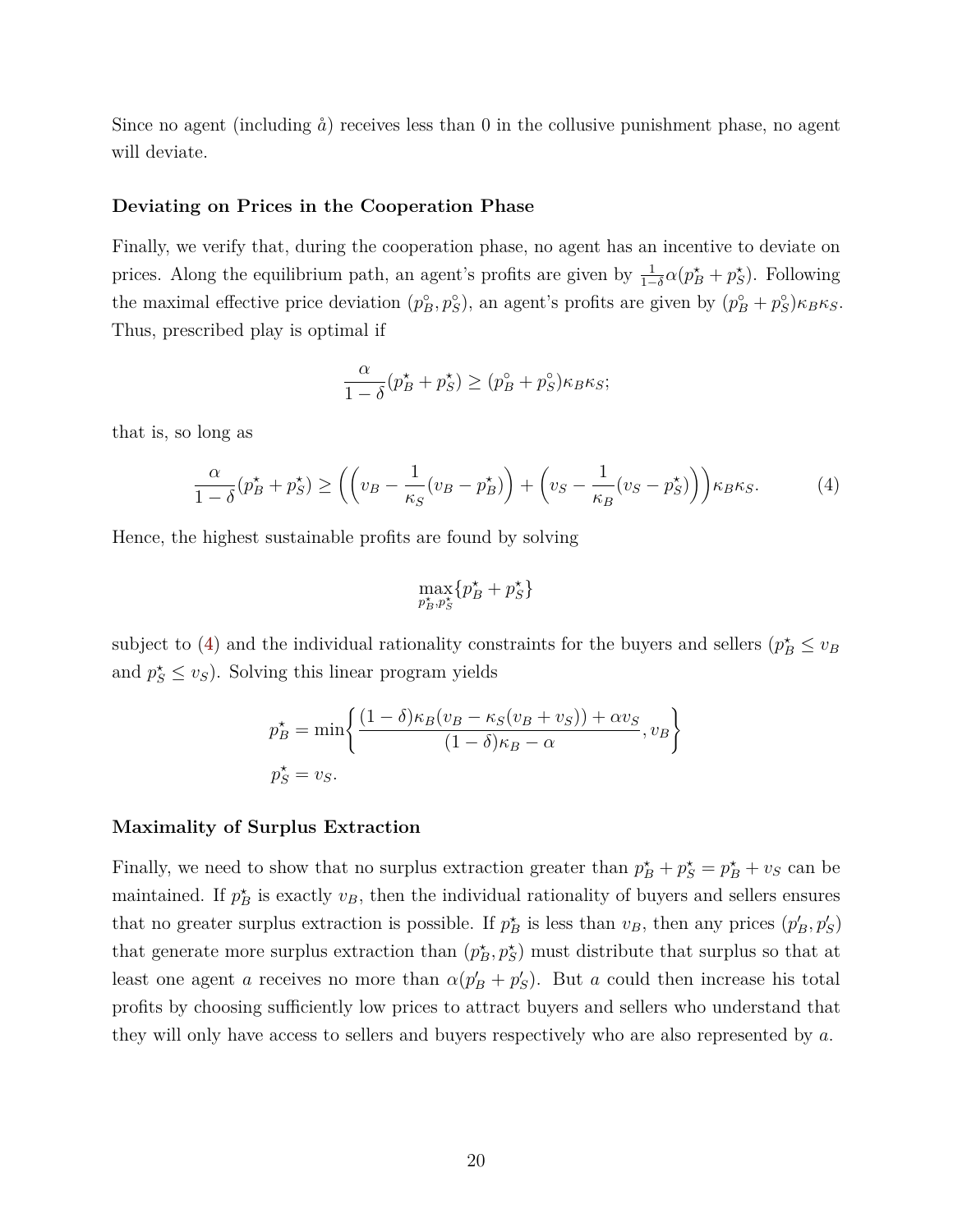Since no agent (including  $\aa$ ) receives less than 0 in the collusive punishment phase, no agent will deviate.

#### **Deviating on Prices in the Cooperation Phase**

Finally, we verify that, during the cooperation phase, no agent has an incentive to deviate on prices. Along the equilibrium path, an agent's profits are given by  $\frac{1}{1-\delta}\alpha(p_B^* + p_S^*)$ . Following the maximal effective price deviation  $(p_B^{\circ}, p_S^{\circ})$ , an agent's profits are given by  $(p_B^{\circ} + p_S^{\circ})\kappa_B\kappa_S$ . Thus, prescribed play is optimal if

$$
\frac{\alpha}{1-\delta}(p_B^\star+p_S^\star) \ge (p_B^\circ+p_S^\circ)\kappa_B\kappa_S;
$$

that is, so long as

$$
\frac{\alpha}{1-\delta}(p_B^\star + p_S^\star) \ge \left( \left( v_B - \frac{1}{\kappa_S}(v_B - p_B^\star) \right) + \left( v_S - \frac{1}{\kappa_B}(v_S - p_S^\star) \right) \right) \kappa_B \kappa_S. \tag{4}
$$

Hence, the highest sustainable profits are found by solving

<span id="page-21-0"></span>
$$
\max_{p_B^\star,p_S^\star}\{p_B^\star+p_S^\star\}
$$

subject to [\(4\)](#page-21-0) and the individual rationality constraints for the buyers and sellers  $(p_B^* \leq v_B)$ and  $p_S^* \leq v_S$ ). Solving this linear program yields

$$
p_B^* = \min\left\{\frac{(1-\delta)\kappa_B(v_B - \kappa_S(v_B + v_S)) + \alpha v_S}{(1-\delta)\kappa_B - \alpha}, v_B\right\}
$$

$$
p_S^* = v_S.
$$

#### **Maximality of Surplus Extraction**

Finally, we need to show that no surplus extraction greater than  $p_B^* + p_S^* = p_B^* + v_S$  can be maintained. If  $p_B^*$  is exactly  $v_B$ , then the individual rationality of buyers and sellers ensures that no greater surplus extraction is possible. If  $p_B^*$  is less than  $v_B$ , then any prices  $(p'_B, p'_S)$ that generate more surplus extraction than  $(p_B^*, p_S^*)$  must distribute that surplus so that at least one agent *a* receives no more than  $\alpha(p'_B + p'_S)$ . But *a* could then increase his total profits by choosing sufficiently low prices to attract buyers and sellers who understand that they will only have access to sellers and buyers respectively who are also represented by *a*.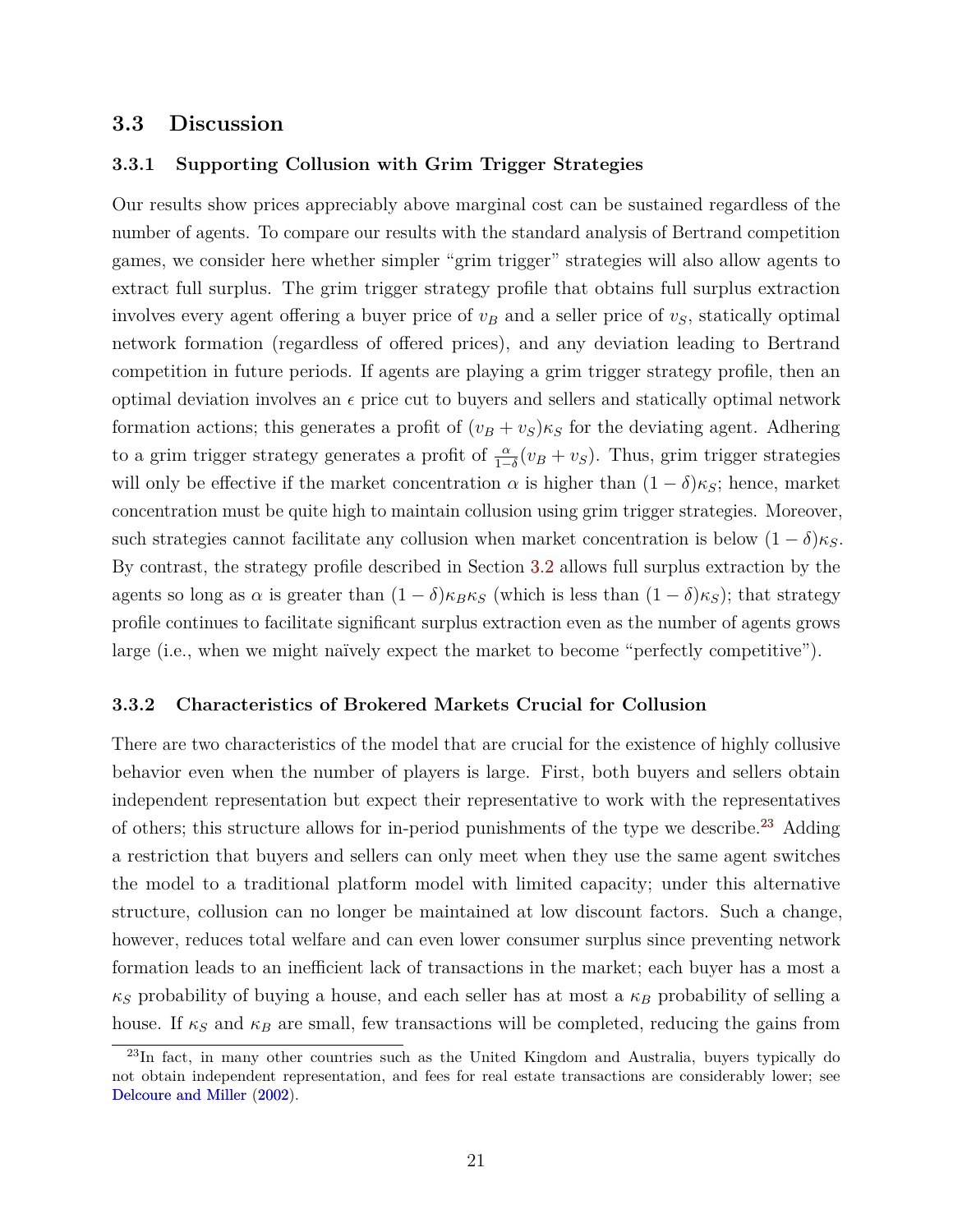## <span id="page-22-1"></span>**3.3 Discussion**

## **3.3.1 Supporting Collusion with Grim Trigger Strategies**

Our results show prices appreciably above marginal cost can be sustained regardless of the number of agents. To compare our results with the standard analysis of Bertrand competition games, we consider here whether simpler "grim trigger" strategies will also allow agents to extract full surplus. The grim trigger strategy profile that obtains full surplus extraction involves every agent offering a buyer price of  $v_B$  and a seller price of  $v_S$ , statically optimal network formation (regardless of offered prices), and any deviation leading to Bertrand competition in future periods. If agents are playing a grim trigger strategy profile, then an optimal deviation involves an  $\epsilon$  price cut to buyers and sellers and statically optimal network formation actions; this generates a profit of  $(v_B + v_S)\kappa_S$  for the deviating agent. Adhering to a grim trigger strategy generates a profit of  $\frac{\alpha}{1-\delta}(v_B + v_S)$ . Thus, grim trigger strategies will only be effective if the market concentration  $\alpha$  is higher than  $(1 - \delta)\kappa_S$ ; hence, market concentration must be quite high to maintain collusion using grim trigger strategies. Moreover, such strategies cannot facilitate any collusion when market concentration is below  $(1 - \delta)\kappa_S$ . By contrast, the strategy profile described in Section [3.2](#page-13-1) allows full surplus extraction by the agents so long as  $\alpha$  is greater than  $(1 - \delta)\kappa_B\kappa_S$  (which is less than  $(1 - \delta)\kappa_S$ ); that strategy profile continues to facilitate significant surplus extraction even as the number of agents grows large (i.e., when we might naïvely expect the market to become "perfectly competitive").

## **3.3.2 Characteristics of Brokered Markets Crucial for Collusion**

There are two characteristics of the model that are crucial for the existence of highly collusive behavior even when the number of players is large. First, both buyers and sellers obtain independent representation but expect their representative to work with the representatives of others; this structure allows for in-period punishments of the type we describe.<sup>[23](#page-22-0)</sup> Adding a restriction that buyers and sellers can only meet when they use the same agent switches the model to a traditional platform model with limited capacity; under this alternative structure, collusion can no longer be maintained at low discount factors. Such a change, however, reduces total welfare and can even lower consumer surplus since preventing network formation leads to an inefficient lack of transactions in the market; each buyer has a most a  $\kappa_S$  probability of buying a house, and each seller has at most a  $\kappa_B$  probability of selling a house. If  $\kappa_S$  and  $\kappa_B$  are small, few transactions will be completed, reducing the gains from

<span id="page-22-0"></span><sup>&</sup>lt;sup>23</sup>In fact, in many other countries such as the United Kingdom and Australia, buyers typically do not obtain independent representation, and fees for real estate transactions are considerably lower; see [Delcoure and Miller](#page-39-0) [\(2002\)](#page-39-0).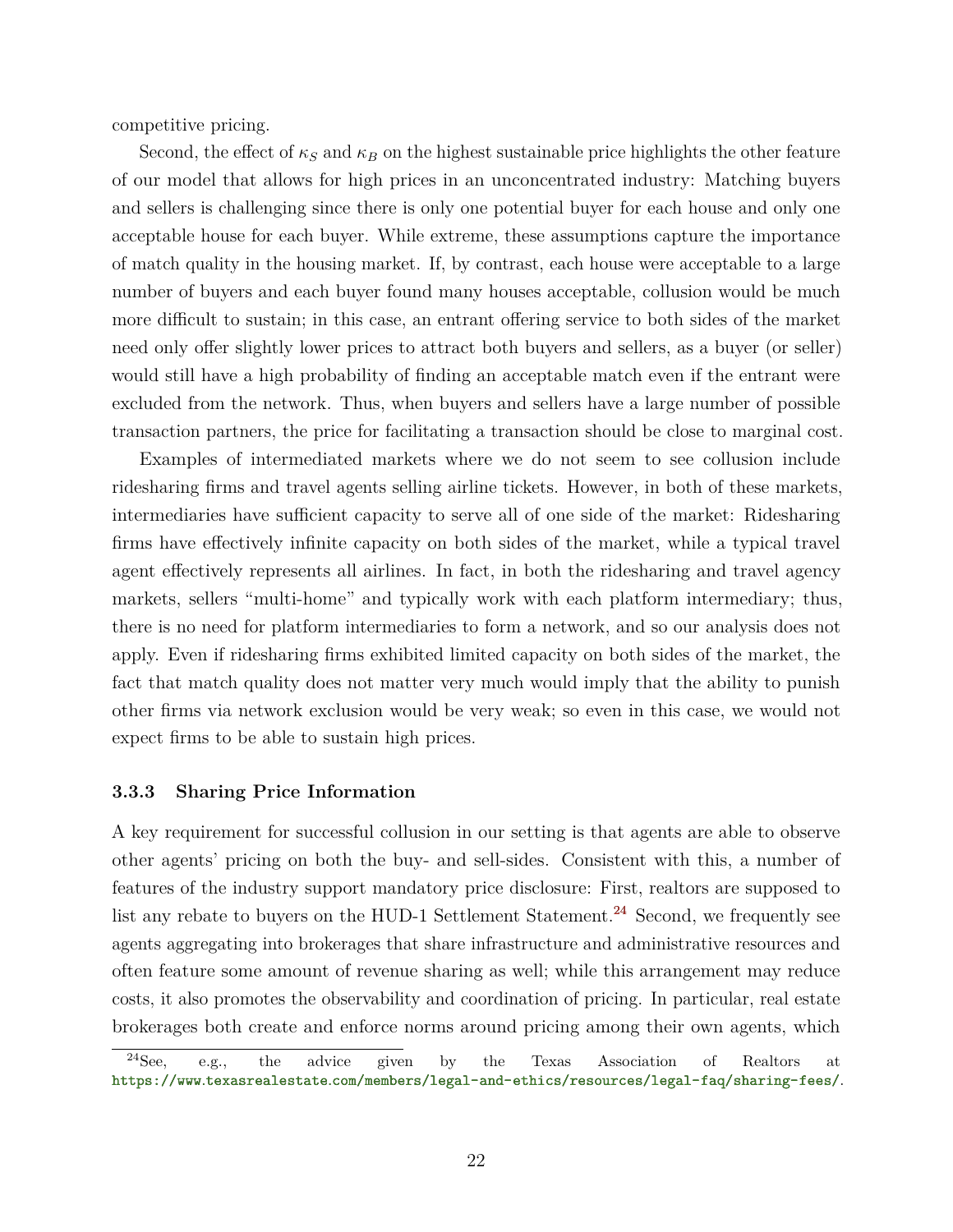competitive pricing.

Second, the effect of  $\kappa_S$  and  $\kappa_B$  on the highest sustainable price highlights the other feature of our model that allows for high prices in an unconcentrated industry: Matching buyers and sellers is challenging since there is only one potential buyer for each house and only one acceptable house for each buyer. While extreme, these assumptions capture the importance of match quality in the housing market. If, by contrast, each house were acceptable to a large number of buyers and each buyer found many houses acceptable, collusion would be much more difficult to sustain; in this case, an entrant offering service to both sides of the market need only offer slightly lower prices to attract both buyers and sellers, as a buyer (or seller) would still have a high probability of finding an acceptable match even if the entrant were excluded from the network. Thus, when buyers and sellers have a large number of possible transaction partners, the price for facilitating a transaction should be close to marginal cost.

Examples of intermediated markets where we do not seem to see collusion include ridesharing firms and travel agents selling airline tickets. However, in both of these markets, intermediaries have sufficient capacity to serve all of one side of the market: Ridesharing firms have effectively infinite capacity on both sides of the market, while a typical travel agent effectively represents all airlines. In fact, in both the ridesharing and travel agency markets, sellers "multi-home" and typically work with each platform intermediary; thus, there is no need for platform intermediaries to form a network, and so our analysis does not apply. Even if ridesharing firms exhibited limited capacity on both sides of the market, the fact that match quality does not matter very much would imply that the ability to punish other firms via network exclusion would be very weak; so even in this case, we would not expect firms to be able to sustain high prices.

## **3.3.3 Sharing Price Information**

A key requirement for successful collusion in our setting is that agents are able to observe other agents' pricing on both the buy- and sell-sides. Consistent with this, a number of features of the industry support mandatory price disclosure: First, realtors are supposed to list any rebate to buyers on the HUD-1 Settlement Statement.<sup>[24](#page-23-0)</sup> Second, we frequently see agents aggregating into brokerages that share infrastructure and administrative resources and often feature some amount of revenue sharing as well; while this arrangement may reduce costs, it also promotes the observability and coordination of pricing. In particular, real estate brokerages both create and enforce norms around pricing among their own agents, which

<span id="page-23-0"></span> $24$ See, e.g., the advice given by the Texas Association of Realtors at https://www*.*texasrealestate*.*[com/members/legal-and-ethics/resources/legal-faq/sharing-fees/](https://www.texasrealestate.com/members/legal-and-ethics/resources/legal-faq/sharing-fees/).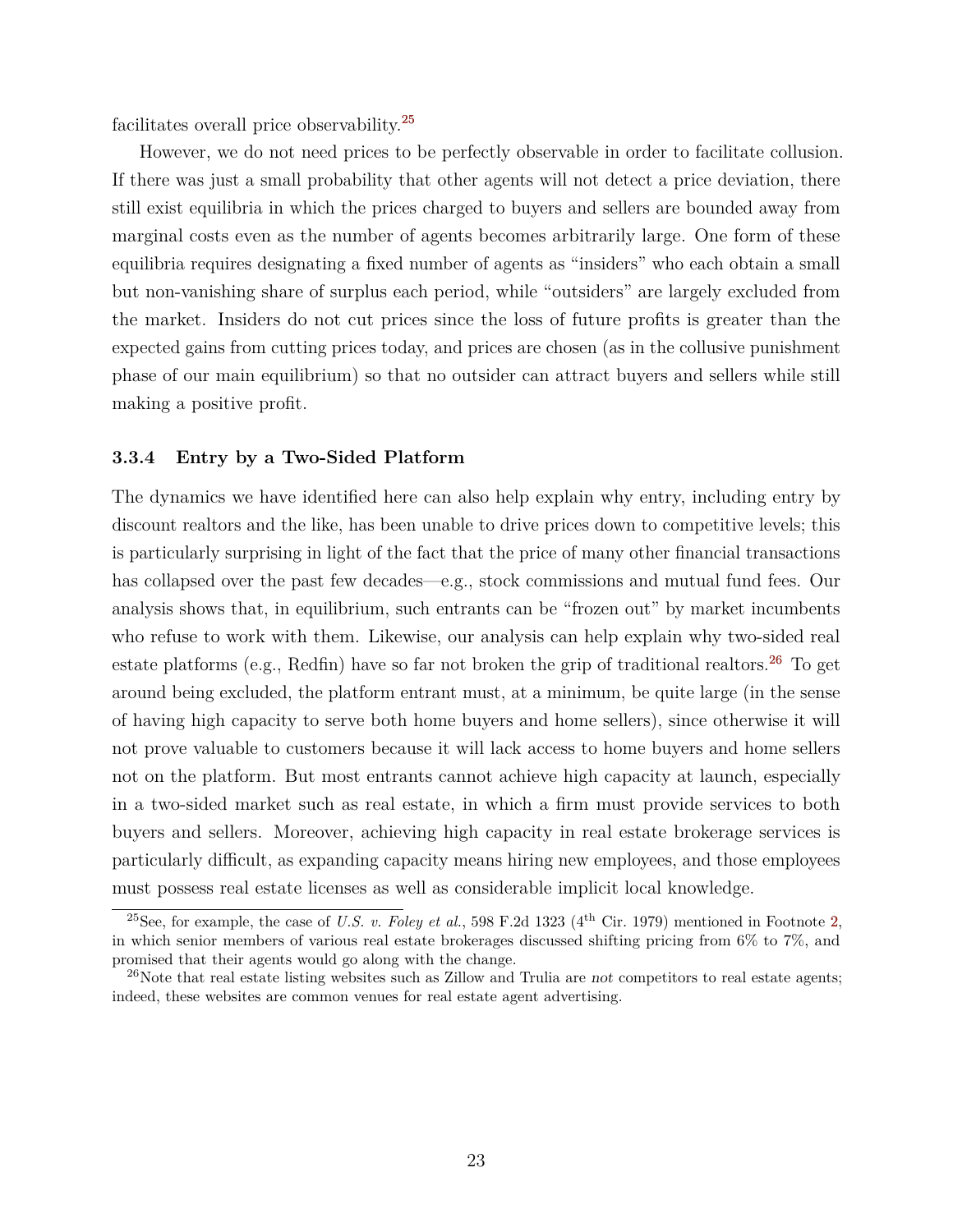facilitates overall price observability.[25](#page-24-0)

However, we do not need prices to be perfectly observable in order to facilitate collusion. If there was just a small probability that other agents will not detect a price deviation, there still exist equilibria in which the prices charged to buyers and sellers are bounded away from marginal costs even as the number of agents becomes arbitrarily large. One form of these equilibria requires designating a fixed number of agents as "insiders" who each obtain a small but non-vanishing share of surplus each period, while "outsiders" are largely excluded from the market. Insiders do not cut prices since the loss of future profits is greater than the expected gains from cutting prices today, and prices are chosen (as in the collusive punishment phase of our main equilibrium) so that no outsider can attract buyers and sellers while still making a positive profit.

## **3.3.4 Entry by a Two-Sided Platform**

The dynamics we have identified here can also help explain why entry, including entry by discount realtors and the like, has been unable to drive prices down to competitive levels; this is particularly surprising in light of the fact that the price of many other financial transactions has collapsed over the past few decades—e.g., stock commissions and mutual fund fees. Our analysis shows that, in equilibrium, such entrants can be "frozen out" by market incumbents who refuse to work with them. Likewise, our analysis can help explain why two-sided real estate platforms (e.g., Redfin) have so far not broken the grip of traditional realtors.<sup>[26](#page-24-1)</sup> To get around being excluded, the platform entrant must, at a minimum, be quite large (in the sense of having high capacity to serve both home buyers and home sellers), since otherwise it will not prove valuable to customers because it will lack access to home buyers and home sellers not on the platform. But most entrants cannot achieve high capacity at launch, especially in a two-sided market such as real estate, in which a firm must provide services to both buyers and sellers. Moreover, achieving high capacity in real estate brokerage services is particularly difficult, as expanding capacity means hiring new employees, and those employees must possess real estate licenses as well as considerable implicit local knowledge.

<span id="page-24-0"></span><sup>&</sup>lt;sup>25</sup>See, for example, the case of *U.S. v. Foley et al.*, 598 F.2d 1323 ( $4<sup>th</sup>$  Cir. 1979) mentioned in Footnote [2,](#page-3-1) in which senior members of various real estate brokerages discussed shifting pricing from 6% to 7%, and promised that their agents would go along with the change.

<span id="page-24-1"></span> $^{26}$ Note that real estate listing websites such as Zillow and Trulia are not competitors to real estate agents; indeed, these websites are common venues for real estate agent advertising.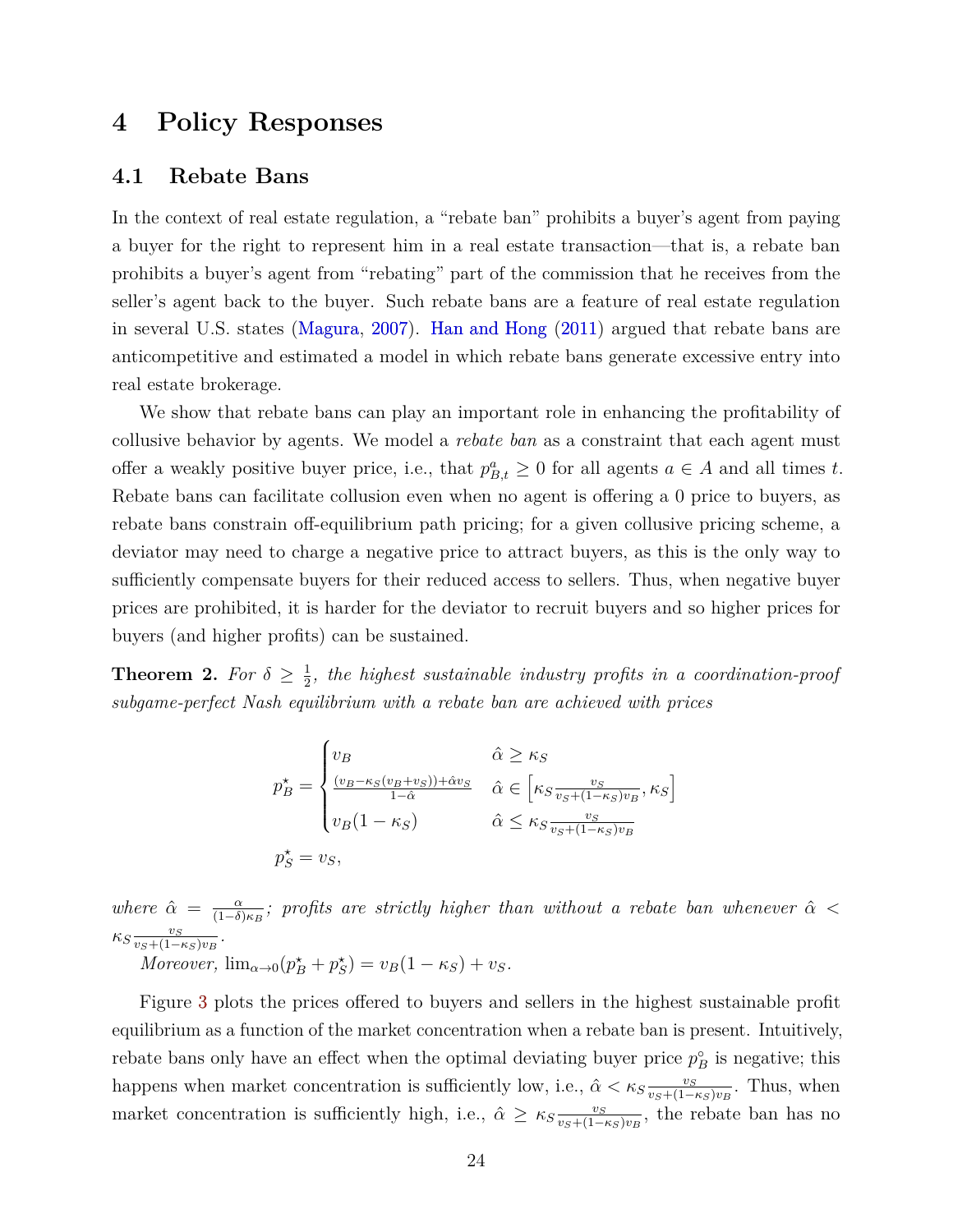# <span id="page-25-2"></span><span id="page-25-0"></span>**4 Policy Responses**

## <span id="page-25-1"></span>**4.1 Rebate Bans**

In the context of real estate regulation, a "rebate ban" prohibits a buyer's agent from paying a buyer for the right to represent him in a real estate transaction—that is, a rebate ban prohibits a buyer's agent from "rebating" part of the commission that he receives from the seller's agent back to the buyer. Such rebate bans are a feature of real estate regulation in several U.S. states [\(Magura,](#page-40-5) [2007\)](#page-40-5). [Han and Hong](#page-39-4) [\(2011\)](#page-39-4) argued that rebate bans are anticompetitive and estimated a model in which rebate bans generate excessive entry into real estate brokerage.

We show that rebate bans can play an important role in enhancing the profitability of collusive behavior by agents. We model a *rebate ban* as a constraint that each agent must offer a weakly positive buyer price, i.e., that  $p_{B,t}^a \geq 0$  for all agents  $a \in A$  and all times t. Rebate bans can facilitate collusion even when no agent is offering a 0 price to buyers, as rebate bans constrain off-equilibrium path pricing; for a given collusive pricing scheme, a deviator may need to charge a negative price to attract buyers, as this is the only way to sufficiently compensate buyers for their reduced access to sellers. Thus, when negative buyer prices are prohibited, it is harder for the deviator to recruit buyers and so higher prices for buyers (and higher profits) can be sustained.

<span id="page-25-3"></span>**Theorem 2.** For  $\delta \geq \frac{1}{2}$  $\frac{1}{2}$ , the highest sustainable industry profits in a coordination-proof *subgame-perfect Nash equilibrium with a rebate ban are achieved with prices*

$$
p_{B}^{\star} = \begin{cases} v_{B} & \hat{\alpha} \geq \kappa_{S} \\ \frac{(v_{B} - \kappa_{S}(v_{B} + v_{S})) + \hat{\alpha}v_{S}}{1 - \hat{\alpha}} & \hat{\alpha} \in \left[ \kappa_{S} \frac{v_{S}}{v_{S} + (1 - \kappa_{S})v_{B}}, \kappa_{S} \right] \\ v_{B} (1 - \kappa_{S}) & \hat{\alpha} \leq \kappa_{S} \frac{v_{S}}{v_{S} + (1 - \kappa_{S})v_{B}} \end{cases}
$$

$$
p_{S}^{\star} = v_{S},
$$

*where*  $\hat{\alpha} = \frac{\alpha}{(1-\delta)^2}$ (1−*δ*)*κ<sup>B</sup> ; profits are strictly higher than without a rebate ban whenever α <* ˆ  $\kappa_S \frac{v_S}{v_S + (1 - \epsilon)}$  $\frac{v_S}{v_S+(1-\kappa_S)v_B}$ .

 $Moreover, \lim_{\alpha \to 0} (p_B^* + p_S^*) = v_B(1 - \kappa_S) + v_S.$ 

Figure [3](#page-26-1) plots the prices offered to buyers and sellers in the highest sustainable profit equilibrium as a function of the market concentration when a rebate ban is present. Intuitively, rebate bans only have an effect when the optimal deviating buyer price  $p_B^{\circ}$  is negative; this happens when market concentration is sufficiently low, i.e.,  $\hat{\alpha} < \kappa_S \frac{v_S}{v_S + (1 - \epsilon_S)}$  $\frac{v_S}{v_S + (1-\kappa_S)v_B}$ . Thus, when market concentration is sufficiently high, i.e.,  $\hat{\alpha} \geq \kappa_{S} \frac{v_S}{v_S + (1 - \epsilon)}$  $\frac{v_S}{v_S+(1-\kappa_S)v_B}$ , the rebate ban has no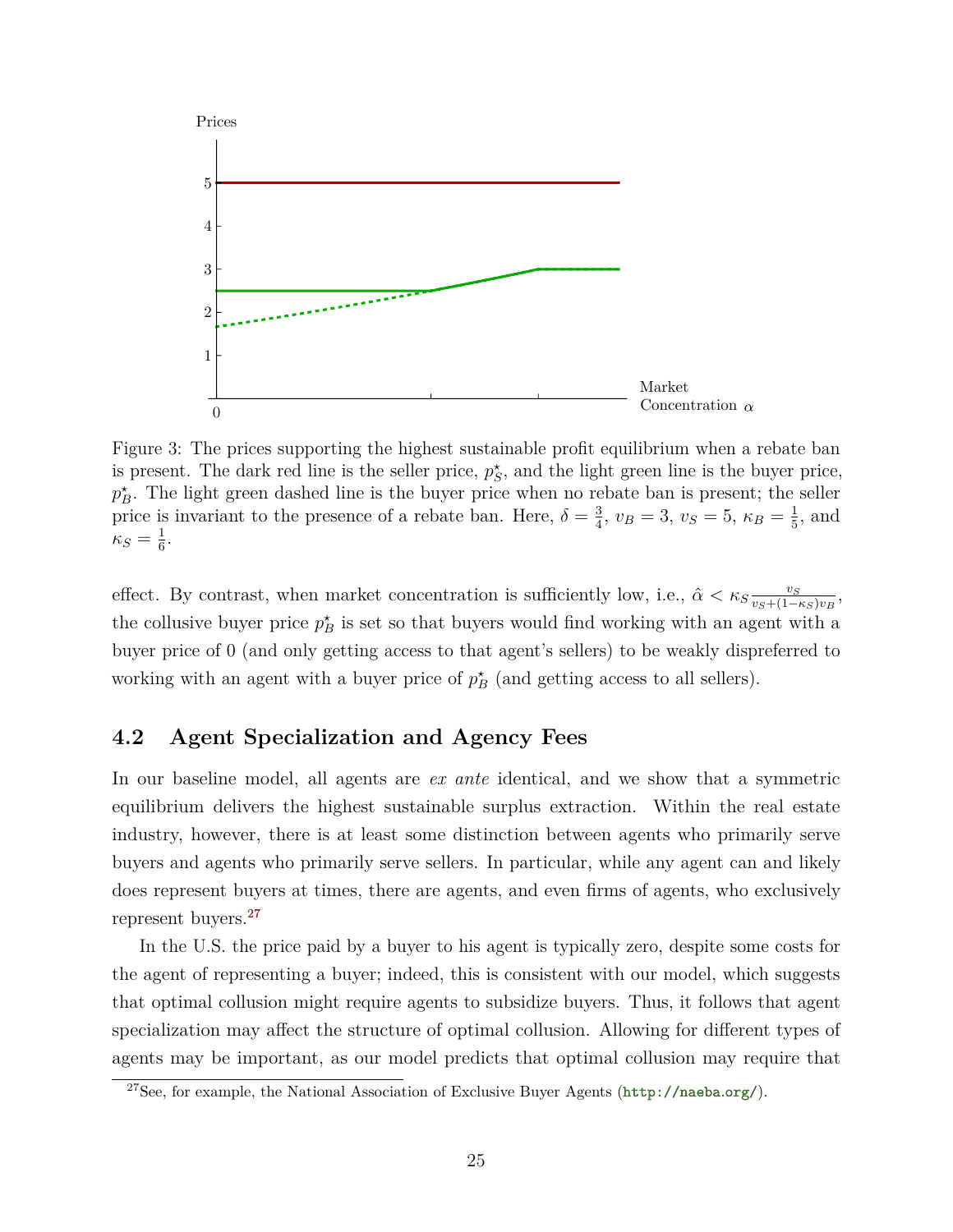<span id="page-26-1"></span>

Figure 3: The prices supporting the highest sustainable profit equilibrium when a rebate ban is present. The dark red line is the seller price,  $p_S^*$ , and the light green line is the buyer price,  $p_B^*$ . The light green dashed line is the buyer price when no rebate ban is present; the seller price is invariant to the presence of a rebate ban. Here,  $\delta = \frac{3}{4}$  $\frac{3}{4}$ ,  $v_B = 3$ ,  $v_S = 5$ ,  $\kappa_B = \frac{1}{5}$  $\frac{1}{5}$ , and  $\kappa_S = \frac{1}{6}$  $\frac{1}{6}$ .

effect. By contrast, when market concentration is sufficiently low, i.e.,  $\hat{\alpha} < \kappa_{S} \frac{v_S}{v_S + (1 - \epsilon)^2}$  $\frac{v_S}{v_S+(1-\kappa_S)v_B}$ the collusive buyer price  $p_B^*$  is set so that buyers would find working with an agent with a buyer price of 0 (and only getting access to that agent's sellers) to be weakly dispreferred to working with an agent with a buyer price of  $p^*$ <sub>B</sub> (and getting access to all sellers).

## <span id="page-26-0"></span>**4.2 Agent Specialization and Agency Fees**

In our baseline model, all agents are *ex ante* identical, and we show that a symmetric equilibrium delivers the highest sustainable surplus extraction. Within the real estate industry, however, there is at least some distinction between agents who primarily serve buyers and agents who primarily serve sellers. In particular, while any agent can and likely does represent buyers at times, there are agents, and even firms of agents, who exclusively represent buyers.[27](#page-26-2)

In the U.S. the price paid by a buyer to his agent is typically zero, despite some costs for the agent of representing a buyer; indeed, this is consistent with our model, which suggests that optimal collusion might require agents to subsidize buyers. Thus, it follows that agent specialization may affect the structure of optimal collusion. Allowing for different types of agents may be important, as our model predicts that optimal collusion may require that

<span id="page-26-2"></span><sup>27</sup>See, for example, the National Association of Exclusive Buyer Agents ([http://naeba](http://naeba.org/)*.*org/).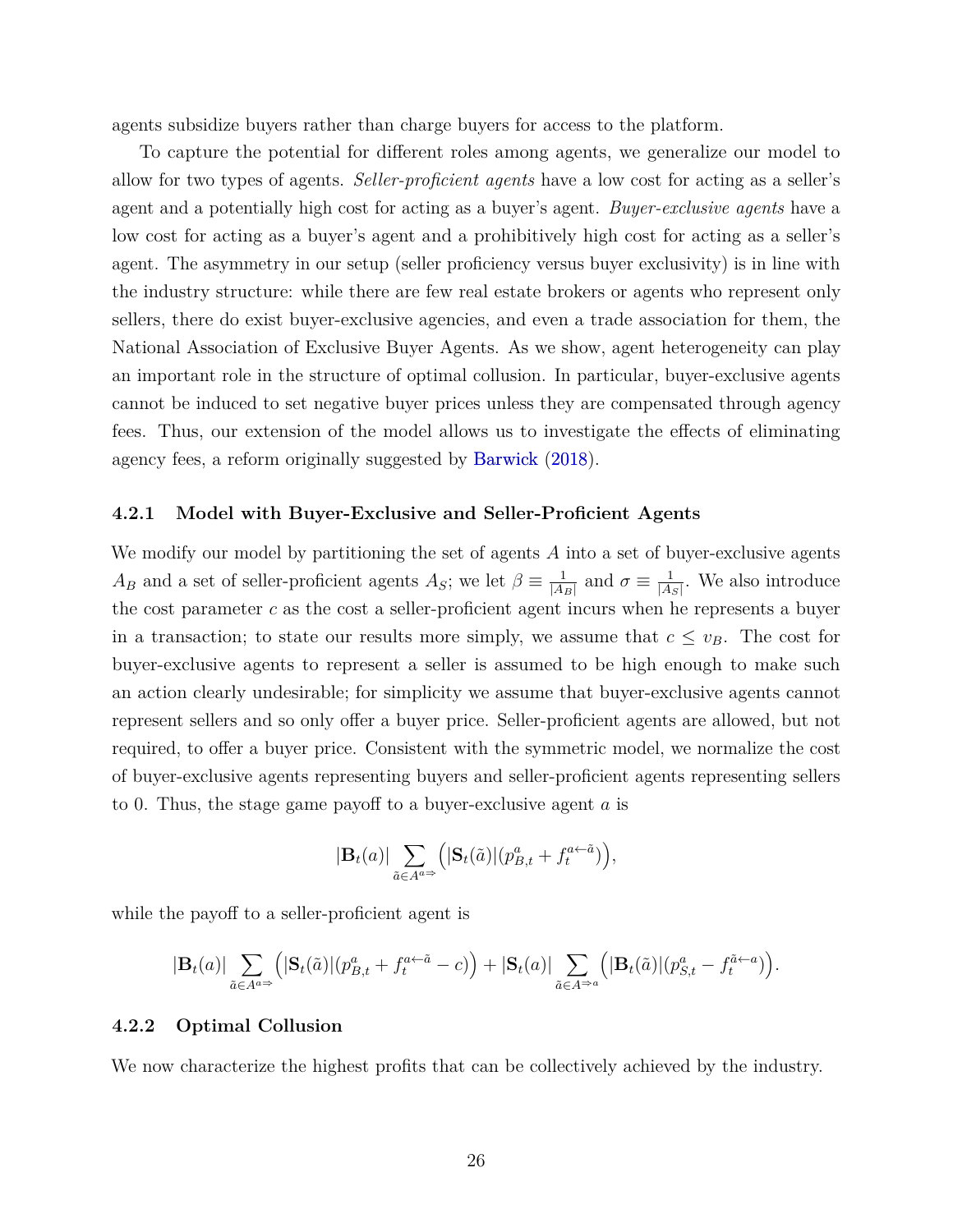<span id="page-27-1"></span>agents subsidize buyers rather than charge buyers for access to the platform.

To capture the potential for different roles among agents, we generalize our model to allow for two types of agents. *Seller-proficient agents* have a low cost for acting as a seller's agent and a potentially high cost for acting as a buyer's agent. *Buyer-exclusive agents* have a low cost for acting as a buyer's agent and a prohibitively high cost for acting as a seller's agent. The asymmetry in our setup (seller proficiency versus buyer exclusivity) is in line with the industry structure: while there are few real estate brokers or agents who represent only sellers, there do exist buyer-exclusive agencies, and even a trade association for them, the National Association of Exclusive Buyer Agents. As we show, agent heterogeneity can play an important role in the structure of optimal collusion. In particular, buyer-exclusive agents cannot be induced to set negative buyer prices unless they are compensated through agency fees. Thus, our extension of the model allows us to investigate the effects of eliminating agency fees, a reform originally suggested by [Barwick](#page-38-7) [\(2018\)](#page-38-7).

#### **4.2.1 Model with Buyer-Exclusive and Seller-Proficient Agents**

We modify our model by partitioning the set of agents *A* into a set of buyer-exclusive agents *A<sub>B</sub>* and a set of seller-proficient agents *A<sub>S</sub>*; we let  $\beta \equiv \frac{1}{|A|}$  $\frac{1}{|A_B|}$  and  $\sigma \equiv \frac{1}{|A|}$  $\frac{1}{|A_S|}$ . We also introduce the cost parameter *c* as the cost a seller-proficient agent incurs when he represents a buyer in a transaction; to state our results more simply, we assume that  $c \leq v_B$ . The cost for buyer-exclusive agents to represent a seller is assumed to be high enough to make such an action clearly undesirable; for simplicity we assume that buyer-exclusive agents cannot represent sellers and so only offer a buyer price. Seller-proficient agents are allowed, but not required, to offer a buyer price. Consistent with the symmetric model, we normalize the cost of buyer-exclusive agents representing buyers and seller-proficient agents representing sellers to 0. Thus, the stage game payoff to a buyer-exclusive agent *a* is

$$
|\mathbf{B}_{t}(a)|\sum_{\tilde{a}\in A^{a\Rightarrow}}\Big(|\mathbf{S}_{t}(\tilde{a})|(p^{a}_{B,t}+f^{a\leftarrow \tilde{a}}_{t})\Big),
$$

while the payoff to a seller-proficient agent is

$$
|\mathbf{B}_t(a)| \sum_{\tilde{a}\in A^{a\Rightarrow}} (|\mathbf{S}_t(\tilde{a})| (p_{B,t}^a + f_t^{a\leftarrow \tilde{a}} - c)) + |\mathbf{S}_t(a)| \sum_{\tilde{a}\in A^{\Rightarrow a}} (|\mathbf{B}_t(\tilde{a})| (p_{S,t}^a - f_t^{\tilde{a}\leftarrow a}))
$$

## <span id="page-27-2"></span>**4.2.2 Optimal Collusion**

<span id="page-27-0"></span>We now characterize the highest profits that can be collectively achieved by the industry.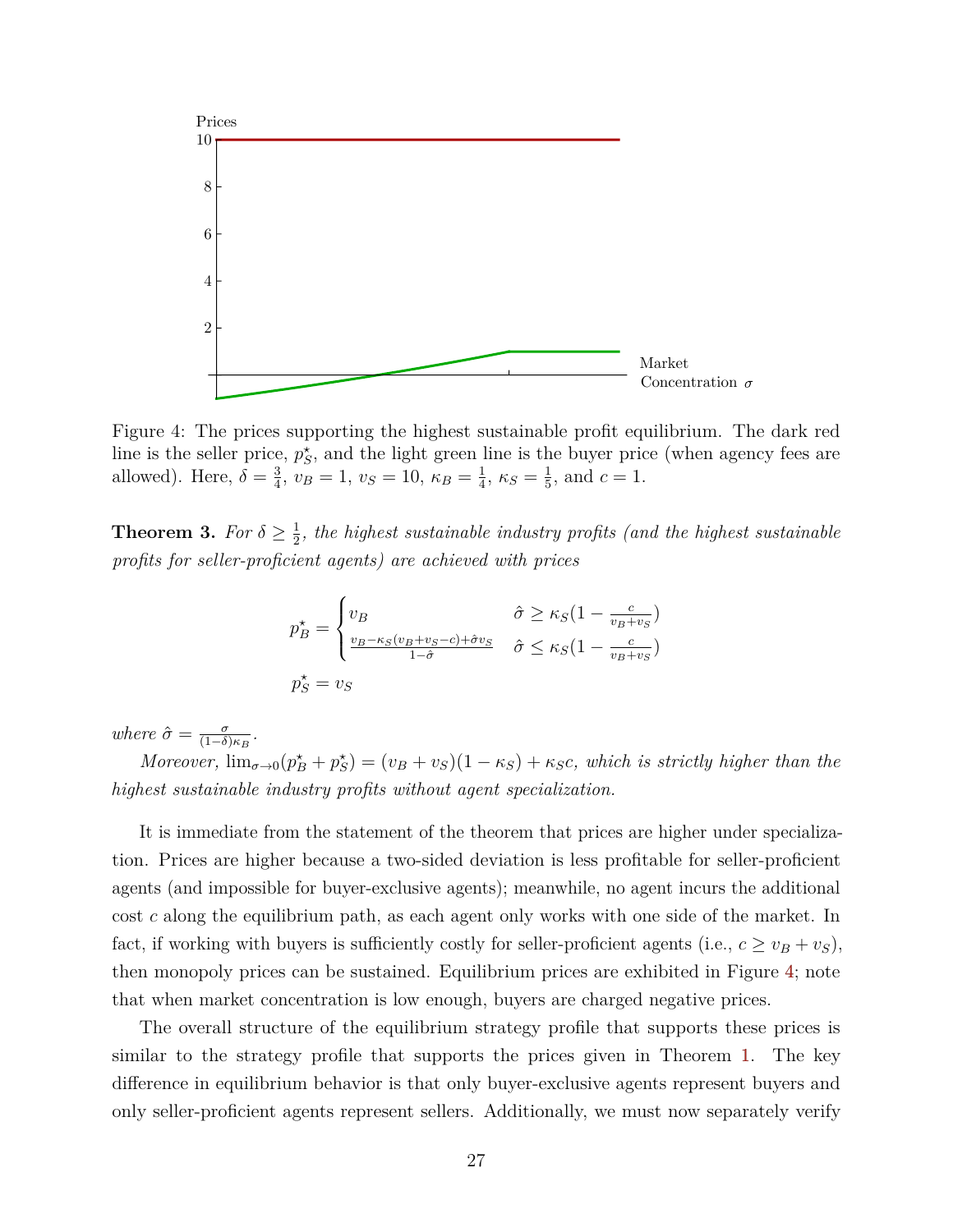<span id="page-28-0"></span>

Figure 4: The prices supporting the highest sustainable profit equilibrium. The dark red line is the seller price,  $p_S^*$ , and the light green line is the buyer price (when agency fees are allowed). Here,  $\delta = \frac{3}{4}$  $\frac{3}{4}$ ,  $v_B = 1$ ,  $v_S = 10$ ,  $\kappa_B = \frac{1}{4}$  $\frac{1}{4}$ ,  $\kappa_S = \frac{1}{5}$  $\frac{1}{5}$ , and  $c = 1$ .

**Theorem 3.** *For*  $\delta \geq \frac{1}{2}$  $\frac{1}{2}$ , the highest sustainable industry profits (and the highest sustainable *profits for seller-proficient agents) are achieved with prices*

$$
p_{B}^{\star} = \begin{cases} v_{B} & \hat{\sigma} \ge \kappa_{S} (1 - \frac{c}{v_{B} + v_{S}}) \\ \frac{v_{B} - \kappa_{S} (v_{B} + v_{S} - c) + \hat{\sigma} v_{S}}{1 - \hat{\sigma}} & \hat{\sigma} \le \kappa_{S} (1 - \frac{c}{v_{B} + v_{S}}) \\ p_{S}^{\star} = v_{S} & \end{cases}
$$

*where*  $\hat{\sigma} = \frac{\sigma}{(1-\delta)}$  $\frac{\sigma}{(1-\delta)\kappa_B}$ .

*Moreover,*  $\lim_{\sigma \to 0} (p_B^* + p_S^*) = (v_B + v_S)(1 - \kappa_S) + \kappa_S c$ , which is strictly higher than the *highest sustainable industry profits without agent specialization.*

It is immediate from the statement of the theorem that prices are higher under specialization. Prices are higher because a two-sided deviation is less profitable for seller-proficient agents (and impossible for buyer-exclusive agents); meanwhile, no agent incurs the additional cost *c* along the equilibrium path, as each agent only works with one side of the market. In fact, if working with buyers is sufficiently costly for seller-proficient agents (i.e.,  $c \ge v_B + v_S$ ), then monopoly prices can be sustained. Equilibrium prices are exhibited in Figure [4;](#page-28-0) note that when market concentration is low enough, buyers are charged negative prices.

The overall structure of the equilibrium strategy profile that supports these prices is similar to the strategy profile that supports the prices given in Theorem [1.](#page-11-1) The key difference in equilibrium behavior is that only buyer-exclusive agents represent buyers and only seller-proficient agents represent sellers. Additionally, we must now separately verify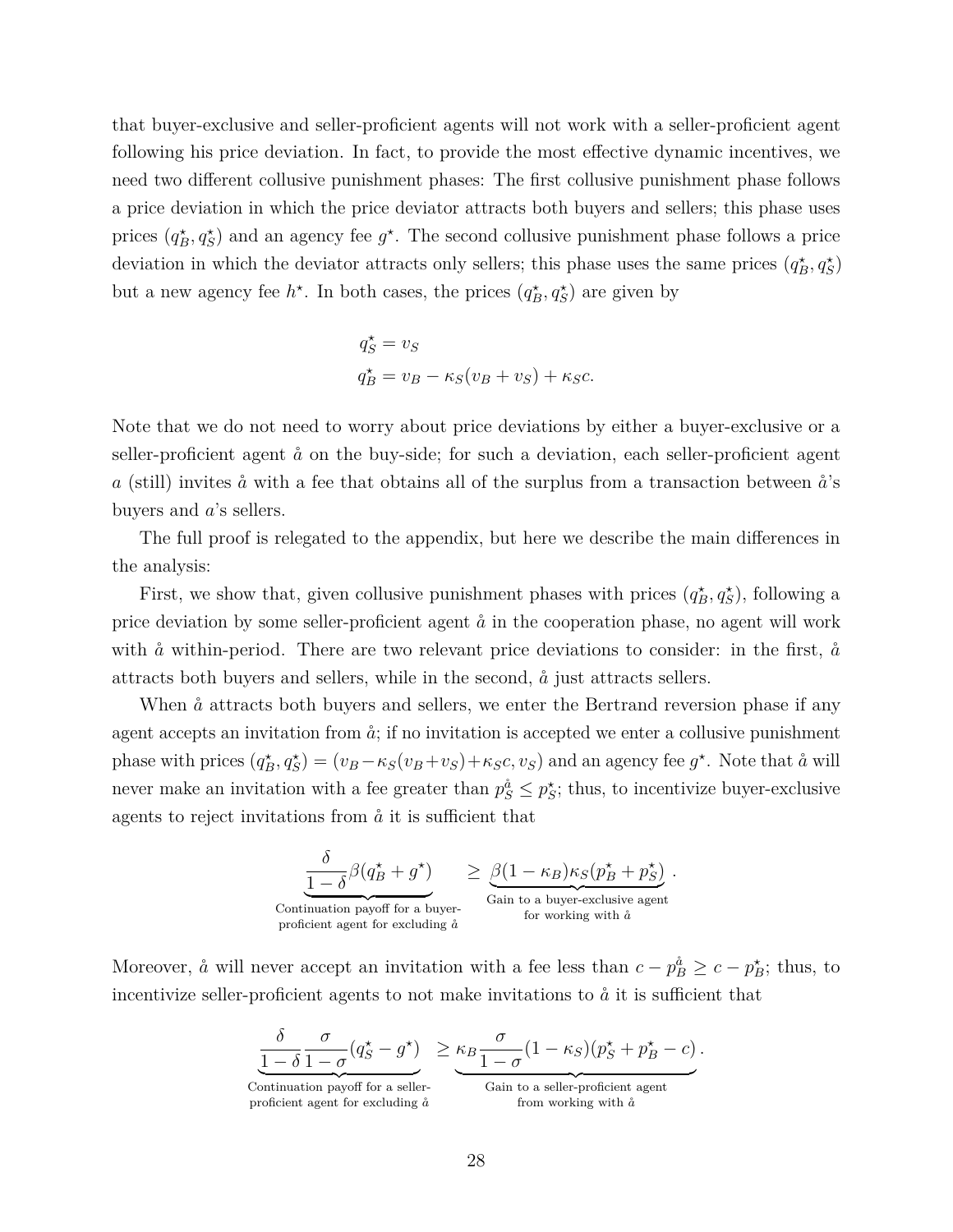that buyer-exclusive and seller-proficient agents will not work with a seller-proficient agent following his price deviation. In fact, to provide the most effective dynamic incentives, we need two different collusive punishment phases: The first collusive punishment phase follows a price deviation in which the price deviator attracts both buyers and sellers; this phase uses prices  $(q_B^*, q_S^*)$  and an agency fee  $g^*$ . The second collusive punishment phase follows a price deviation in which the deviator attracts only sellers; this phase uses the same prices  $(q_B^*, q_S^*)$ but a new agency fee  $h^*$ . In both cases, the prices  $(q_B^*, q_S^*)$  are given by

$$
q_S^* = v_S
$$
  

$$
q_B^* = v_B - \kappa_S (v_B + v_S) + \kappa_S c.
$$

Note that we do not need to worry about price deviations by either a buyer-exclusive or a seller-proficient agent  $\aa$  on the buy-side; for such a deviation, each seller-proficient agent *a* (still) invites  $\aa$  with a fee that obtains all of the surplus from a transaction between  $\aa$ 's buyers and *a*'s sellers.

The full proof is relegated to the appendix, but here we describe the main differences in the analysis:

First, we show that, given collusive punishment phases with prices  $(q_B^*, q_S^*)$ , following a price deviation by some seller-proficient agent  $\mathring{a}$  in the cooperation phase, no agent will work with  $\aa$  within-period. There are two relevant price deviations to consider: in the first,  $\aa$ attracts both buyers and sellers, while in the second,  $\hat{a}$  just attracts sellers.

When  $\ddot{a}$  attracts both buyers and sellers, we enter the Bertrand reversion phase if any agent accepts an invitation from  $\dot{a}$ ; if no invitation is accepted we enter a collusive punishment phase with prices  $(q_B^*, q_S^*) = (v_B - \kappa_S(v_B + v_S) + \kappa_S c, v_S)$  and an agency fee  $g^*$ . Note that  $\aa$  will never make an invitation with a fee greater than  $p_S^{\hat{a}} \leq p_S^*$ ; thus, to incentivize buyer-exclusive agents to reject invitations from  $\hat{a}$  it is sufficient that



Moreover,  $\aa$  will never accept an invitation with a fee less than  $c - p_B^{\aa} \geq c - p_B^*$ ; thus, to incentivize seller-proficient agents to not make invitations to  $\hat{a}$  it is sufficient that

$$
\underbrace{\frac{\delta}{1-\delta}\frac{\sigma}{1-\sigma}(q_S^\star-q^\star)}_{\text{Continuation payoff for a seller-}}\geq \underbrace{\kappa_B \frac{\sigma}{1-\sigma}(1-\kappa_S)(p_S^\star+p_B^\star-c)}_{\text{Gain to a seller-proficient agent}}.
$$

proficient agent for excluding  $\aa$ 

from working with  $\aa$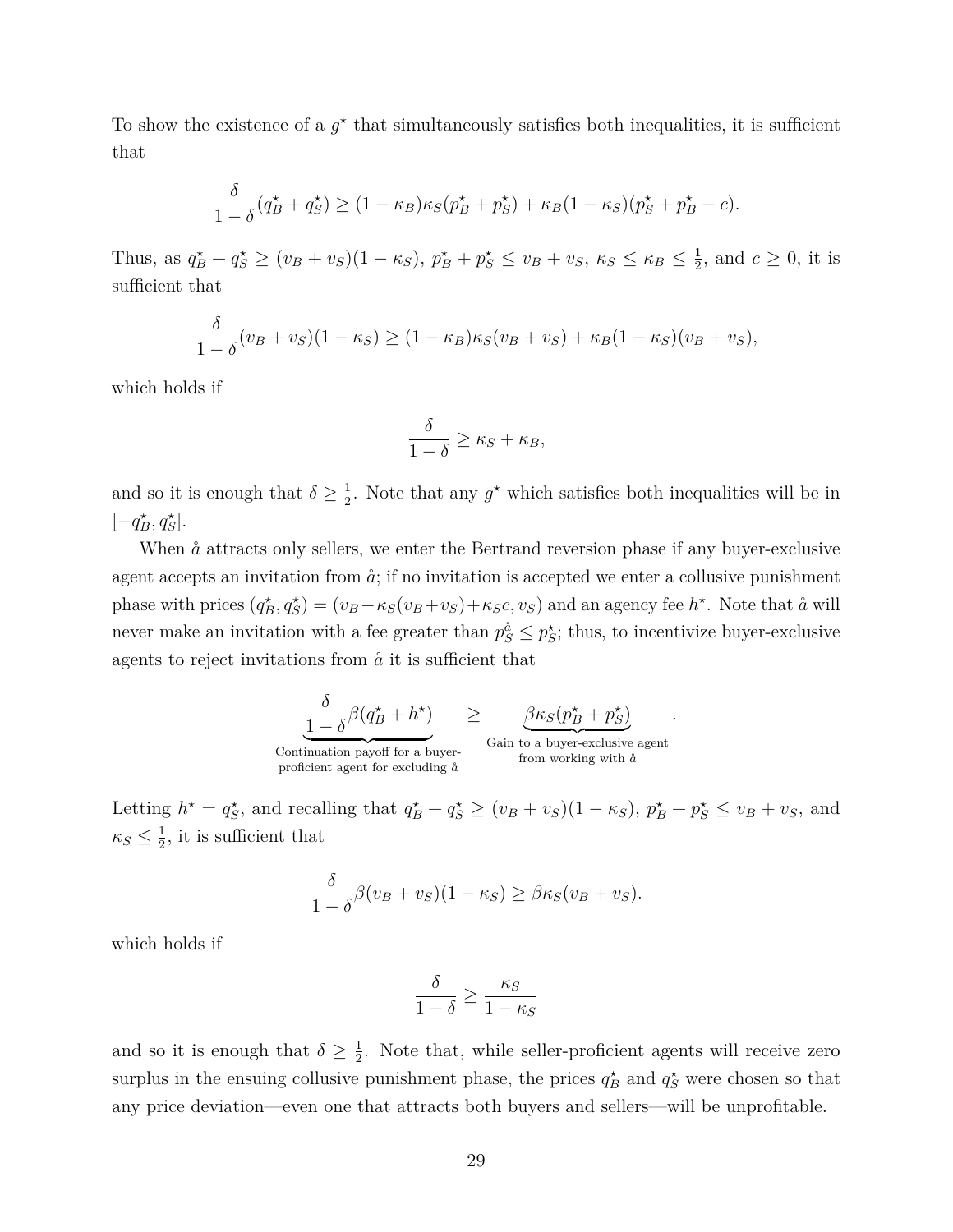To show the existence of a  $g^*$  that simultaneously satisfies both inequalities, it is sufficient that

$$
\frac{\delta}{1-\delta}(q_B^{\star}+q_S^{\star}) \ge (1-\kappa_B)\kappa_S(p_B^{\star}+p_S^{\star})+\kappa_B(1-\kappa_S)(p_S^{\star}+p_B^{\star}-c).
$$

Thus, as  $q_B^* + q_S^* \ge (v_B + v_S)(1 - \kappa_S), p_B^* + p_S^* \le v_B + v_S, \kappa_S \le \kappa_B \le \frac{1}{2}$  $\frac{1}{2}$ , and  $c \geq 0$ , it is sufficient that

$$
\frac{\delta}{1-\delta}(v_B+v_S)(1-\kappa_S) \ge (1-\kappa_B)\kappa_S(v_B+v_S) + \kappa_B(1-\kappa_S)(v_B+v_S),
$$

which holds if

$$
\frac{\delta}{1-\delta} \ge \kappa_S + \kappa_B,
$$

and so it is enough that  $\delta \geq \frac{1}{2}$  $\frac{1}{2}$ . Note that any  $g^*$  which satisfies both inequalities will be in  $[-q_B^{\star}, q_S^{\star}].$ 

When  $\aa$  attracts only sellers, we enter the Bertrand reversion phase if any buyer-exclusive agent accepts an invitation from  $\hat{a}$ ; if no invitation is accepted we enter a collusive punishment phase with prices  $(q_B^*, q_S^*) = (v_B - \kappa_S(v_B + v_S) + \kappa_S c, v_S)$  and an agency fee  $h^*$ . Note that  $\aa$  will never make an invitation with a fee greater than  $p_S^{\hat{a}} \leq p_S^*$ ; thus, to incentivize buyer-exclusive agents to reject invitations from  $\aa$  it is sufficient that

$$
\underbrace{\frac{\delta}{1-\delta}\beta(q^{\star}_{B}+h^{\star})}_{\text{Continuation payoff for a buyer--}}\geq\underbrace{\beta\kappa_{S}(p^{\star}_{B}+p^{\star}_{S})}_{\text{Gain to a buyer-exclusive agent}}.
$$

Letting  $h^* = q_S^*$ , and recalling that  $q_B^* + q_S^* \ge (v_B + v_S)(1 - \kappa_S)$ ,  $p_B^* + p_S^* \le v_B + v_S$ , and  $\kappa_S \leq \frac{1}{2}$  $\frac{1}{2}$ , it is sufficient that

$$
\frac{\delta}{1-\delta}\beta(v_B+v_S)(1-\kappa_S) \geq \beta\kappa_S(v_B+v_S).
$$

which holds if

$$
\frac{\delta}{1-\delta} \ge \frac{\kappa_S}{1-\kappa_S}
$$

and so it is enough that  $\delta \geq \frac{1}{2}$  $\frac{1}{2}$ . Note that, while seller-proficient agents will receive zero surplus in the ensuing collusive punishment phase, the prices  $q_B^*$  and  $q_S^*$  were chosen so that any price deviation—even one that attracts both buyers and sellers—will be unprofitable.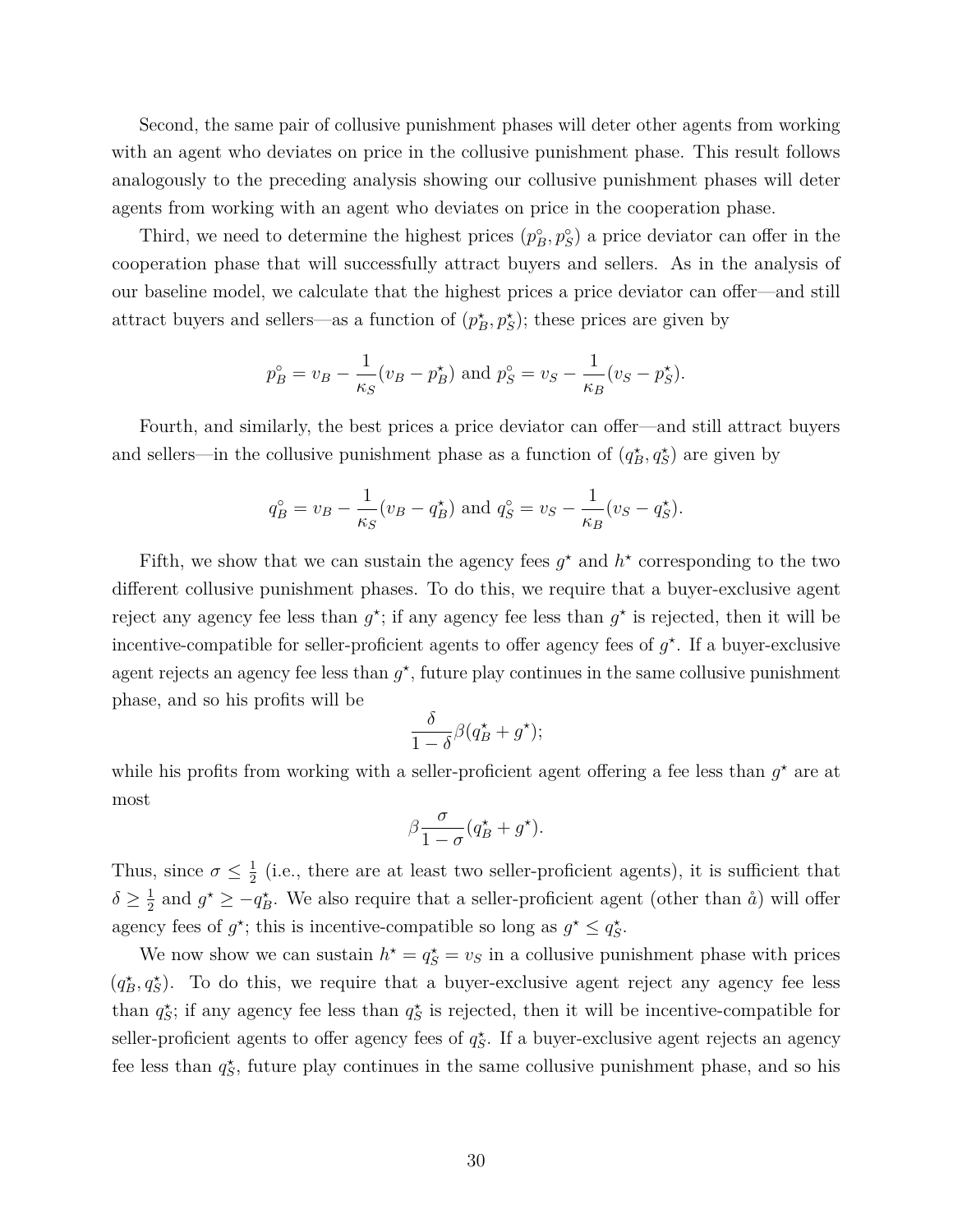Second, the same pair of collusive punishment phases will deter other agents from working with an agent who deviates on price in the collusive punishment phase. This result follows analogously to the preceding analysis showing our collusive punishment phases will deter agents from working with an agent who deviates on price in the cooperation phase.

Third, we need to determine the highest prices  $(p_B^{\circ}, p_S^{\circ})$  a price deviator can offer in the cooperation phase that will successfully attract buyers and sellers. As in the analysis of our baseline model, we calculate that the highest prices a price deviator can offer—and still attract buyers and sellers—as a function of  $(p_B^*, p_S^*)$ ; these prices are given by

$$
p_B^{\circ} = v_B - \frac{1}{\kappa_S} (v_B - p_B^{\star})
$$
 and  $p_S^{\circ} = v_S - \frac{1}{\kappa_B} (v_S - p_S^{\star}).$ 

Fourth, and similarly, the best prices a price deviator can offer—and still attract buyers and sellers—in the collusive punishment phase as a function of  $(q_B^{\star}, q_S^{\star})$  are given by

$$
q_B^{\circ} = v_B - \frac{1}{\kappa_S} (v_B - q_B^{\star})
$$
 and  $q_S^{\circ} = v_S - \frac{1}{\kappa_B} (v_S - q_S^{\star}).$ 

Fifth, we show that we can sustain the agency fees  $g^*$  and  $h^*$  corresponding to the two different collusive punishment phases. To do this, we require that a buyer-exclusive agent reject any agency fee less than  $g^*$ ; if any agency fee less than  $g^*$  is rejected, then it will be incentive-compatible for seller-proficient agents to offer agency fees of  $g^*$ . If a buyer-exclusive agent rejects an agency fee less than  $g^*$ , future play continues in the same collusive punishment phase, and so his profits will be

$$
\frac{\delta}{1-\delta}\beta(q_B^\star + g^\star);
$$

while his profits from working with a seller-proficient agent offering a fee less than  $g^*$  are at most

$$
\beta \frac{\sigma}{1-\sigma} (q_B^{\star} + g^{\star}).
$$

Thus, since  $\sigma \leq \frac{1}{2}$  $\frac{1}{2}$  (i.e., there are at least two seller-proficient agents), it is sufficient that  $\delta \geq \frac{1}{2}$  $\frac{1}{2}$  and  $g^* \ge -q^*_{B}$ . We also require that a seller-proficient agent (other than  $\aa$ ) will offer agency fees of  $g^*$ ; this is incentive-compatible so long as  $g^* \leq q_S^*$ .

We now show we can sustain  $h^* = q_S^* = v_S$  in a collusive punishment phase with prices  $(q_B^{\star}, q_S^{\star})$ . To do this, we require that a buyer-exclusive agent reject any agency fee less than  $q_S^*$ ; if any agency fee less than  $q_S^*$  is rejected, then it will be incentive-compatible for seller-proficient agents to offer agency fees of  $q_S^*$ . If a buyer-exclusive agent rejects an agency fee less than  $q_S^*$ , future play continues in the same collusive punishment phase, and so his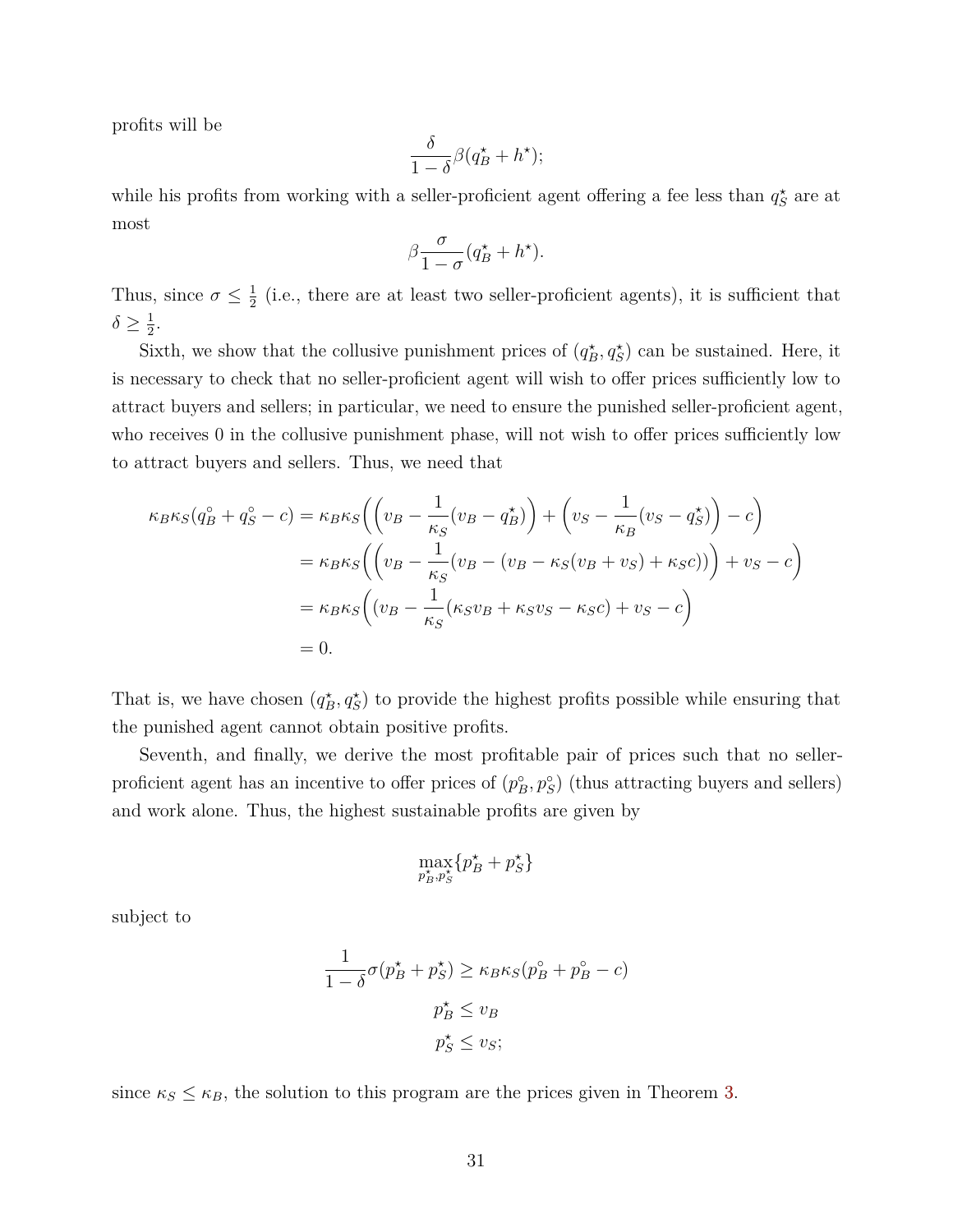profits will be

$$
\frac{\delta}{1-\delta}\beta(q_B^\star+h^\star);
$$

while his profits from working with a seller-proficient agent offering a fee less than  $q_S^{\star}$  are at most

$$
\beta \frac{\sigma}{1-\sigma} (q_B^{\star} + h^{\star}).
$$

Thus, since  $\sigma \leq \frac{1}{2}$  $\frac{1}{2}$  (i.e., there are at least two seller-proficient agents), it is sufficient that  $\delta \geq \frac{1}{2}$  $\frac{1}{2}$ .

Sixth, we show that the collusive punishment prices of  $(q_B^*, q_S^*)$  can be sustained. Here, it is necessary to check that no seller-proficient agent will wish to offer prices sufficiently low to attract buyers and sellers; in particular, we need to ensure the punished seller-proficient agent, who receives 0 in the collusive punishment phase, will not wish to offer prices sufficiently low to attract buyers and sellers. Thus, we need that

$$
\kappa_B \kappa_S (q_B^{\circ} + q_S^{\circ} - c) = \kappa_B \kappa_S \left( \left( v_B - \frac{1}{\kappa_S} (v_B - q_B^{\star}) \right) + \left( v_S - \frac{1}{\kappa_B} (v_S - q_S^{\star}) \right) - c \right)
$$
  

$$
= \kappa_B \kappa_S \left( \left( v_B - \frac{1}{\kappa_S} (v_B - (v_B - \kappa_S (v_B + v_S) + \kappa_S c)) \right) + v_S - c \right)
$$
  

$$
= \kappa_B \kappa_S \left( (v_B - \frac{1}{\kappa_S} (\kappa_S v_B + \kappa_S v_S - \kappa_S c) + v_S - c \right)
$$
  

$$
= 0.
$$

That is, we have chosen  $(q_B^*, q_S^*)$  to provide the highest profits possible while ensuring that the punished agent cannot obtain positive profits.

Seventh, and finally, we derive the most profitable pair of prices such that no sellerproficient agent has an incentive to offer prices of  $(p_B^{\circ}, p_S^{\circ})$  (thus attracting buyers and sellers) and work alone. Thus, the highest sustainable profits are given by

$$
\max_{p_B^\star,p_S^\star}\{p_B^\star+p_S^\star\}
$$

subject to

$$
\frac{1}{1-\delta}\sigma(p_B^* + p_S^*) \ge \kappa_B \kappa_S(p_B^{\circ} + p_B^{\circ} - c)
$$

$$
p_B^* \le v_B
$$

$$
p_S^* \le v_S;
$$

since  $\kappa_S \leq \kappa_B$ , the solution to this program are the prices given in Theorem [3.](#page-27-0)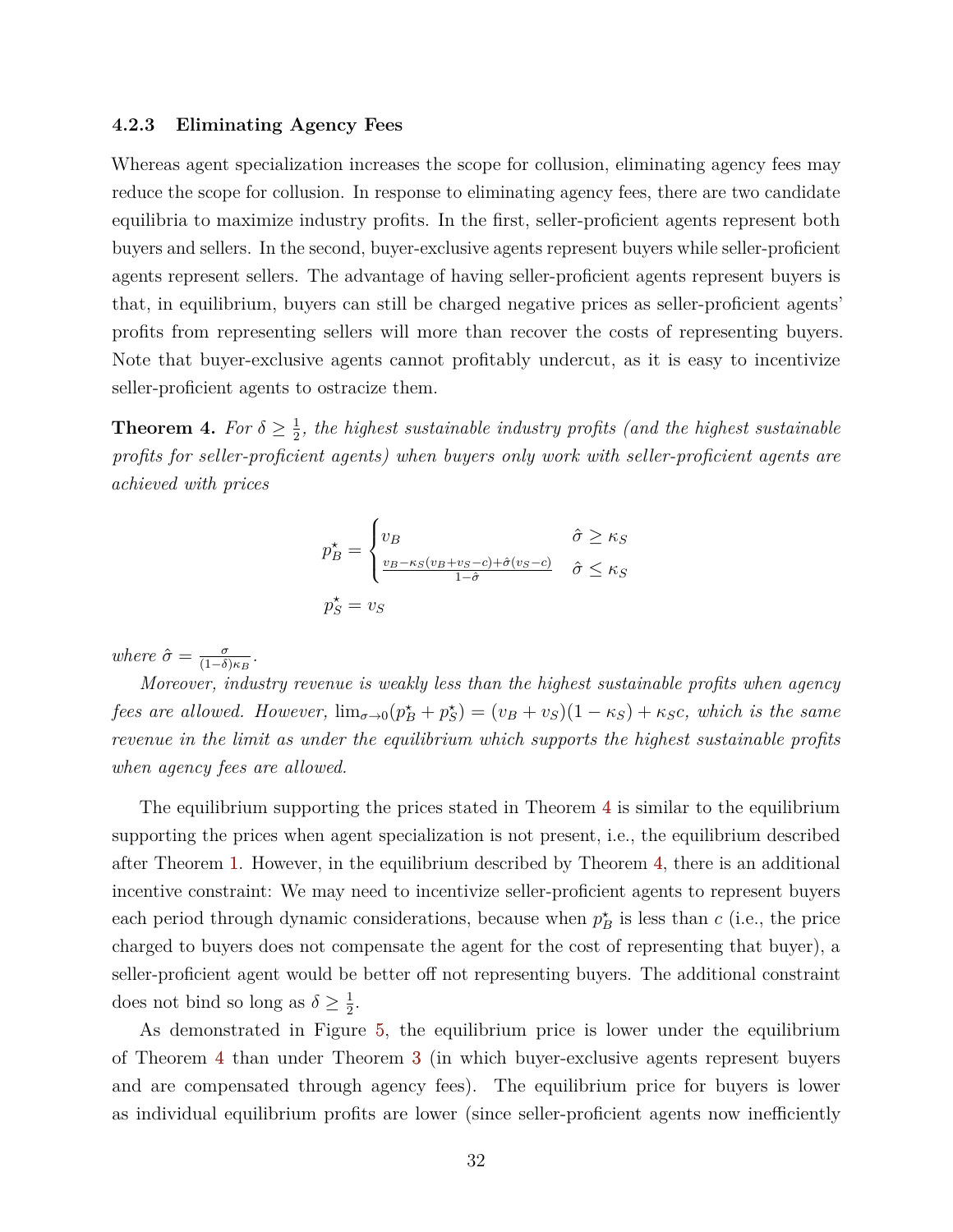#### <span id="page-33-1"></span>**4.2.3 Eliminating Agency Fees**

Whereas agent specialization increases the scope for collusion, eliminating agency fees may reduce the scope for collusion. In response to eliminating agency fees, there are two candidate equilibria to maximize industry profits. In the first, seller-proficient agents represent both buyers and sellers. In the second, buyer-exclusive agents represent buyers while seller-proficient agents represent sellers. The advantage of having seller-proficient agents represent buyers is that, in equilibrium, buyers can still be charged negative prices as seller-proficient agents' profits from representing sellers will more than recover the costs of representing buyers. Note that buyer-exclusive agents cannot profitably undercut, as it is easy to incentivize seller-proficient agents to ostracize them.

<span id="page-33-0"></span>**Theorem 4.** *For*  $\delta \geq \frac{1}{2}$  $\frac{1}{2}$ , the highest sustainable industry profits (and the highest sustainable *profits for seller-proficient agents) when buyers only work with seller-proficient agents are achieved with prices*

$$
p_{B}^{\star} = \begin{cases} v_{B} & \hat{\sigma} \ge \kappa_{S} \\ \frac{v_{B} - \kappa_{S}(v_{B} + v_{S} - c) + \hat{\sigma}(v_{S} - c)}{1 - \hat{\sigma}} & \hat{\sigma} \le \kappa_{S} \\ v_{S} = v_{S} & \end{cases}
$$

*where*  $\hat{\sigma} = \frac{\sigma}{(1-\delta)}$  $\frac{\sigma}{(1-\delta)\kappa_B}$ .

*Moreover, industry revenue is weakly less than the highest sustainable profits when agency fees are allowed. However,*  $\lim_{\sigma \to 0} (p_B^* + p_S^*) = (v_B + v_S)(1 - \kappa_S) + \kappa_S c$ , which is the same *revenue in the limit as under the equilibrium which supports the highest sustainable profits when agency fees are allowed.*

The equilibrium supporting the prices stated in Theorem [4](#page-33-0) is similar to the equilibrium supporting the prices when agent specialization is not present, i.e., the equilibrium described after Theorem [1.](#page-11-1) However, in the equilibrium described by Theorem [4,](#page-33-0) there is an additional incentive constraint: We may need to incentivize seller-proficient agents to represent buyers each period through dynamic considerations, because when  $p_B^*$  is less than  $c$  (i.e., the price charged to buyers does not compensate the agent for the cost of representing that buyer), a seller-proficient agent would be better off not representing buyers. The additional constraint does not bind so long as  $\delta \geq \frac{1}{2}$  $\frac{1}{2}$ .

As demonstrated in Figure [5,](#page-34-0) the equilibrium price is lower under the equilibrium of Theorem [4](#page-33-0) than under Theorem [3](#page-27-0) (in which buyer-exclusive agents represent buyers and are compensated through agency fees). The equilibrium price for buyers is lower as individual equilibrium profits are lower (since seller-proficient agents now inefficiently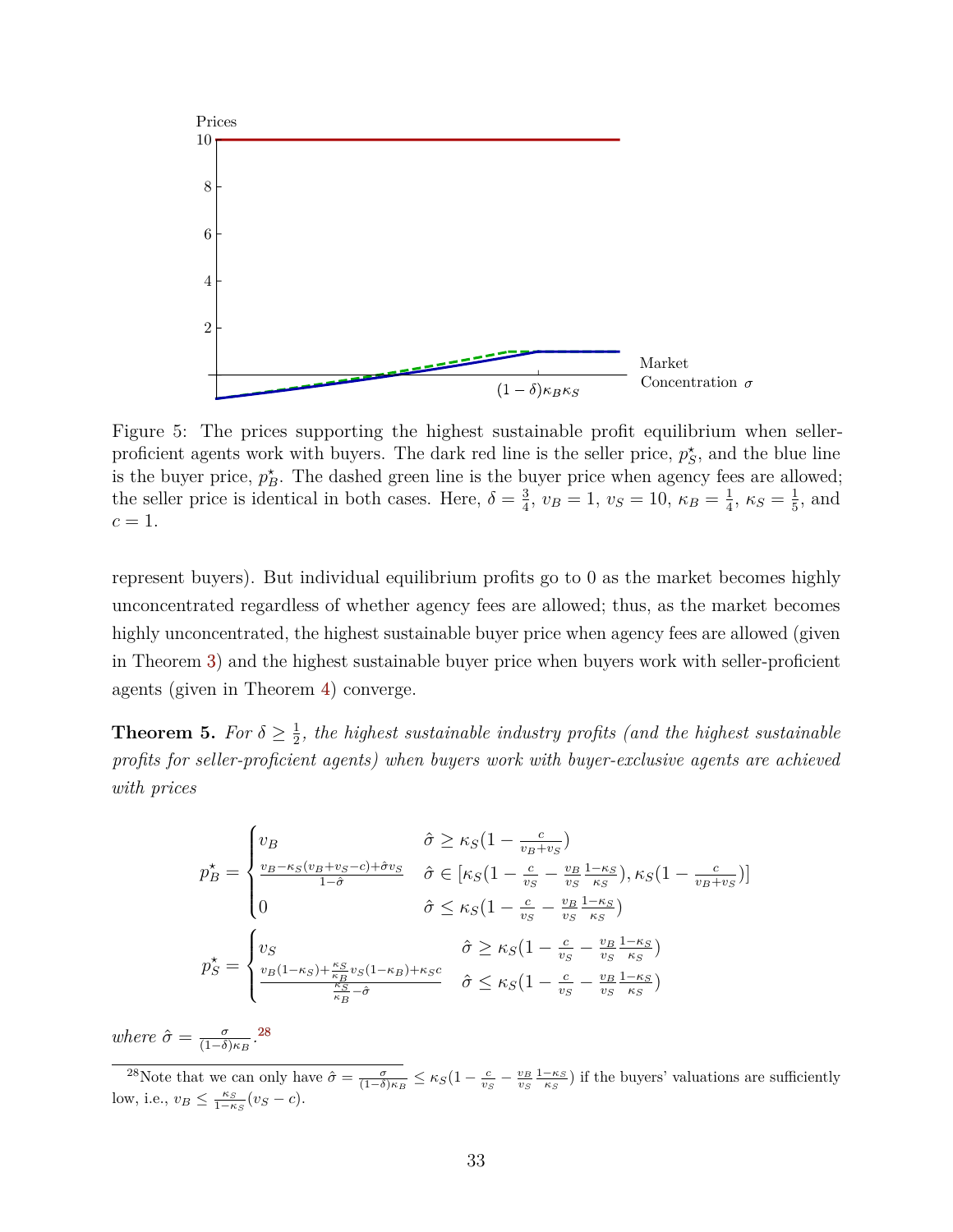<span id="page-34-0"></span>

Figure 5: The prices supporting the highest sustainable profit equilibrium when sellerproficient agents work with buyers. The dark red line is the seller price,  $p^*_{S}$ , and the blue line is the buyer price,  $p_B^*$ . The dashed green line is the buyer price when agency fees are allowed; the seller price is identical in both cases. Here,  $\delta = \frac{3}{4}$  $\frac{3}{4}$ ,  $v_B = 1$ ,  $v_S = 10$ ,  $\kappa_B = \frac{1}{4}$  $\frac{1}{4}$ ,  $\kappa_S = \frac{1}{5}$  $\frac{1}{5}$ , and  $c=1$ .

represent buyers). But individual equilibrium profits go to 0 as the market becomes highly unconcentrated regardless of whether agency fees are allowed; thus, as the market becomes highly unconcentrated, the highest sustainable buyer price when agency fees are allowed (given in Theorem [3\)](#page-27-0) and the highest sustainable buyer price when buyers work with seller-proficient agents (given in Theorem [4\)](#page-33-0) converge.

<span id="page-34-2"></span>**Theorem 5.** *For*  $\delta \geq \frac{1}{2}$  $\frac{1}{2}$ , the highest sustainable industry profits (and the highest sustainable *profits for seller-proficient agents) when buyers work with buyer-exclusive agents are achieved with prices*

$$
p_{B}^{\star} = \begin{cases} v_{B} & \hat{\sigma} \geq \kappa_{S} (1 - \frac{c}{v_{B} + v_{S}}) \\ \frac{v_{B} - \kappa_{S} (v_{B} + v_{S} - c) + \hat{\sigma} v_{S}}{1 - \hat{\sigma}} & \hat{\sigma} \in [\kappa_{S} (1 - \frac{c}{v_{S}} - \frac{v_{B}}{v_{S}} \frac{1 - \kappa_{S}}{\kappa_{S}}), \kappa_{S} (1 - \frac{c}{v_{B} + v_{S}})] \\ 0 & \hat{\sigma} \leq \kappa_{S} (1 - \frac{c}{v_{S}} - \frac{v_{B}}{v_{S}} \frac{1 - \kappa_{S}}{\kappa_{S}}) \end{cases}
$$

$$
p_{S}^{\star} = \begin{cases} v_{S} & \hat{\sigma} \geq \kappa_{S} (1 - \frac{c}{v_{S}} - \frac{v_{B}}{v_{S}} \frac{1 - \kappa_{S}}{\kappa_{S}}) \\ \frac{v_{B} (1 - \kappa_{S}) + \frac{\kappa_{S}}{\kappa_{B}} v_{S} (1 - \kappa_{B}) + \kappa_{S} c}{\frac{\kappa_{S}}{\kappa_{B}} - \hat{\sigma}} & \hat{\sigma} \leq \kappa_{S} (1 - \frac{c}{v_{S}} - \frac{v_{B}}{v_{S}} \frac{1 - \kappa_{S}}{\kappa_{S}}) \end{cases}
$$

*where*  $\hat{\sigma} = \frac{\sigma}{(1-\delta)}$  $\frac{\sigma}{(1-\delta)\kappa_B}$ .<sup>[28](#page-34-1)</sup>

<span id="page-34-1"></span><sup>&</sup>lt;sup>28</sup>Note that we can only have  $\hat{\sigma} = \frac{\sigma}{(1-\delta)\kappa_B} \leq \kappa_S(1-\frac{c}{v_S}-\frac{v_B}{v_S}\frac{1-\kappa_S}{\kappa_S})$  if the buyers' valuations are sufficiently low, i.e.,  $v_B \leq \frac{\kappa_S}{1-\kappa_S}(v_S - c)$ .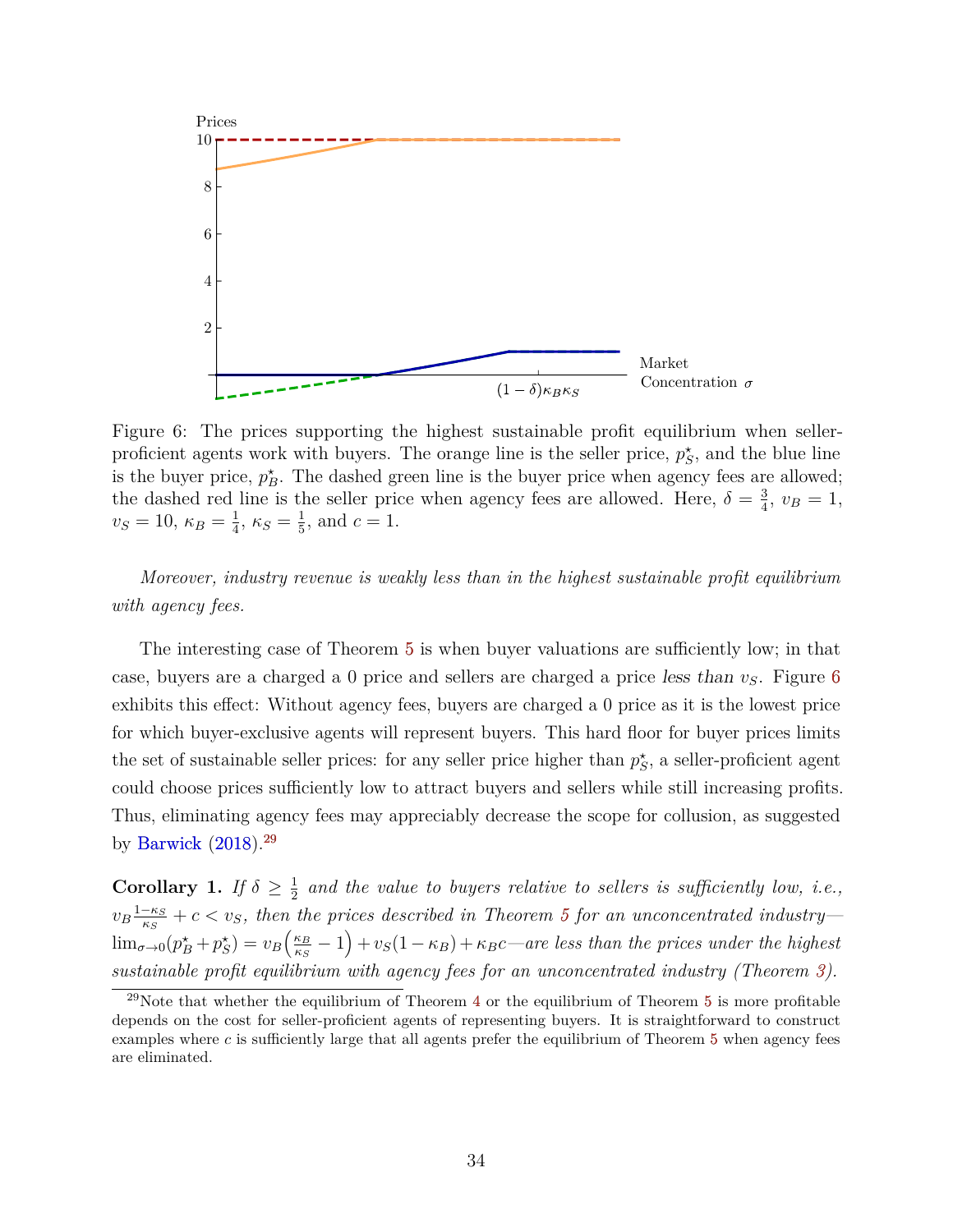<span id="page-35-2"></span><span id="page-35-0"></span>

Figure 6: The prices supporting the highest sustainable profit equilibrium when sellerproficient agents work with buyers. The orange line is the seller price,  $p_S^*$ , and the blue line is the buyer price,  $p_B^*$ . The dashed green line is the buyer price when agency fees are allowed; the dashed red line is the seller price when agency fees are allowed. Here,  $\delta = \frac{3}{4}$  $\frac{3}{4}$ ,  $v_B = 1$ , *v<sub>S</sub>* = 10,  $κ_B = \frac{1}{4}$  $\frac{1}{4}$ ,  $\kappa_S = \frac{1}{5}$  $\frac{1}{5}$ , and  $c = 1$ .

*Moreover, industry revenue is weakly less than in the highest sustainable profit equilibrium with agency fees.*

The interesting case of Theorem [5](#page-34-2) is when buyer valuations are sufficiently low; in that case, buyers are a charged a 0 price and sellers are charged a price less than *vS*. Figure [6](#page-35-0) exhibits this effect: Without agency fees, buyers are charged a 0 price as it is the lowest price for which buyer-exclusive agents will represent buyers. This hard floor for buyer prices limits the set of sustainable seller prices: for any seller price higher than  $p_S^*$ , a seller-proficient agent could choose prices sufficiently low to attract buyers and sellers while still increasing profits. Thus, eliminating agency fees may appreciably decrease the scope for collusion, as suggested by [Barwick](#page-38-7)  $(2018).^{29}$  $(2018).^{29}$  $(2018).^{29}$  $(2018).^{29}$ 

**Corollary 1.** *If*  $\delta \geq \frac{1}{2}$  $\frac{1}{2}$  and the value to buyers relative to sellers is sufficiently low, *i.e.*,  $v_B \frac{1-\kappa_S}{\kappa_S}$  $\frac{-\kappa_S}{\kappa_S} + c < v_S$ , then the prices described in Theorem [5](#page-34-2) for an unconcentrated industry—  $\lim_{\sigma\to 0}(p_B^{\star}+p_S^{\star})=v_B\left(\frac{\kappa_B}{\kappa_S}\right)$  $\left(\frac{\kappa_B}{\kappa_S} - 1\right) + v_S(1 - \kappa_B) + \kappa_B c$ —are less than the prices under the highest *sustainable profit equilibrium with agency fees for an unconcentrated industry (Theorem [3\)](#page-27-0).*

<span id="page-35-1"></span><sup>&</sup>lt;sup>29</sup>Note that whether the equilibrium of Theorem [4](#page-33-0) or the equilibrium of Theorem [5](#page-34-2) is more profitable depends on the cost for seller-proficient agents of representing buyers. It is straightforward to construct examples where  $c$  is sufficiently large that all agents prefer the equilibrium of Theorem  $5$  when agency fees are eliminated.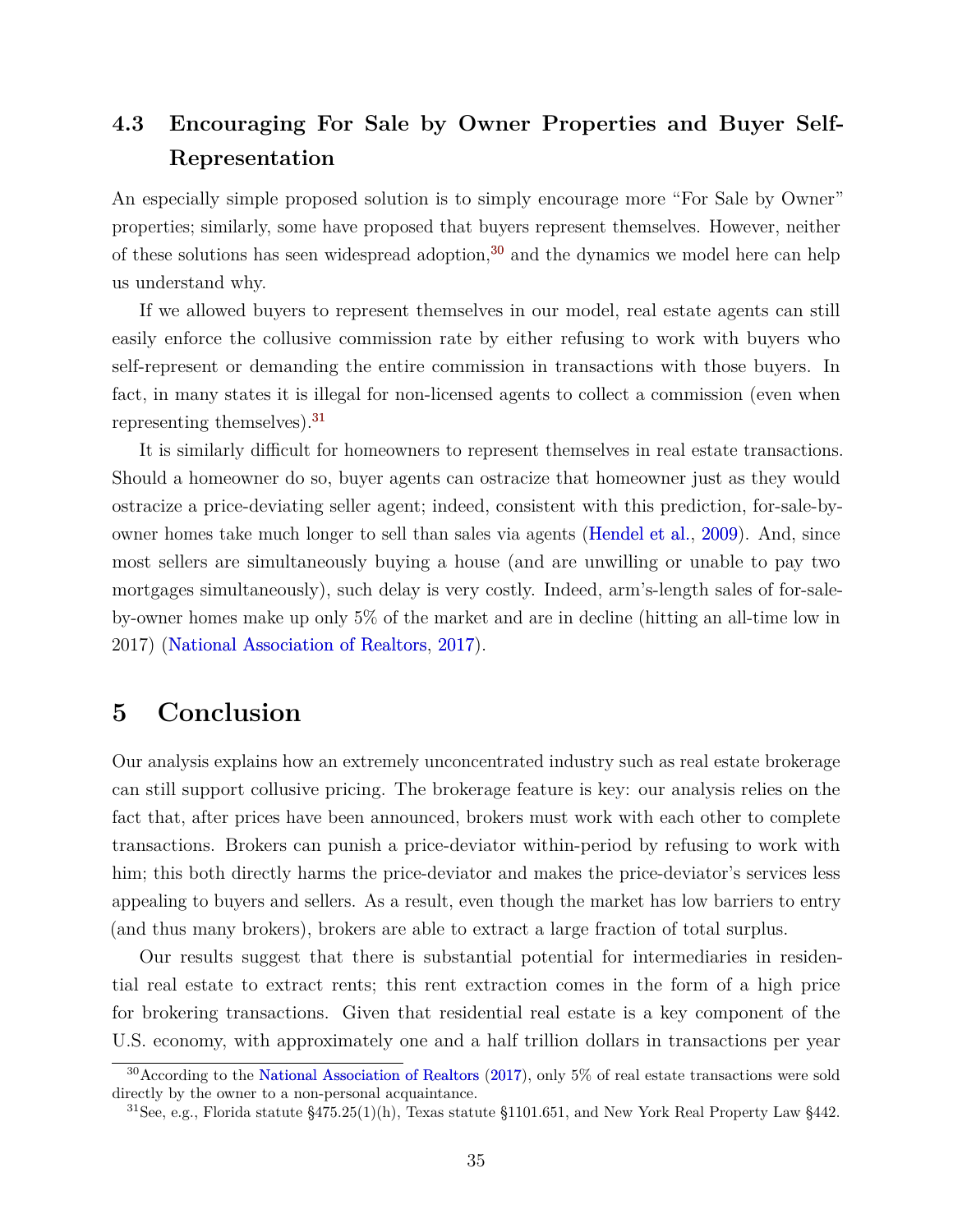# <span id="page-36-4"></span><span id="page-36-0"></span>**4.3 Encouraging For Sale by Owner Properties and Buyer Self-Representation**

An especially simple proposed solution is to simply encourage more "For Sale by Owner" properties; similarly, some have proposed that buyers represent themselves. However, neither of these solutions has seen widespread adoption, $30$  and the dynamics we model here can help us understand why.

If we allowed buyers to represent themselves in our model, real estate agents can still easily enforce the collusive commission rate by either refusing to work with buyers who self-represent or demanding the entire commission in transactions with those buyers. In fact, in many states it is illegal for non-licensed agents to collect a commission (even when representing themselves).[31](#page-36-3)

It is similarly difficult for homeowners to represent themselves in real estate transactions. Should a homeowner do so, buyer agents can ostracize that homeowner just as they would ostracize a price-deviating seller agent; indeed, consistent with this prediction, for-sale-byowner homes take much longer to sell than sales via agents [\(Hendel et al.,](#page-40-6) [2009\)](#page-40-6). And, since most sellers are simultaneously buying a house (and are unwilling or unable to pay two mortgages simultaneously), such delay is very costly. Indeed, arm's-length sales of for-saleby-owner homes make up only 5% of the market and are in decline (hitting an all-time low in 2017) [\(National Association of Realtors,](#page-40-7) [2017\)](#page-40-7).

# <span id="page-36-1"></span>**5 Conclusion**

Our analysis explains how an extremely unconcentrated industry such as real estate brokerage can still support collusive pricing. The brokerage feature is key: our analysis relies on the fact that, after prices have been announced, brokers must work with each other to complete transactions. Brokers can punish a price-deviator within-period by refusing to work with him; this both directly harms the price-deviator and makes the price-deviator's services less appealing to buyers and sellers. As a result, even though the market has low barriers to entry (and thus many brokers), brokers are able to extract a large fraction of total surplus.

Our results suggest that there is substantial potential for intermediaries in residential real estate to extract rents; this rent extraction comes in the form of a high price for brokering transactions. Given that residential real estate is a key component of the U.S. economy, with approximately one and a half trillion dollars in transactions per year

<span id="page-36-2"></span><sup>30</sup>According to the [National Association of Realtors](#page-40-7) [\(2017\)](#page-40-7), only 5% of real estate transactions were sold directly by the owner to a non-personal acquaintance.

<span id="page-36-3"></span><sup>&</sup>lt;sup>31</sup>See, e.g., Florida statute §475.25(1)(h), Texas statute §1101.651, and New York Real Property Law §442.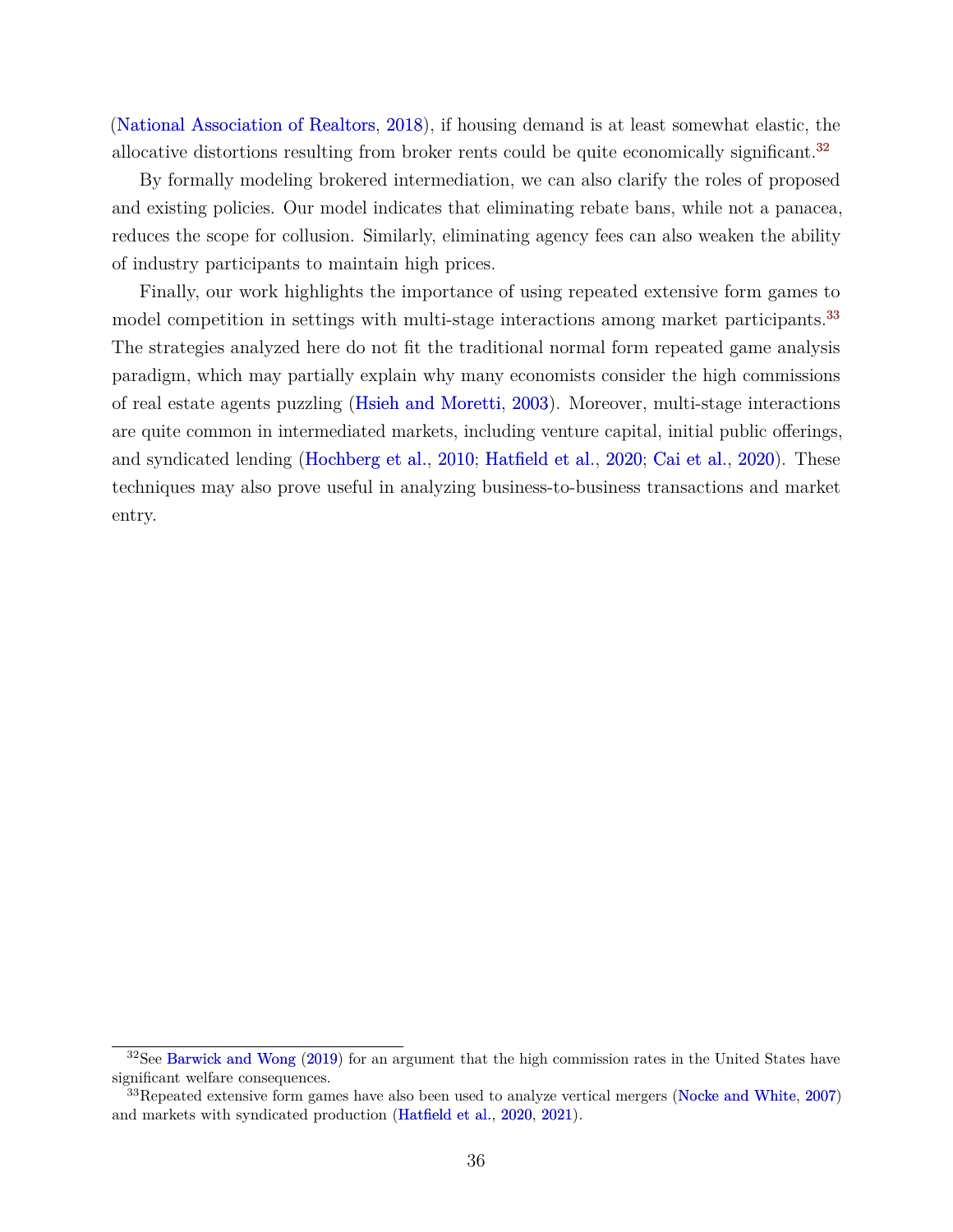<span id="page-37-2"></span>[\(National Association of Realtors,](#page-41-3) [2018\)](#page-41-3), if housing demand is at least somewhat elastic, the allocative distortions resulting from broker rents could be quite economically significant.<sup>[32](#page-37-0)</sup>

By formally modeling brokered intermediation, we can also clarify the roles of proposed and existing policies. Our model indicates that eliminating rebate bans, while not a panacea, reduces the scope for collusion. Similarly, eliminating agency fees can also weaken the ability of industry participants to maintain high prices.

Finally, our work highlights the importance of using repeated extensive form games to model competition in settings with multi-stage interactions among market participants.<sup>[33](#page-37-1)</sup> The strategies analyzed here do not fit the traditional normal form repeated game analysis paradigm, which may partially explain why many economists consider the high commissions of real estate agents puzzling [\(Hsieh and Moretti,](#page-40-0) [2003\)](#page-40-0). Moreover, multi-stage interactions are quite common in intermediated markets, including venture capital, initial public offerings, and syndicated lending [\(Hochberg et al.,](#page-40-8) [2010;](#page-40-8) [Hatfield et al.,](#page-40-9) [2020;](#page-40-9) [Cai et al.,](#page-39-11) [2020\)](#page-39-11). These techniques may also prove useful in analyzing business-to-business transactions and market entry.

<span id="page-37-0"></span> $32$ See [Barwick and Wong](#page-38-11) [\(2019\)](#page-38-11) for an argument that the high commission rates in the United States have significant welfare consequences.

<span id="page-37-1"></span> $33$ Repeated extensive form games have also been used to analyze vertical mergers [\(Nocke and White,](#page-41-4) [2007\)](#page-41-4) and markets with syndicated production [\(Hatfield et al.,](#page-40-9) [2020,](#page-40-9) [2021\)](#page-40-10).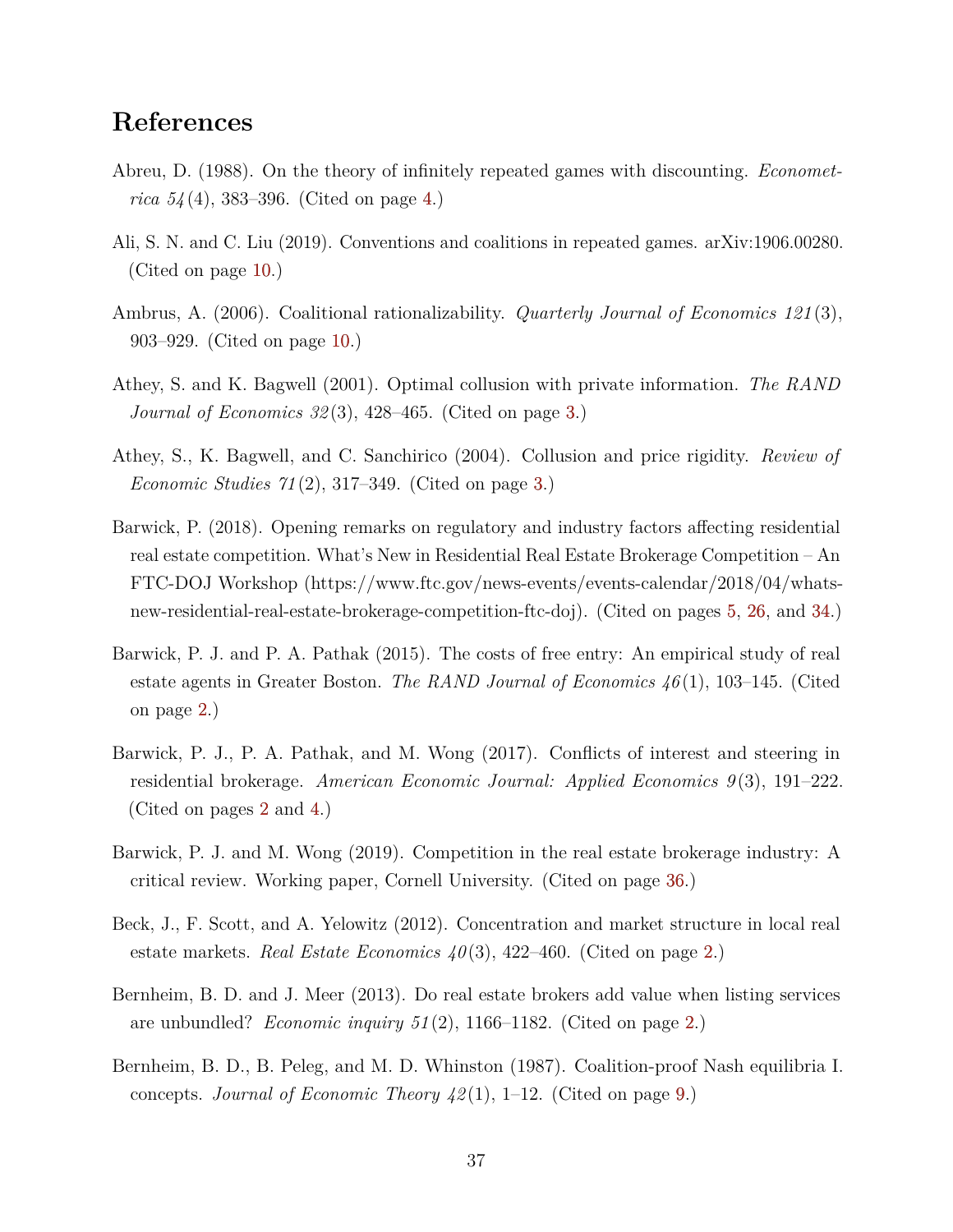# **References**

- <span id="page-38-6"></span>Abreu, D. (1988). On the theory of infinitely repeated games with discounting. *Econometrica 54* (4), 383–396. (Cited on page [4.](#page-5-4))
- <span id="page-38-10"></span>Ali, S. N. and C. Liu (2019). Conventions and coalitions in repeated games. arXiv:1906.00280. (Cited on page [10.](#page-11-3))
- <span id="page-38-9"></span>Ambrus, A. (2006). Coalitional rationalizability. *Quarterly Journal of Economics 121* (3), 903–929. (Cited on page [10.](#page-11-3))
- <span id="page-38-4"></span>Athey, S. and K. Bagwell (2001). Optimal collusion with private information. *The RAND Journal of Economics 32* (3), 428–465. (Cited on page [3.](#page-4-1))
- <span id="page-38-5"></span>Athey, S., K. Bagwell, and C. Sanchirico (2004). Collusion and price rigidity. *Review of Economic Studies 71* (2), 317–349. (Cited on page [3.](#page-4-1))
- <span id="page-38-7"></span>Barwick, P. (2018). Opening remarks on regulatory and industry factors affecting residential real estate competition. What's New in Residential Real Estate Brokerage Competition – An FTC-DOJ Workshop (https://www.ftc.gov/news-events/events-calendar/2018/04/whatsnew-residential-real-estate-brokerage-competition-ftc-doj). (Cited on pages [5,](#page-6-2) [26,](#page-27-1) and [34.](#page-35-2))
- <span id="page-38-2"></span>Barwick, P. J. and P. A. Pathak (2015). The costs of free entry: An empirical study of real estate agents in Greater Boston. *The RAND Journal of Economics 46* (1), 103–145. (Cited on page [2.](#page-3-4))
- <span id="page-38-3"></span>Barwick, P. J., P. A. Pathak, and M. Wong (2017). Conflicts of interest and steering in residential brokerage. *American Economic Journal: Applied Economics 9* (3), 191–222. (Cited on pages [2](#page-3-4) and [4.](#page-5-4))
- <span id="page-38-11"></span>Barwick, P. J. and M. Wong (2019). Competition in the real estate brokerage industry: A critical review. Working paper, Cornell University. (Cited on page [36.](#page-37-2))
- <span id="page-38-0"></span>Beck, J., F. Scott, and A. Yelowitz (2012). Concentration and market structure in local real estate markets. *Real Estate Economics 40*(3), 422–460. (Cited on page [2.](#page-3-4))
- <span id="page-38-1"></span>Bernheim, B. D. and J. Meer (2013). Do real estate brokers add value when listing services are unbundled? *Economic inquiry 51* (2), 1166–1182. (Cited on page [2.](#page-3-4))
- <span id="page-38-8"></span>Bernheim, B. D., B. Peleg, and M. D. Whinston (1987). Coalition-proof Nash equilibria I. concepts. *Journal of Economic Theory 42* (1), 1–12. (Cited on page [9.](#page-10-2))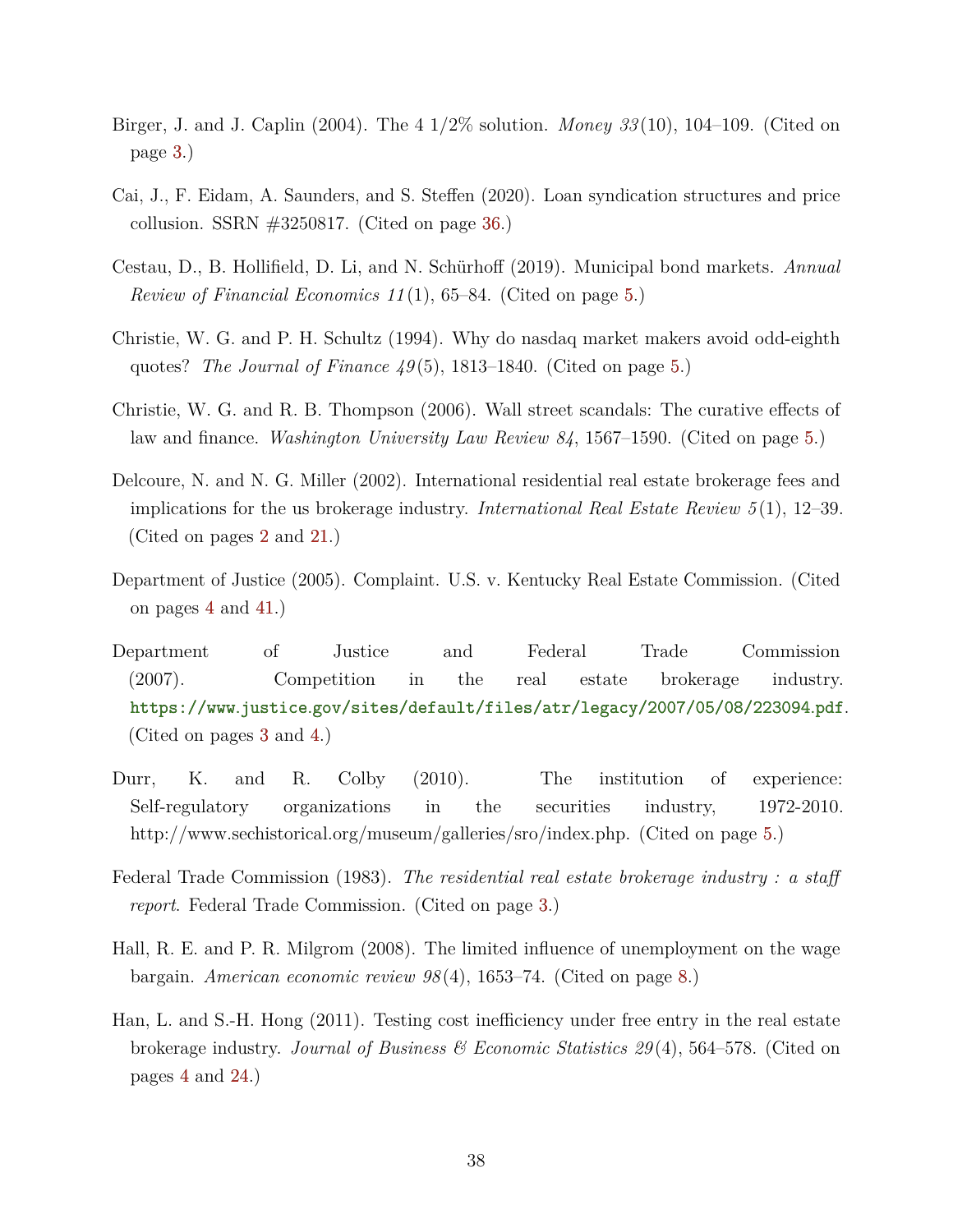- <span id="page-39-1"></span>Birger, J. and J. Caplin (2004). The 4 1/2% solution. *Money 33* (10), 104–109. (Cited on page [3.](#page-4-1))
- <span id="page-39-11"></span>Cai, J., F. Eidam, A. Saunders, and S. Steffen (2020). Loan syndication structures and price collusion. SSRN  $\#3250817$ . (Cited on page [36.](#page-37-2))
- <span id="page-39-6"></span>Cestau, D., B. Hollifield, D. Li, and N. Schürhoff (2019). Municipal bond markets. *Annual Review of Financial Economics 11* (1), 65–84. (Cited on page [5.](#page-6-2))
- <span id="page-39-8"></span>Christie, W. G. and P. H. Schultz (1994). Why do nasdaq market makers avoid odd-eighth quotes? *The Journal of Finance 49* (5), 1813–1840. (Cited on page [5.](#page-6-2))
- <span id="page-39-9"></span>Christie, W. G. and R. B. Thompson (2006). Wall street scandals: The curative effects of law and finance. *Washington University Law Review 84*, 1567–1590. (Cited on page [5.](#page-6-2))
- <span id="page-39-0"></span>Delcoure, N. and N. G. Miller (2002). International residential real estate brokerage fees and implications for the us brokerage industry. *International Real Estate Review 5* (1), 12–39. (Cited on pages [2](#page-3-4) and [21.](#page-22-1))
- <span id="page-39-5"></span>Department of Justice (2005). Complaint. U.S. v. Kentucky Real Estate Commission. (Cited on pages [4](#page-5-4) and [41.](#page-42-2))
- <span id="page-39-2"></span>Department of Justice and Federal Trade Commission (2007). Competition in the real estate brokerage industry. https://www *.*justice *.*[gov/sites/default/files/atr/legacy/2007/05/08/223094](https://www.justice.gov/sites/default/files/atr/legacy/2007/05/08/223094.pdf) *.*pdf. (Cited on pages [3](#page-4-1) and [4.](#page-5-4))
- <span id="page-39-7"></span>Durr, K. and R. Colby (2010). The institution of experience: Self-regulatory organizations in the securities industry, 1972-2010. http://www.sechistorical.org/museum/galleries/sro/index.php. (Cited on page [5.](#page-6-2))
- <span id="page-39-3"></span>Federal Trade Commission (1983). *The residential real estate brokerage industry : a staff report*. Federal Trade Commission. (Cited on page [3.](#page-4-1))
- <span id="page-39-10"></span>Hall, R. E. and P. R. Milgrom (2008). The limited influence of unemployment on the wage bargain. *American economic review 98* (4), 1653–74. (Cited on page [8.](#page-9-1))
- <span id="page-39-4"></span>Han, L. and S.-H. Hong (2011). Testing cost inefficiency under free entry in the real estate brokerage industry. *Journal of Business & Economic Statistics 29* (4), 564–578. (Cited on pages [4](#page-5-4) and [24.](#page-25-2))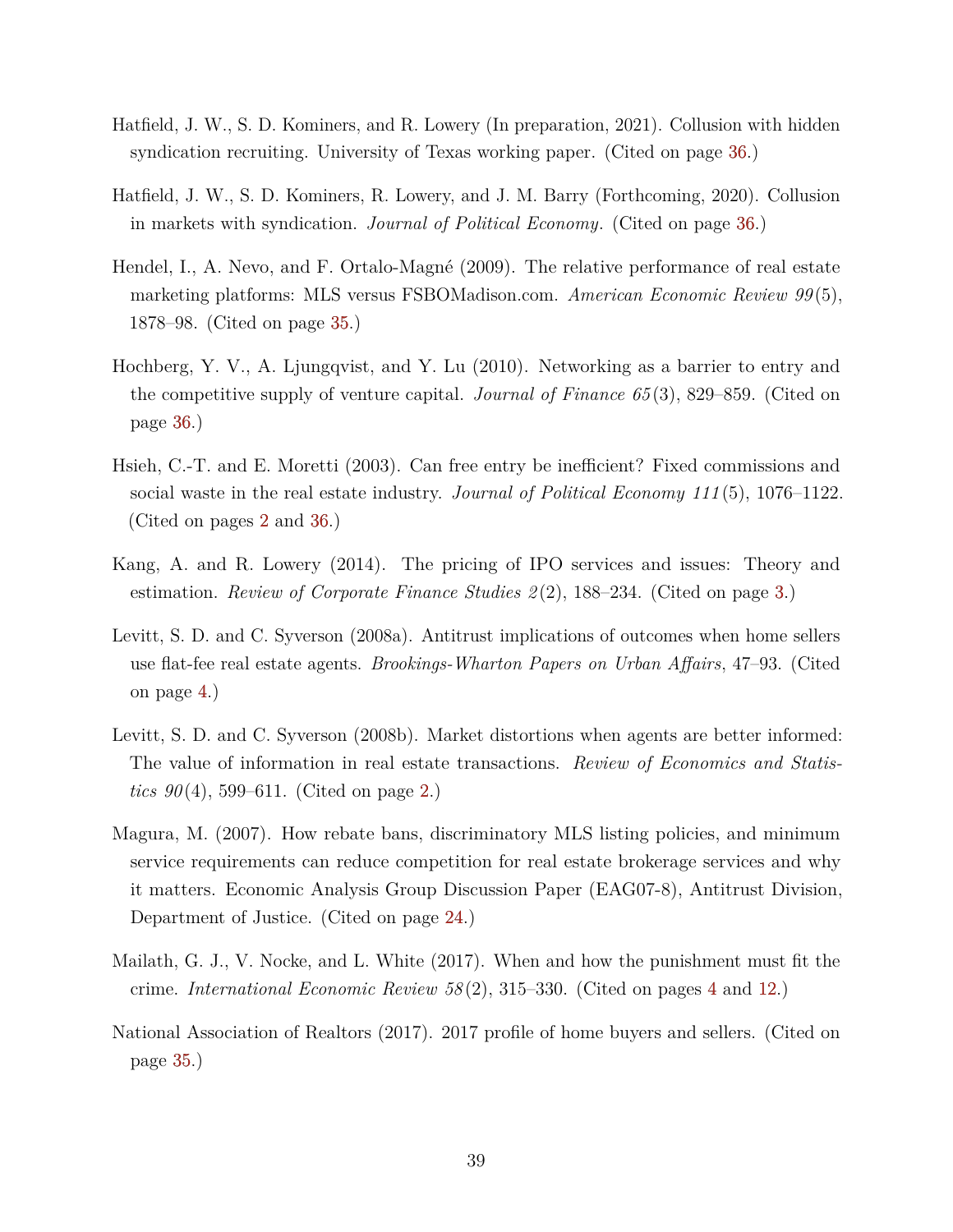- <span id="page-40-10"></span>Hatfield, J. W., S. D. Kominers, and R. Lowery (In preparation, 2021). Collusion with hidden syndication recruiting. University of Texas working paper. (Cited on page [36.](#page-37-2))
- <span id="page-40-9"></span>Hatfield, J. W., S. D. Kominers, R. Lowery, and J. M. Barry (Forthcoming, 2020). Collusion in markets with syndication. *Journal of Political Economy*. (Cited on page [36.](#page-37-2))
- <span id="page-40-6"></span>Hendel, I., A. Nevo, and F. Ortalo-Magné (2009). The relative performance of real estate marketing platforms: MLS versus FSBOMadison.com. *American Economic Review 99* (5), 1878–98. (Cited on page [35.](#page-36-4))
- <span id="page-40-8"></span>Hochberg, Y. V., A. Ljungqvist, and Y. Lu (2010). Networking as a barrier to entry and the competitive supply of venture capital. *Journal of Finance 65* (3), 829–859. (Cited on page [36.](#page-37-2))
- <span id="page-40-0"></span>Hsieh, C.-T. and E. Moretti (2003). Can free entry be inefficient? Fixed commissions and social waste in the real estate industry. *Journal of Political Economy 111* (5), 1076–1122. (Cited on pages [2](#page-3-4) and [36.](#page-37-2))
- <span id="page-40-2"></span>Kang, A. and R. Lowery (2014). The pricing of IPO services and issues: Theory and estimation. *Review of Corporate Finance Studies 2(2)*, 188–234. (Cited on page [3.](#page-4-1))
- <span id="page-40-4"></span>Levitt, S. D. and C. Syverson (2008a). Antitrust implications of outcomes when home sellers use flat-fee real estate agents. *Brookings-Wharton Papers on Urban Affairs*, 47–93. (Cited on page [4.](#page-5-4))
- <span id="page-40-1"></span>Levitt, S. D. and C. Syverson (2008b). Market distortions when agents are better informed: The value of information in real estate transactions. *Review of Economics and Statistics 90*(4), 599–611. (Cited on page [2.](#page-3-4))
- <span id="page-40-5"></span>Magura, M. (2007). How rebate bans, discriminatory MLS listing policies, and minimum service requirements can reduce competition for real estate brokerage services and why it matters. Economic Analysis Group Discussion Paper (EAG07-8), Antitrust Division, Department of Justice. (Cited on page [24.](#page-25-2))
- <span id="page-40-3"></span>Mailath, G. J., V. Nocke, and L. White (2017). When and how the punishment must fit the crime. *International Economic Review 58* (2), 315–330. (Cited on pages [4](#page-5-4) and [12.](#page-13-2))
- <span id="page-40-7"></span>National Association of Realtors (2017). 2017 profile of home buyers and sellers. (Cited on page [35.](#page-36-4))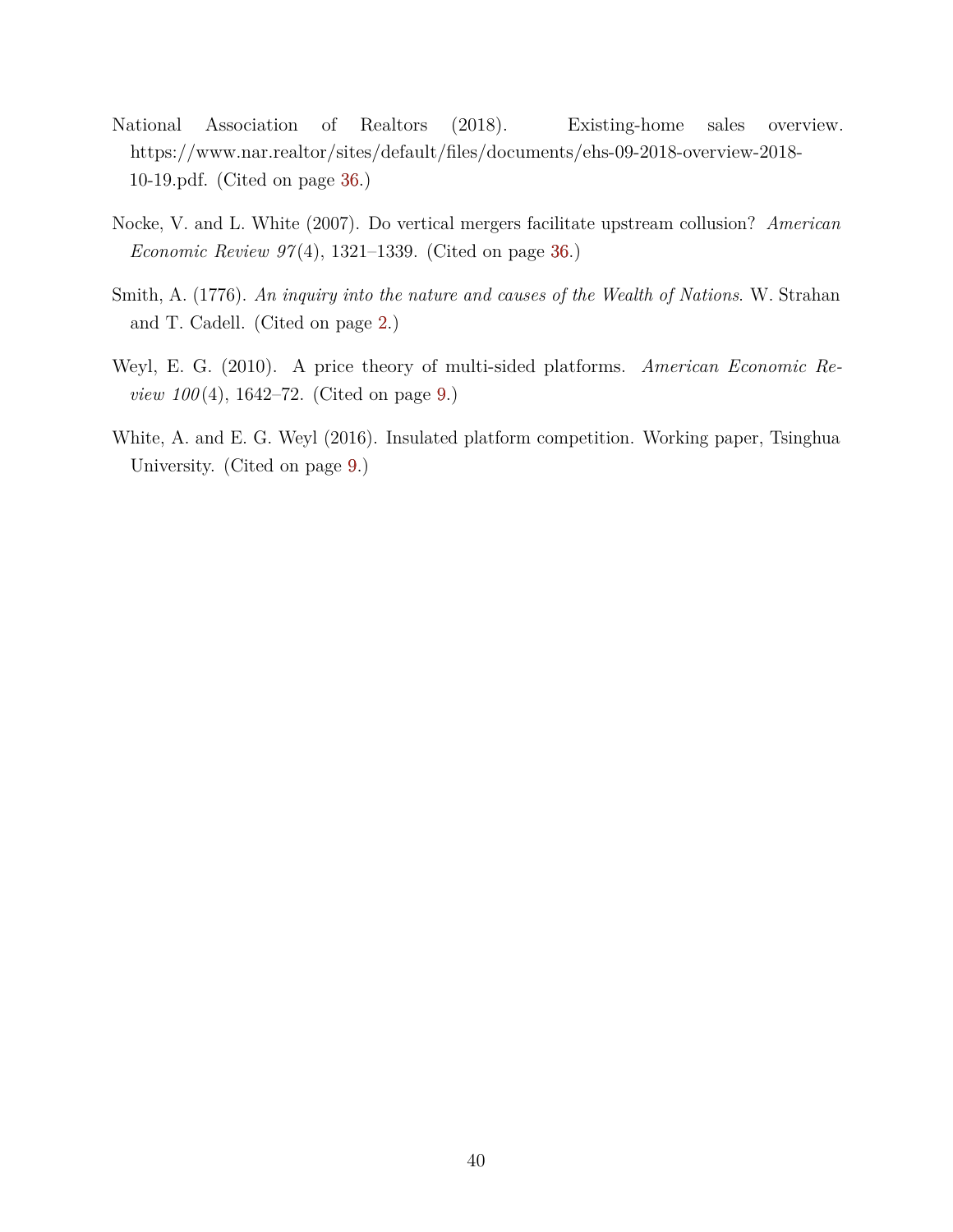- <span id="page-41-3"></span>National Association of Realtors (2018). Existing-home sales overview. https://www.nar.realtor/sites/default/files/documents/ehs-09-2018-overview-2018- 10-19.pdf. (Cited on page [36.](#page-37-2))
- <span id="page-41-4"></span>Nocke, V. and L. White (2007). Do vertical mergers facilitate upstream collusion? *American Economic Review 97* (4), 1321–1339. (Cited on page [36.](#page-37-2))
- <span id="page-41-0"></span>Smith, A. (1776). *An inquiry into the nature and causes of the Wealth of Nations*. W. Strahan and T. Cadell. (Cited on page [2.](#page-3-4))
- <span id="page-41-1"></span>Weyl, E. G. (2010). A price theory of multi-sided platforms. *American Economic Review 100*(4), 1642–72. (Cited on page [9.](#page-10-2))
- <span id="page-41-2"></span>White, A. and E. G. Weyl (2016). Insulated platform competition. Working paper, Tsinghua University. (Cited on page [9.](#page-10-2))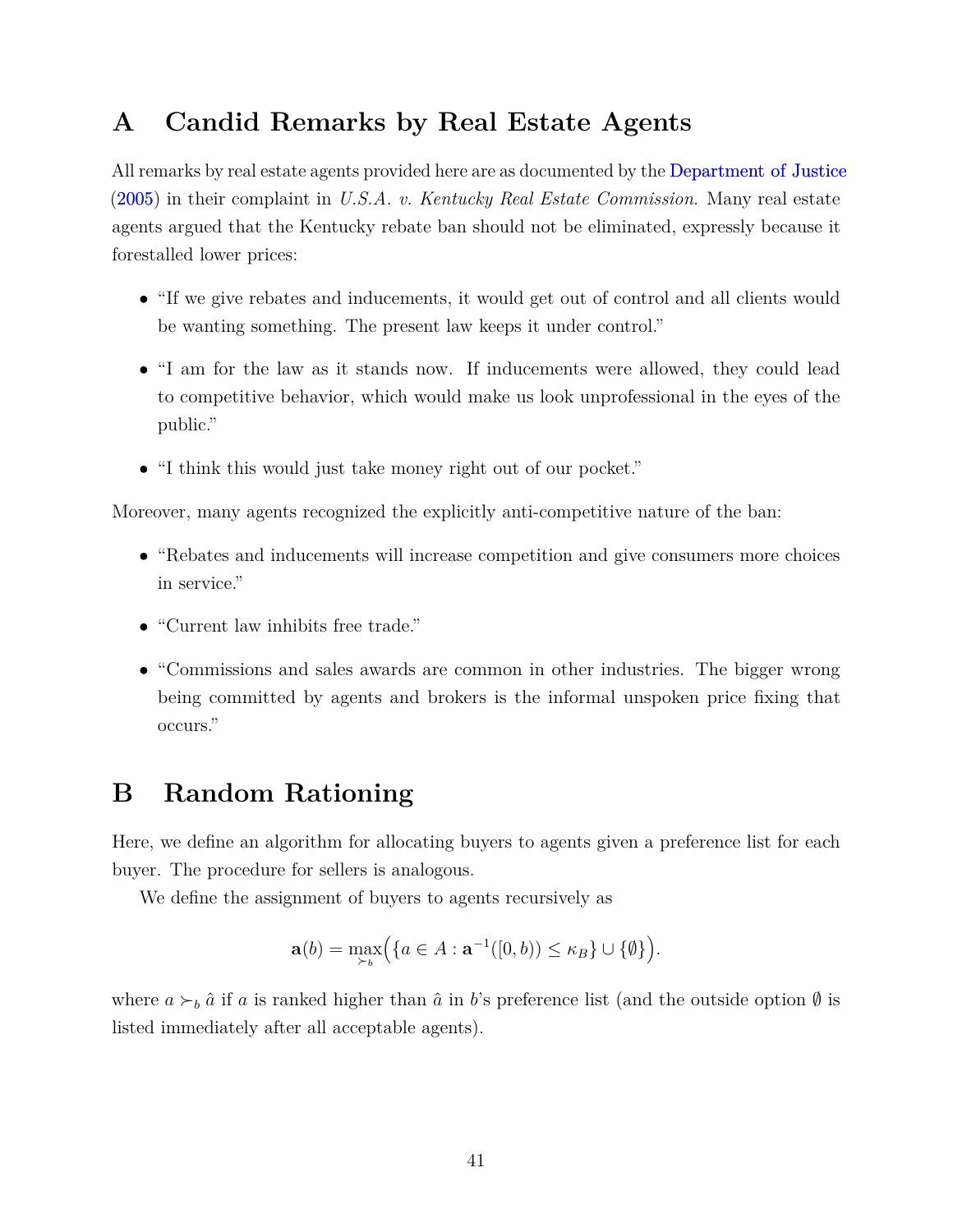# <span id="page-42-2"></span><span id="page-42-0"></span>**A Candid Remarks by Real Estate Agents**

All remarks by real estate agents provided here are as documented by the [Department of Justice](#page-39-5) [\(2005\)](#page-39-5) in their complaint in *U.S.A. v. Kentucky Real Estate Commission*. Many real estate agents argued that the Kentucky rebate ban should not be eliminated, expressly because it forestalled lower prices:

- "If we give rebates and inducements, it would get out of control and all clients would be wanting something. The present law keeps it under control."
- "I am for the law as it stands now. If inducements were allowed, they could lead to competitive behavior, which would make us look unprofessional in the eyes of the public."
- "I think this would just take money right out of our pocket."

Moreover, many agents recognized the explicitly anti-competitive nature of the ban:

- "Rebates and inducements will increase competition and give consumers more choices in service."
- "Current law inhibits free trade."
- "Commissions and sales awards are common in other industries. The bigger wrong being committed by agents and brokers is the informal unspoken price fixing that occurs."

# <span id="page-42-1"></span>**B Random Rationing**

Here, we define an algorithm for allocating buyers to agents given a preference list for each buyer. The procedure for sellers is analogous.

We define the assignment of buyers to agents recursively as

$$
\mathbf{a}(b) = \max_{\succ_b} \Big( \{ a \in A : \mathbf{a}^{-1}([0,b)) \le \kappa_B \} \cup \{ \emptyset \} \Big).
$$

where  $a \succ_b \hat{a}$  if *a* is ranked higher than  $\hat{a}$  in *b*'s preference list (and the outside option  $\emptyset$  is listed immediately after all acceptable agents).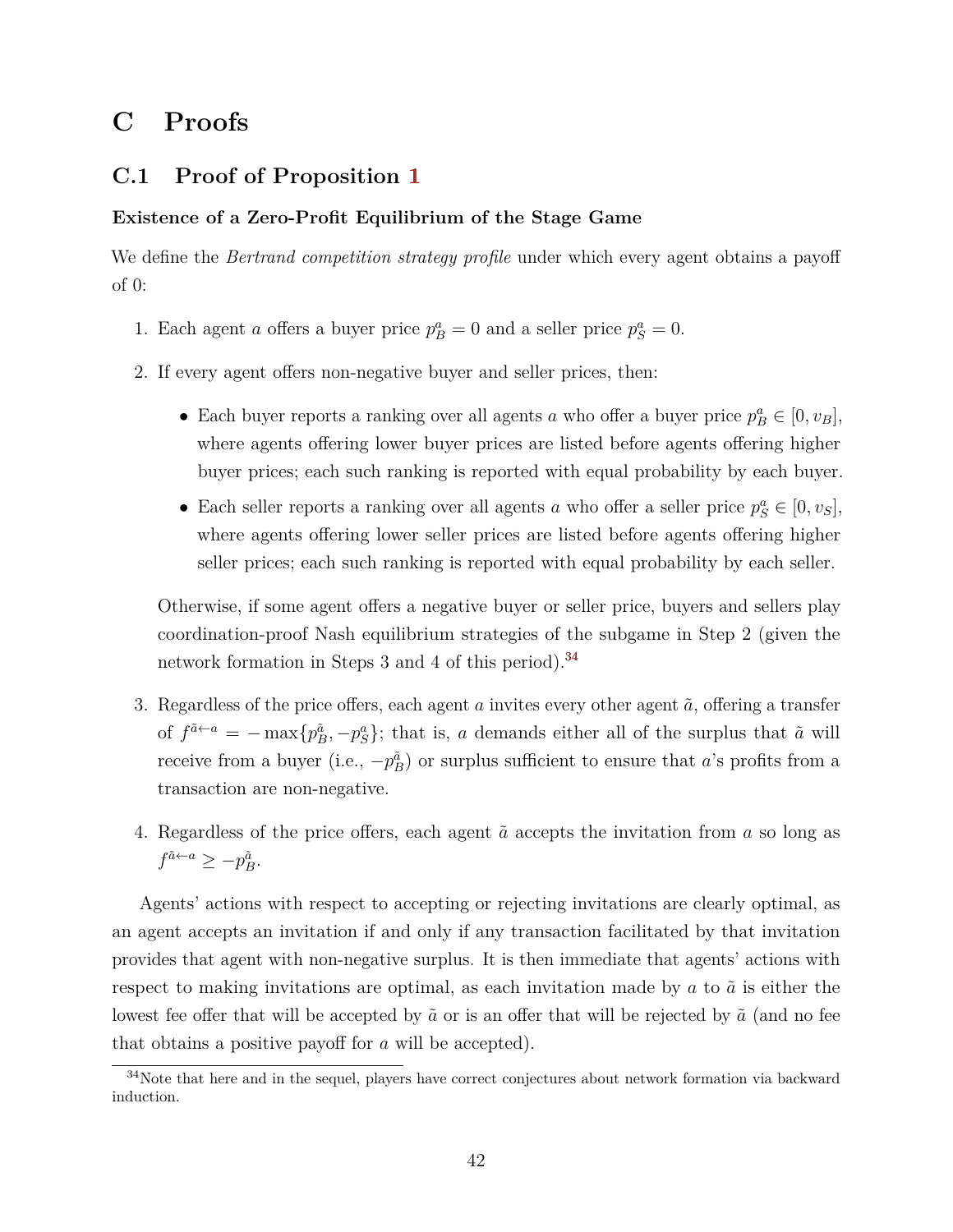# **C Proofs**

## <span id="page-43-1"></span>**C.1 Proof of Proposition [1](#page-12-0)**

## **Existence of a Zero-Profit Equilibrium of the Stage Game**

We define the *Bertrand competition strategy profile* under which every agent obtains a payoff of 0:

- 1. Each agent *a* offers a buyer price  $p_B^a = 0$  and a seller price  $p_S^a = 0$ .
- 2. If every agent offers non-negative buyer and seller prices, then:
	- Each buyer reports a ranking over all agents *a* who offer a buyer price  $p_B^a \in [0, v_B]$ , where agents offering lower buyer prices are listed before agents offering higher buyer prices; each such ranking is reported with equal probability by each buyer.
	- Each seller reports a ranking over all agents *a* who offer a seller price  $p_S^a \in [0, v_S]$ , where agents offering lower seller prices are listed before agents offering higher seller prices; each such ranking is reported with equal probability by each seller.

Otherwise, if some agent offers a negative buyer or seller price, buyers and sellers play coordination-proof Nash equilibrium strategies of the subgame in Step 2 (given the network formation in Steps 3 and 4 of this period).<sup>[34](#page-43-0)</sup>

- 3. Regardless of the price offers, each agent  $a$  invites every other agent  $\tilde{a}$ , offering a transfer of  $f^{\tilde{a} \leftarrow a} = -\max\{p_B^{\tilde{a}}, -p_S^a\}$ ; that is, *a* demands either all of the surplus that  $\tilde{a}$  will receive from a buyer (i.e.,  $-p_B^{\tilde{a}}$ ) or surplus sufficient to ensure that *a*'s profits from a transaction are non-negative.
- 4. Regardless of the price offers, each agent  $\tilde{a}$  accepts the invitation from  $a$  so long as  $f^{\tilde{a} \leftarrow a} \geq -p_B^{\tilde{a}}$ .

Agents' actions with respect to accepting or rejecting invitations are clearly optimal, as an agent accepts an invitation if and only if any transaction facilitated by that invitation provides that agent with non-negative surplus. It is then immediate that agents' actions with respect to making invitations are optimal, as each invitation made by  $a$  to  $\tilde{a}$  is either the lowest fee offer that will be accepted by  $\tilde{a}$  or is an offer that will be rejected by  $\tilde{a}$  (and no fee that obtains a positive payoff for *a* will be accepted).

<span id="page-43-0"></span><sup>&</sup>lt;sup>34</sup>Note that here and in the sequel, players have correct conjectures about network formation via backward induction.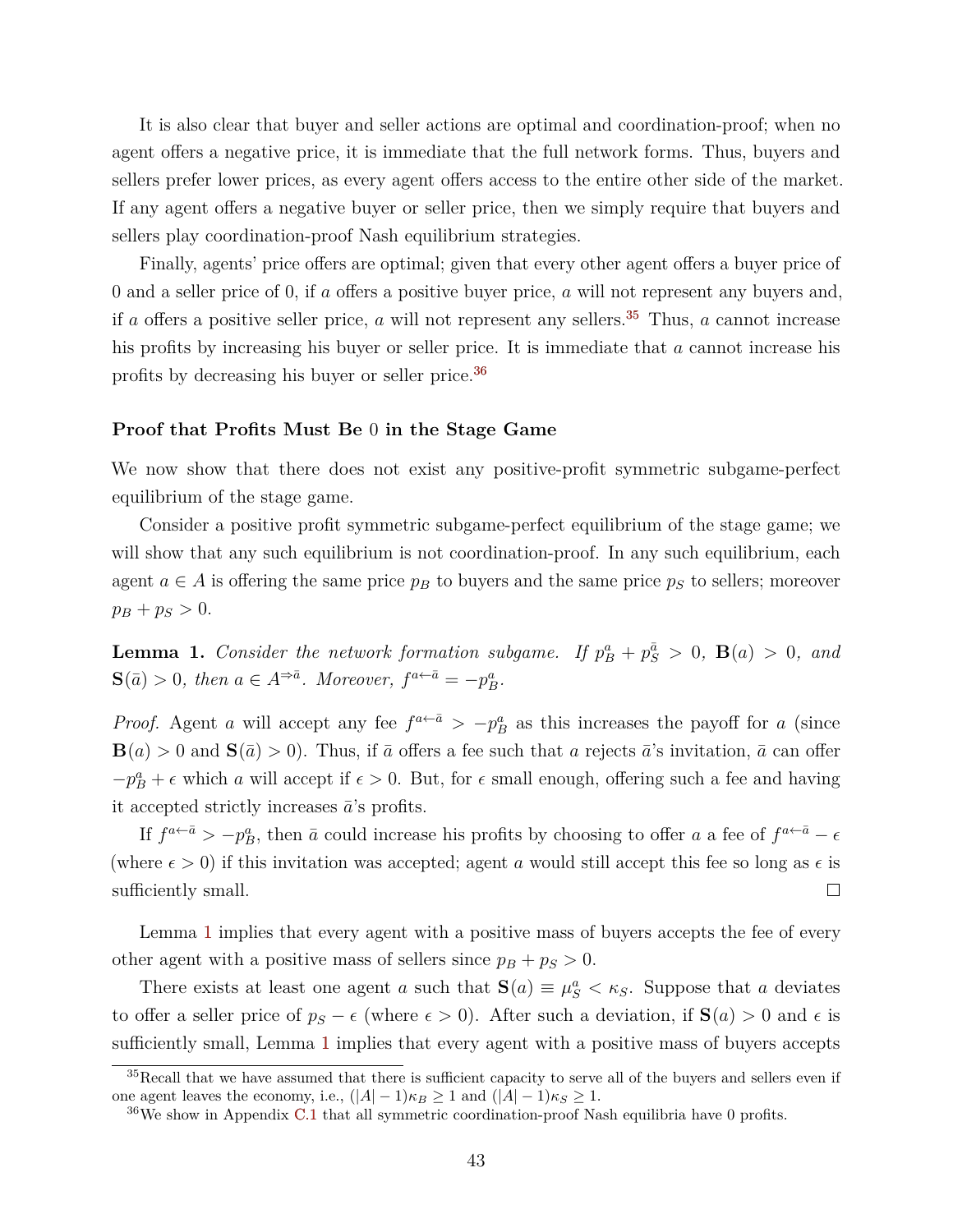It is also clear that buyer and seller actions are optimal and coordination-proof; when no agent offers a negative price, it is immediate that the full network forms. Thus, buyers and sellers prefer lower prices, as every agent offers access to the entire other side of the market. If any agent offers a negative buyer or seller price, then we simply require that buyers and sellers play coordination-proof Nash equilibrium strategies.

Finally, agents' price offers are optimal; given that every other agent offers a buyer price of 0 and a seller price of 0, if *a* offers a positive buyer price, *a* will not represent any buyers and, if *a* offers a positive seller price, *a* will not represent any sellers.<sup>[35](#page-44-0)</sup> Thus, *a* cannot increase his profits by increasing his buyer or seller price. It is immediate that *a* cannot increase his profits by decreasing his buyer or seller price.[36](#page-44-1)

#### **Proof that Profits Must Be** 0 **in the Stage Game**

We now show that there does not exist any positive-profit symmetric subgame-perfect equilibrium of the stage game.

Consider a positive profit symmetric subgame-perfect equilibrium of the stage game; we will show that any such equilibrium is not coordination-proof. In any such equilibrium, each agent  $a \in A$  is offering the same price  $p_B$  to buyers and the same price  $p_S$  to sellers; moreover  $p_B + p_S > 0.$ 

<span id="page-44-2"></span>**Lemma 1.** *Consider the network formation subgame.* If  $p_B^a + p_S^{\bar{a}} > 0$ ,  $B(a) > 0$ , and  $\mathbf{S}(\bar{a}) > 0$ , then  $a \in A^{\Rightarrow \bar{a}}$ . Moreover,  $f^{a \leftarrow \bar{a}} = -p_B^a$ .

*Proof.* Agent *a* will accept any fee  $f^{a \leftarrow \bar{a}} > -p_B^a$  as this increases the payoff for *a* (since  $\mathbf{B}(a) > 0$  and  $\mathbf{S}(\bar{a}) > 0$ ). Thus, if  $\bar{a}$  offers a fee such that *a* rejects  $\bar{a}$ 's invitation,  $\bar{a}$  can offer  $-p_B^a + \epsilon$  which *a* will accept if  $\epsilon > 0$ . But, for  $\epsilon$  small enough, offering such a fee and having it accepted strictly increases  $\bar{a}$ 's profits.

If  $f^{a \leftarrow \bar{a}} > -p_B^a$ , then  $\bar{a}$  could increase his profits by choosing to offer *a* a fee of  $f^{a \leftarrow \bar{a}} - \epsilon$ (where  $\epsilon > 0$ ) if this invitation was accepted; agent *a* would still accept this fee so long as  $\epsilon$  is sufficiently small.  $\Box$ 

Lemma [1](#page-44-2) implies that every agent with a positive mass of buyers accepts the fee of every other agent with a positive mass of sellers since  $p_B + p_S > 0$ .

There exists at least one agent *a* such that  $\mathbf{S}(a) \equiv \mu_S^a < \kappa_S$ . Suppose that *a* deviates to offer a seller price of  $p_s - \epsilon$  (where  $\epsilon > 0$ ). After such a deviation, if  $\mathbf{S}(a) > 0$  and  $\epsilon$  is sufficiently small, Lemma [1](#page-44-2) implies that every agent with a positive mass of buyers accepts

<span id="page-44-0"></span> $35$ Recall that we have assumed that there is sufficient capacity to serve all of the buyers and sellers even if one agent leaves the economy, i.e.,  $(|A| - 1)\kappa_B \geq 1$  and  $(|A| - 1)\kappa_S \geq 1$ .

<span id="page-44-1"></span> $36\text{We show in Appendix C.1 that all symmetric coordination-proof Nash equilibria have 0 profits.}$  $36\text{We show in Appendix C.1 that all symmetric coordination-proof Nash equilibria have 0 profits.}$  $36\text{We show in Appendix C.1 that all symmetric coordination-proof Nash equilibria have 0 profits.}$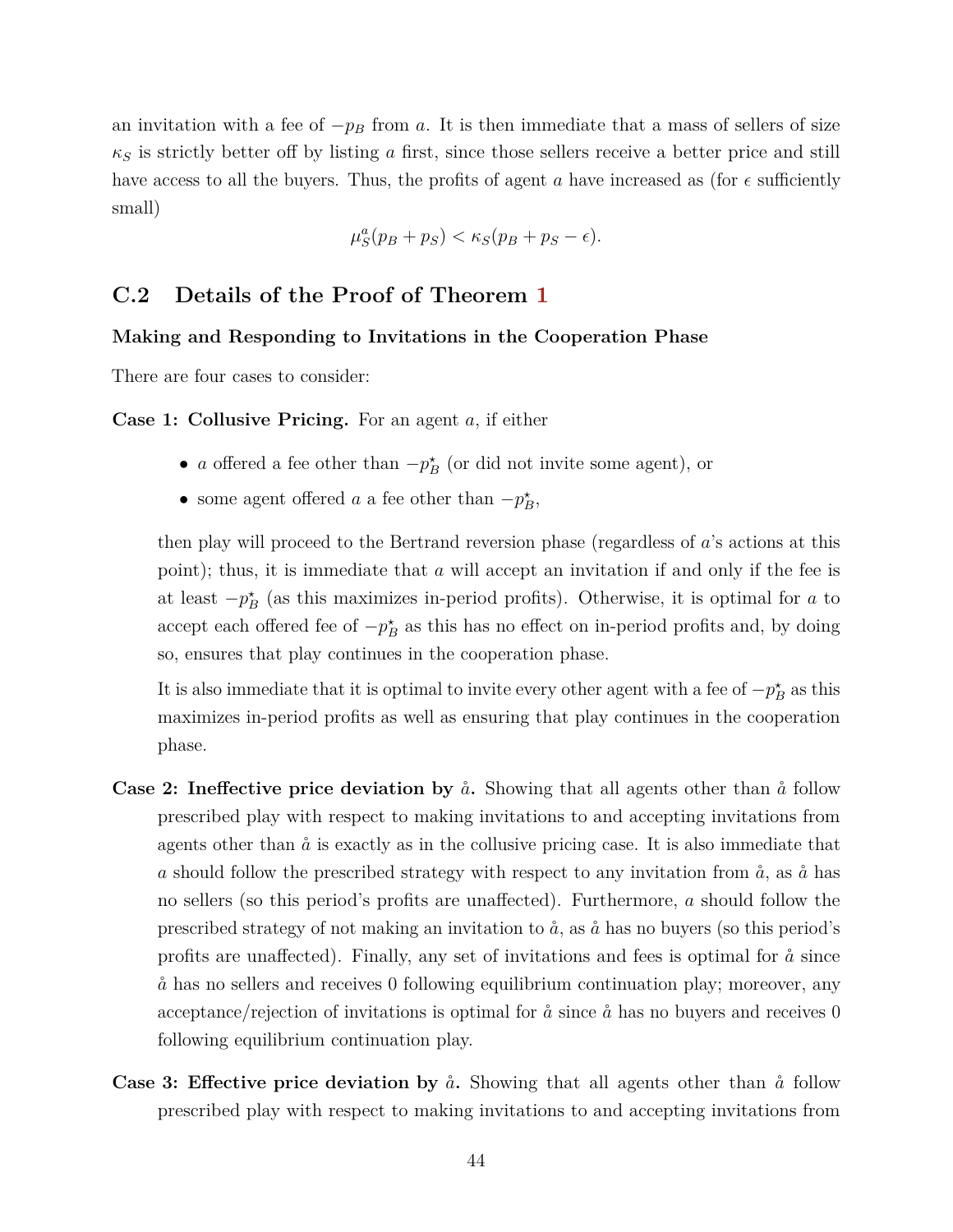an invitation with a fee of  $-p_B$  from *a*. It is then immediate that a mass of sellers of size *κ<sup>S</sup>* is strictly better off by listing *a* first, since those sellers receive a better price and still have access to all the buyers. Thus, the profits of agent *a* have increased as (for  $\epsilon$  sufficiently small)

$$
\mu_S^a(p_B + p_S) < \kappa_S(p_B + p_S - \epsilon).
$$

## <span id="page-45-0"></span>**C.2 Details of the Proof of Theorem [1](#page-11-1)**

## **Making and Responding to Invitations in the Cooperation Phase**

There are four cases to consider:

**Case 1: Collusive Pricing.** For an agent *a*, if either

- *a* offered a fee other than  $-p_B^*$  (or did not invite some agent), or
- some agent offered *a* a fee other than  $-p_B^*$ ,

then play will proceed to the Bertrand reversion phase (regardless of *a*'s actions at this point); thus, it is immediate that *a* will accept an invitation if and only if the fee is at least  $-p_B^*$  (as this maximizes in-period profits). Otherwise, it is optimal for *a* to accept each offered fee of  $-p_B^*$  as this has no effect on in-period profits and, by doing so, ensures that play continues in the cooperation phase.

It is also immediate that it is optimal to invite every other agent with a fee of  $-p_B^*$  as this maximizes in-period profits as well as ensuring that play continues in the cooperation phase.

- **Case 2: Ineffective price deviation by**  $\aa$ . Showing that all agents other than  $\aa$  follow prescribed play with respect to making invitations to and accepting invitations from agents other than  $\aa$  is exactly as in the collusive pricing case. It is also immediate that *a* should follow the prescribed strategy with respect to any invitation from  $\hat{a}$ , as  $\hat{a}$  has no sellers (so this period's profits are unaffected). Furthermore, *a* should follow the prescribed strategy of not making an invitation to  $\hat{a}$ , as  $\hat{a}$  has no buyers (so this period's profits are unaffected). Finally, any set of invitations and fees is optimal for  $\dot{a}$  since  $\aa$  has no sellers and receives 0 following equilibrium continuation play; moreover, any acceptance/rejection of invitations is optimal for  $\hat{a}$  since  $\hat{a}$  has no buyers and receives 0 following equilibrium continuation play.
- **Case 3: Effective price deviation by**  $\aa$ . Showing that all agents other than  $\aa$  follow prescribed play with respect to making invitations to and accepting invitations from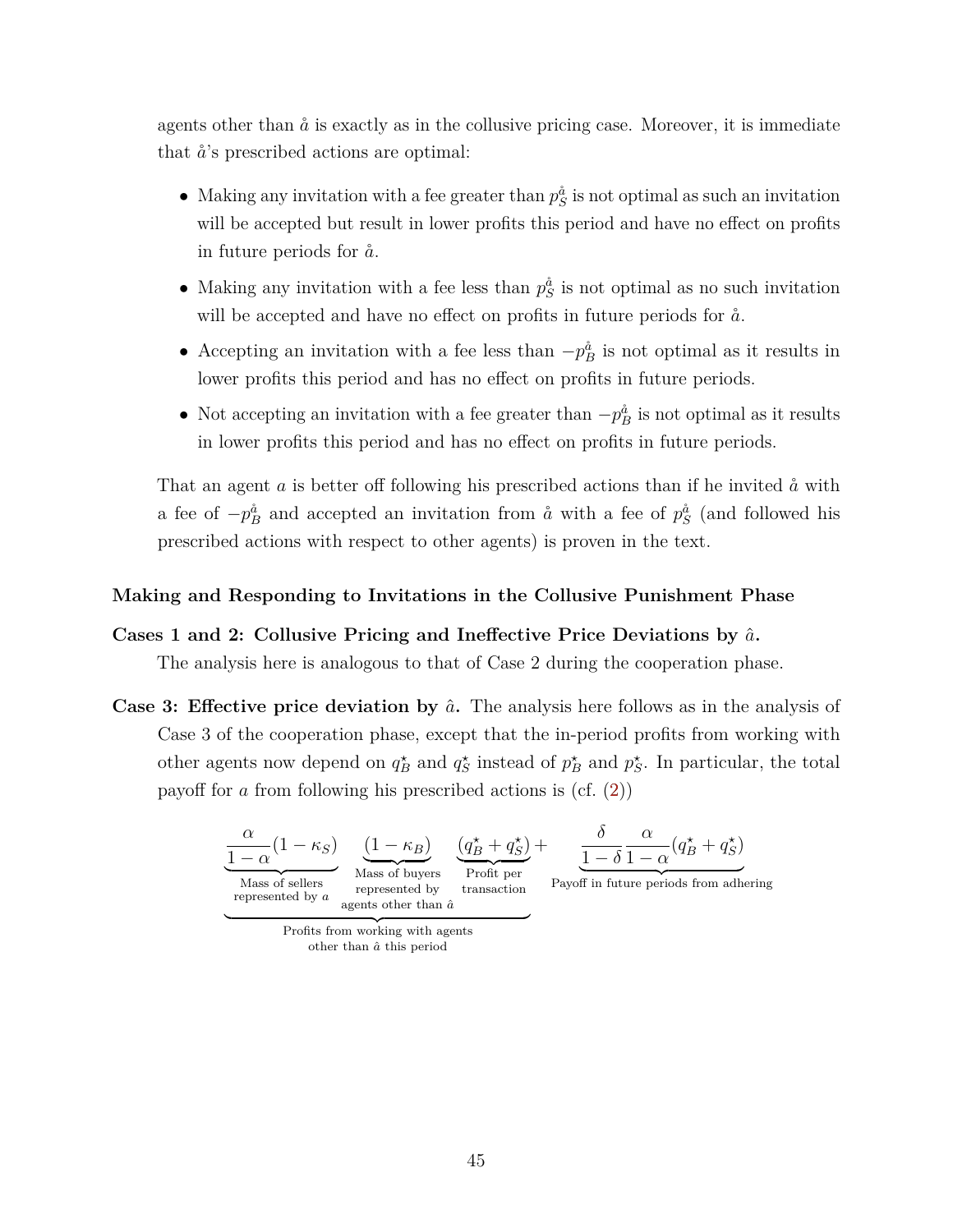agents other than  $\aa$  is exactly as in the collusive pricing case. Moreover, it is immediate that  $\hat{a}$ 's prescribed actions are optimal:

- Making any invitation with a fee greater than  $p_S^{\hat{a}}$  is not optimal as such an invitation will be accepted but result in lower profits this period and have no effect on profits in future periods for  $\aa$ .
- Making any invitation with a fee less than  $p_S^{\hat{a}}$  is not optimal as no such invitation will be accepted and have no effect on profits in future periods for  $\aa$ .
- Accepting an invitation with a fee less than  $-p_B^{\hat{a}}$  is not optimal as it results in lower profits this period and has no effect on profits in future periods.
- Not accepting an invitation with a fee greater than  $-p_B^{\hat{a}}$  is not optimal as it results in lower profits this period and has no effect on profits in future periods.

That an agent  $\alpha$  is better off following his prescribed actions than if he invited  $\alpha$  with a fee of  $-p_B^{\hat{a}}$  and accepted an invitation from  $\hat{a}$  with a fee of  $p_S^{\hat{a}}$  (and followed his prescribed actions with respect to other agents) is proven in the text.

## **Making and Responding to Invitations in the Collusive Punishment Phase**

- **Cases 1 and 2: Collusive Pricing and Ineffective Price Deviations by** *a*ˆ**.** The analysis here is analogous to that of Case 2 during the cooperation phase.
- **Case 3: Effective price deviation by**  $\hat{a}$ . The analysis here follows as in the analysis of Case 3 of the cooperation phase, except that the in-period profits from working with other agents now depend on  $q_B^*$  and  $q_S^*$  instead of  $p_B^*$  and  $p_S^*$ . In particular, the total payoff for *a* from following his prescribed actions is (cf. [\(2\)](#page-18-3))

$$
\underbrace{\frac{\alpha}{1-\alpha}(1-\kappa_S)}_{\text{Mass of sellers}} \underbrace{\frac{(1-\kappa_B)}{\text{Mass of buyers}}_{\text{represented by a}} \underbrace{\frac{(q_B^\star+q_S^\star)}{\text{Profit per}}}_{\text{transaction}} + \underbrace{\frac{\delta}{1-\delta}\frac{\alpha}{1-\alpha}(q_B^\star+q_S^\star)}_{\text{Payoff in future periods from adhering}}
$$

Profits from working with agents other than *a*ˆ this period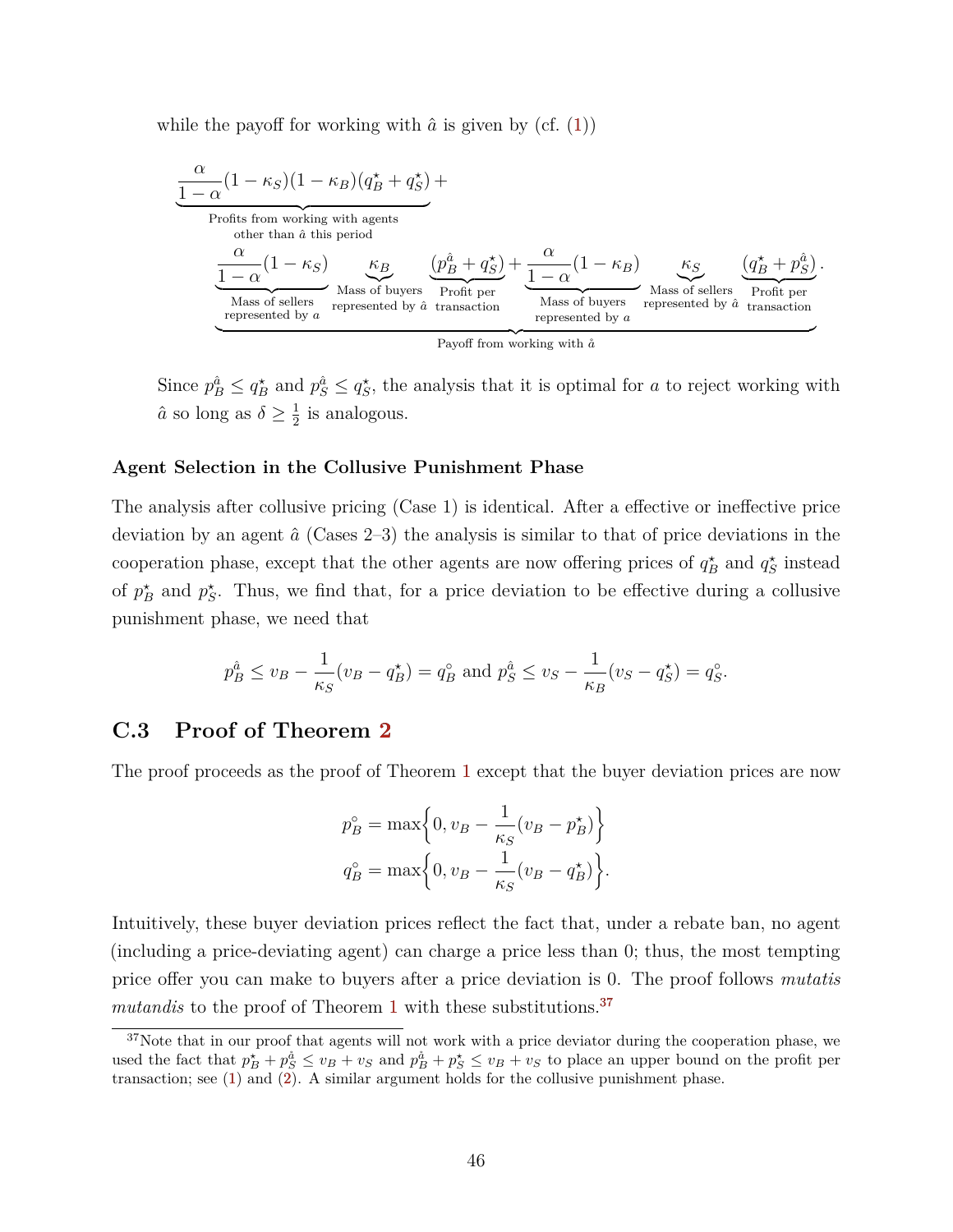while the payoff for working with  $\hat{a}$  is given by (cf.  $(1)$ )

$$
\underbrace{\frac{\alpha}{1-\alpha}(1-\kappa_S)(1-\kappa_B)(q_B^\star+q_S^\star)}_{\text{Profits from working with agents}}_{\text{there than }\hat{a} \text{ this period}} + \underbrace{\frac{\alpha}{1-\alpha}(1-\kappa_S)}_{\text{Mass of sellers}} \underbrace{\kappa_B}_{\text{Profit per}} \underbrace{\frac{\alpha}{1-\alpha}(1-\kappa_B)}_{\text{Profit per}} + \underbrace{\frac{\alpha}{1-\alpha}(1-\kappa_B)}_{\text{Mass of buyers}} \underbrace{\kappa_S}_{\text{Mass of sellers}} \underbrace{\frac{\alpha}{q_B^\star+p_S^{\hat{a}}}}_{\text{represented by }a}.
$$

Since  $p_B^{\hat{a}} \le q_B^*$  and  $p_S^{\hat{a}} \le q_S^*$ , the analysis that it is optimal for *a* to reject working with  $\hat{a}$  so long as  $\delta \geq \frac{1}{2}$  $\frac{1}{2}$  is analogous.

#### **Agent Selection in the Collusive Punishment Phase**

The analysis after collusive pricing (Case 1) is identical. After a effective or ineffective price deviation by an agent *a*ˆ (Cases 2–3) the analysis is similar to that of price deviations in the cooperation phase, except that the other agents are now offering prices of  $q_B^*$  and  $q_S^*$  instead of  $p_B^*$  and  $p_S^*$ . Thus, we find that, for a price deviation to be effective during a collusive punishment phase, we need that

$$
p_B^{\hat{a}} \le v_B - \frac{1}{\kappa_S}(v_B - q_B^*) = q_B^{\circ}
$$
 and  $p_S^{\hat{a}} \le v_S - \frac{1}{\kappa_B}(v_S - q_S^*) = q_S^{\circ}$ .

## **C.3 Proof of Theorem [2](#page-25-3)**

The proof proceeds as the proof of Theorem [1](#page-11-1) except that the buyer deviation prices are now

$$
p_B^{\circ} = \max\left\{0, v_B - \frac{1}{\kappa_S}(v_B - p_B^{\star})\right\}
$$

$$
q_B^{\circ} = \max\left\{0, v_B - \frac{1}{\kappa_S}(v_B - q_B^{\star})\right\}.
$$

Intuitively, these buyer deviation prices reflect the fact that, under a rebate ban, no agent (including a price-deviating agent) can charge a price less than 0; thus, the most tempting price offer you can make to buyers after a price deviation is 0. The proof follows *mutatis mutandis* to the proof of Theorem [1](#page-11-1) with these substitutions.<sup>[37](#page-47-0)</sup>

<span id="page-47-0"></span><sup>&</sup>lt;sup>37</sup>Note that in our proof that agents will not work with a price deviator during the cooperation phase, we used the fact that  $p_B^* + p_S^* \leq v_B + v_S$  and  $p_B^* + p_S^* \leq v_B + v_S$  to place an upper bound on the profit per transaction; see [\(1\)](#page-18-4) and [\(2\)](#page-18-3). A similar argument holds for the collusive punishment phase.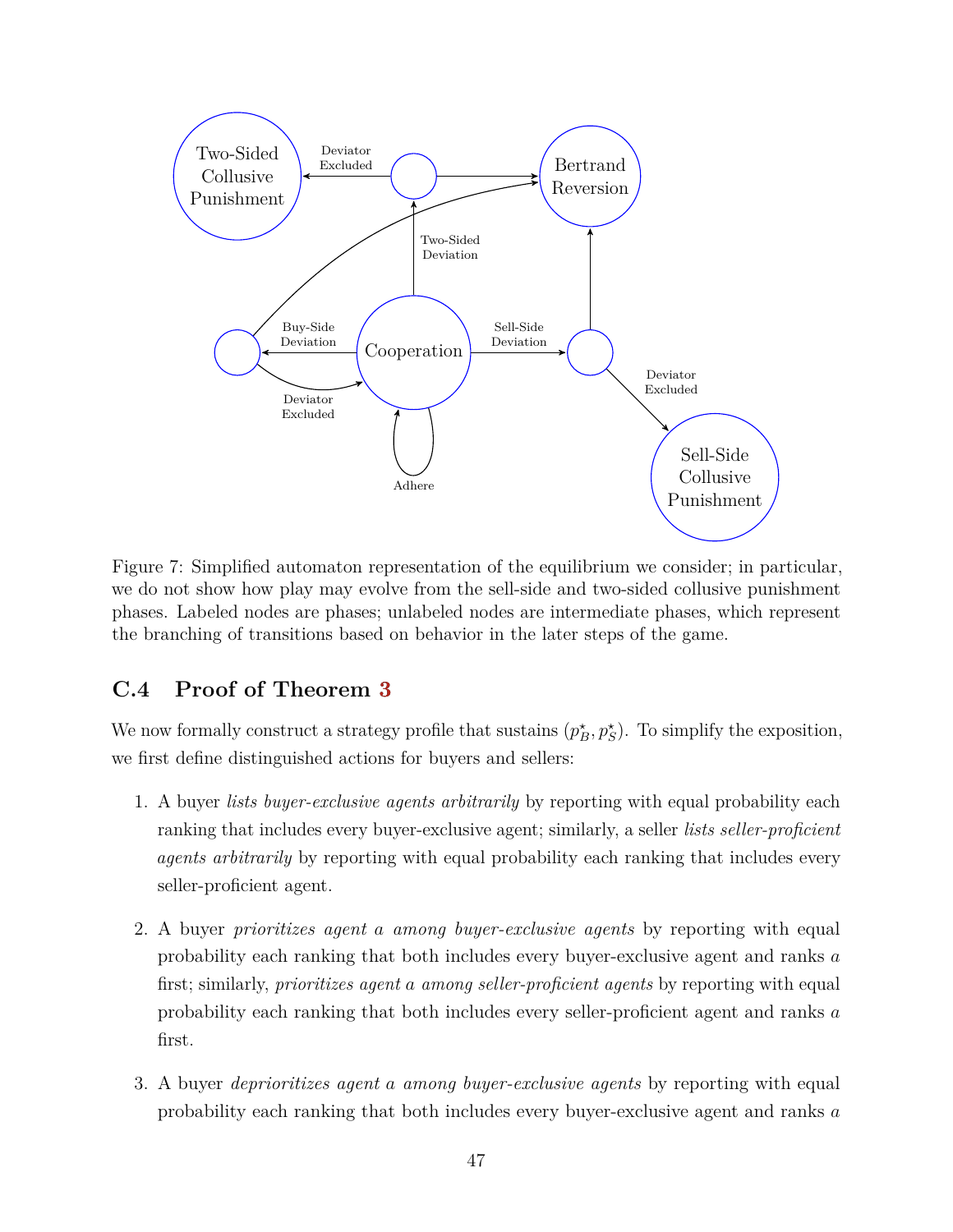

Figure 7: Simplified automaton representation of the equilibrium we consider; in particular, we do not show how play may evolve from the sell-side and two-sided collusive punishment phases. Labeled nodes are phases; unlabeled nodes are intermediate phases, which represent the branching of transitions based on behavior in the later steps of the game.

## **C.4 Proof of Theorem [3](#page-27-0)**

We now formally construct a strategy profile that sustains  $(p_B^*, p_S^*)$ . To simplify the exposition, we first define distinguished actions for buyers and sellers:

- 1. A buyer *lists buyer-exclusive agents arbitrarily* by reporting with equal probability each ranking that includes every buyer-exclusive agent; similarly, a seller *lists seller-proficient agents arbitrarily* by reporting with equal probability each ranking that includes every seller-proficient agent.
- 2. A buyer *prioritizes agent a among buyer-exclusive agents* by reporting with equal probability each ranking that both includes every buyer-exclusive agent and ranks *a* first; similarly, *prioritizes agent a among seller-proficient agents* by reporting with equal probability each ranking that both includes every seller-proficient agent and ranks *a* first.
- 3. A buyer *deprioritizes agent a among buyer-exclusive agents* by reporting with equal probability each ranking that both includes every buyer-exclusive agent and ranks *a*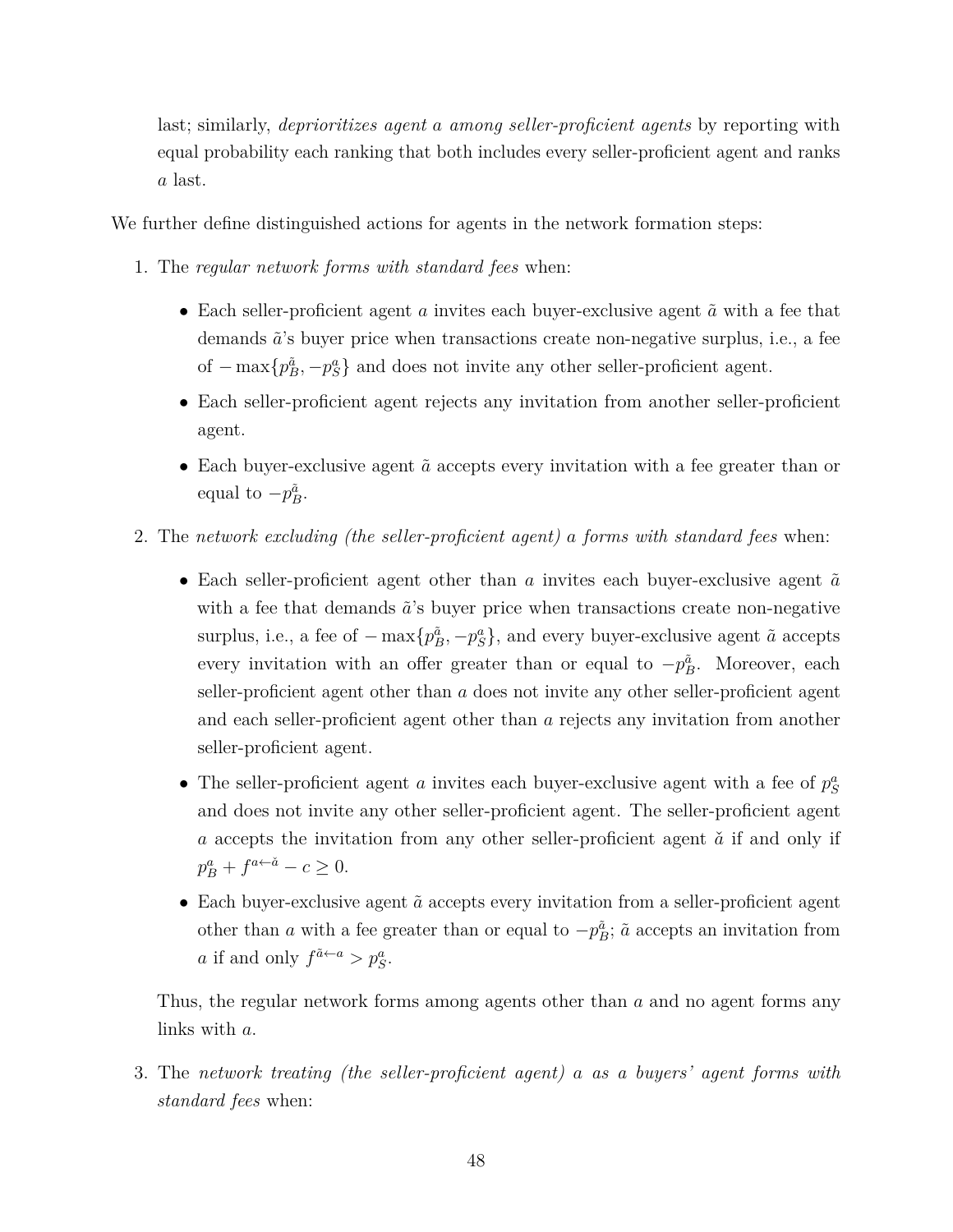last; similarly, *deprioritizes agent a among seller-proficient agents* by reporting with equal probability each ranking that both includes every seller-proficient agent and ranks *a* last.

We further define distinguished actions for agents in the network formation steps:

- 1. The *regular network forms with standard fees* when:
	- Each seller-proficient agent  $a$  invites each buyer-exclusive agent  $\tilde{a}$  with a fee that demands  $\tilde{a}$ 's buyer price when transactions create non-negative surplus, i.e., a fee of  $-\max\{p_B^{\tilde{a}}, -p_S^a\}$  and does not invite any other seller-proficient agent.
	- Each seller-proficient agent rejects any invitation from another seller-proficient agent.
	- Each buyer-exclusive agent  $\tilde{a}$  accepts every invitation with a fee greater than or equal to  $-p_B^{\tilde{a}}$ .
- 2. The *network excluding (the seller-proficient agent) a forms with standard fees* when:
	- Each seller-proficient agent other than  $a$  invites each buyer-exclusive agent  $\tilde{a}$ with a fee that demands  $\tilde{a}$ 's buyer price when transactions create non-negative surplus, i.e., a fee of  $-\max\{p_B^{\tilde{a}}, -p_S^a\}$ , and every buyer-exclusive agent  $\tilde{a}$  accepts every invitation with an offer greater than or equal to  $-p_B^{\tilde{a}}$ . Moreover, each seller-proficient agent other than *a* does not invite any other seller-proficient agent and each seller-proficient agent other than *a* rejects any invitation from another seller-proficient agent.
	- The seller-proficient agent *a* invites each buyer-exclusive agent with a fee of  $p_S^a$ and does not invite any other seller-proficient agent. The seller-proficient agent *a* accepts the invitation from any other seller-proficient agent  $\check{a}$  if and only if  $p_B^a + f^{a \leftarrow \check{a}} - c \geq 0.$
	- Each buyer-exclusive agent  $\tilde{a}$  accepts every invitation from a seller-proficient agent other than *a* with a fee greater than or equal to  $-p_B^{\tilde{a}}$ ;  $\tilde{a}$  accepts an invitation from *a* if and only  $f^{\tilde{a} \leftarrow a} > p_S^a$ .

Thus, the regular network forms among agents other than *a* and no agent forms any links with *a*.

3. The *network treating (the seller-proficient agent) a as a buyers' agent forms with standard fees* when: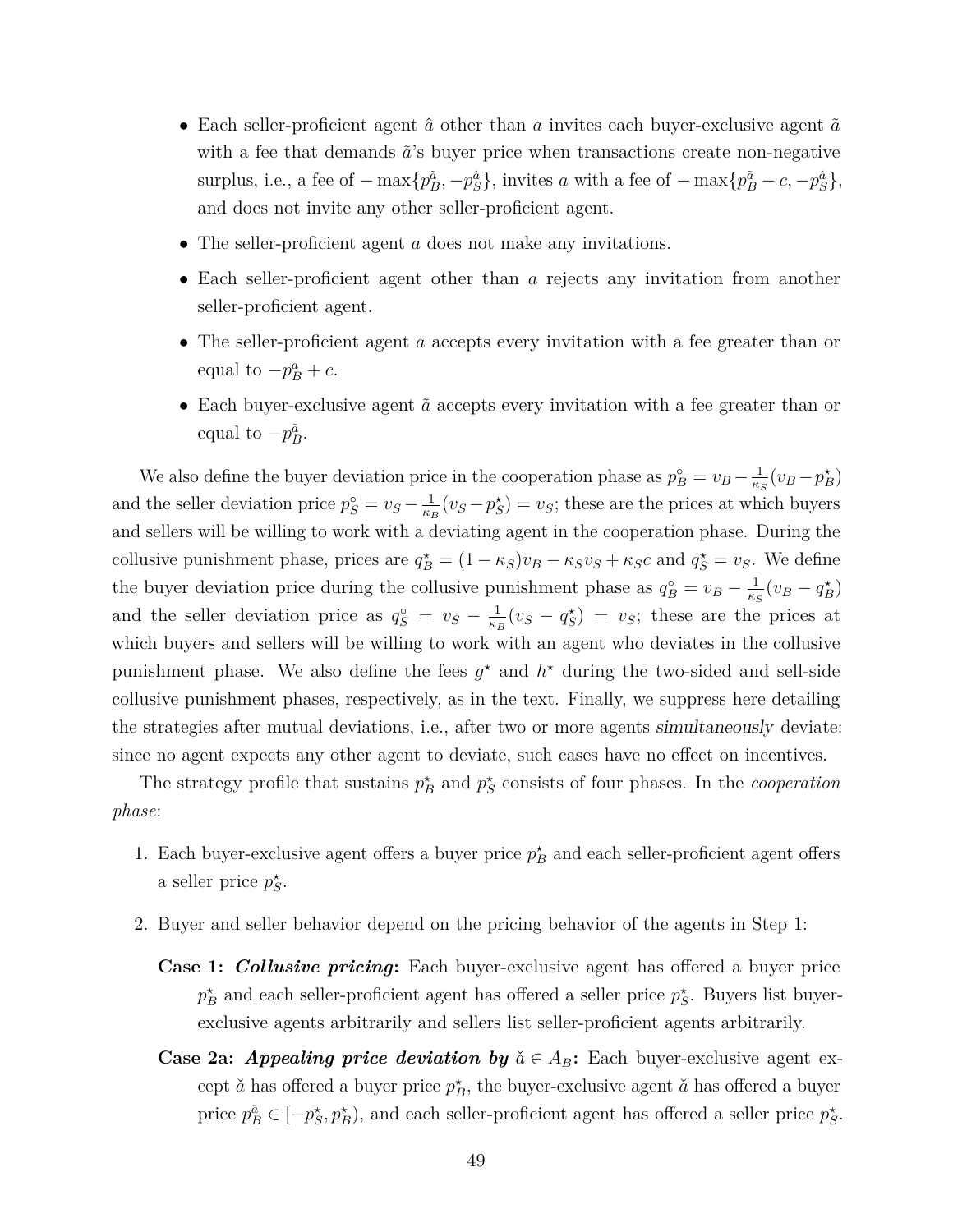- Each seller-proficient agent  $\hat{a}$  other than *a* invites each buyer-exclusive agent  $\tilde{a}$ with a fee that demands  $\tilde{a}$ 's buyer price when transactions create non-negative surplus, i.e., a fee of  $-\max\{p_B^{\tilde{a}}, -p_S^{\hat{a}}\}\$ , invites *a* with a fee of  $-\max\{p_B^{\tilde{a}} - c, -p_S^{\hat{a}}\}\$ , and does not invite any other seller-proficient agent.
- The seller-proficient agent *a* does not make any invitations.
- Each seller-proficient agent other than *a* rejects any invitation from another seller-proficient agent.
- The seller-proficient agent *a* accepts every invitation with a fee greater than or equal to  $-p_B^a + c$ .
- Each buyer-exclusive agent  $\tilde{a}$  accepts every invitation with a fee greater than or equal to  $-p_B^{\tilde{a}}$ .

We also define the buyer deviation price in the cooperation phase as  $p_B^{\circ} = v_B - \frac{1}{\kappa s}$  $\frac{1}{\kappa_S}(v_B - p_B^{\star})$ and the seller deviation price  $p_S^{\circ} = v_S - \frac{1}{\kappa_l}$  $\frac{1}{\kappa_B}(v_S - p_S^*) = v_S$ ; these are the prices at which buyers and sellers will be willing to work with a deviating agent in the cooperation phase. During the collusive punishment phase, prices are  $q_B^* = (1 - \kappa_S)v_B - \kappa_S v_S + \kappa_S c$  and  $q_S^* = v_S$ . We define the buyer deviation price during the collusive punishment phase as  $q_B^{\circ} = v_B - \frac{1}{\kappa_s}$  $\frac{1}{\kappa_S}(v_B - q_B^{\star})$ and the seller deviation price as  $q_S^{\circ} = v_S - \frac{1}{\kappa_l}$  $\frac{1}{\kappa_B}(v_S - q_S^*) = v_S$ ; these are the prices at which buyers and sellers will be willing to work with an agent who deviates in the collusive punishment phase. We also define the fees  $g^*$  and  $h^*$  during the two-sided and sell-side collusive punishment phases, respectively, as in the text. Finally, we suppress here detailing the strategies after mutual deviations, i.e., after two or more agents simultaneously deviate: since no agent expects any other agent to deviate, such cases have no effect on incentives.

The strategy profile that sustains  $p_B^*$  and  $p_S^*$  consists of four phases. In the *cooperation phase*:

- 1. Each buyer-exclusive agent offers a buyer price  $p_B^*$  and each seller-proficient agent offers a seller price  $p_S^*$ .
- 2. Buyer and seller behavior depend on the pricing behavior of the agents in Step 1:
	- **Case 1:** *Collusive pricing***:** Each buyer-exclusive agent has offered a buyer price  $p^*$  and each seller-proficient agent has offered a seller price  $p^*$ . Buyers list buyerexclusive agents arbitrarily and sellers list seller-proficient agents arbitrarily.
	- **Case 2a:** *Appealing price deviation by*  $\check{a} \in A_B$ : Each buyer-exclusive agent except  $\check{a}$  has offered a buyer price  $p_B^*$ , the buyer-exclusive agent  $\check{a}$  has offered a buyer price  $p_B^{\check{a}} \in [-p_S^{\star}, p_B^{\star})$ , and each seller-proficient agent has offered a seller price  $p_S^{\star}$ .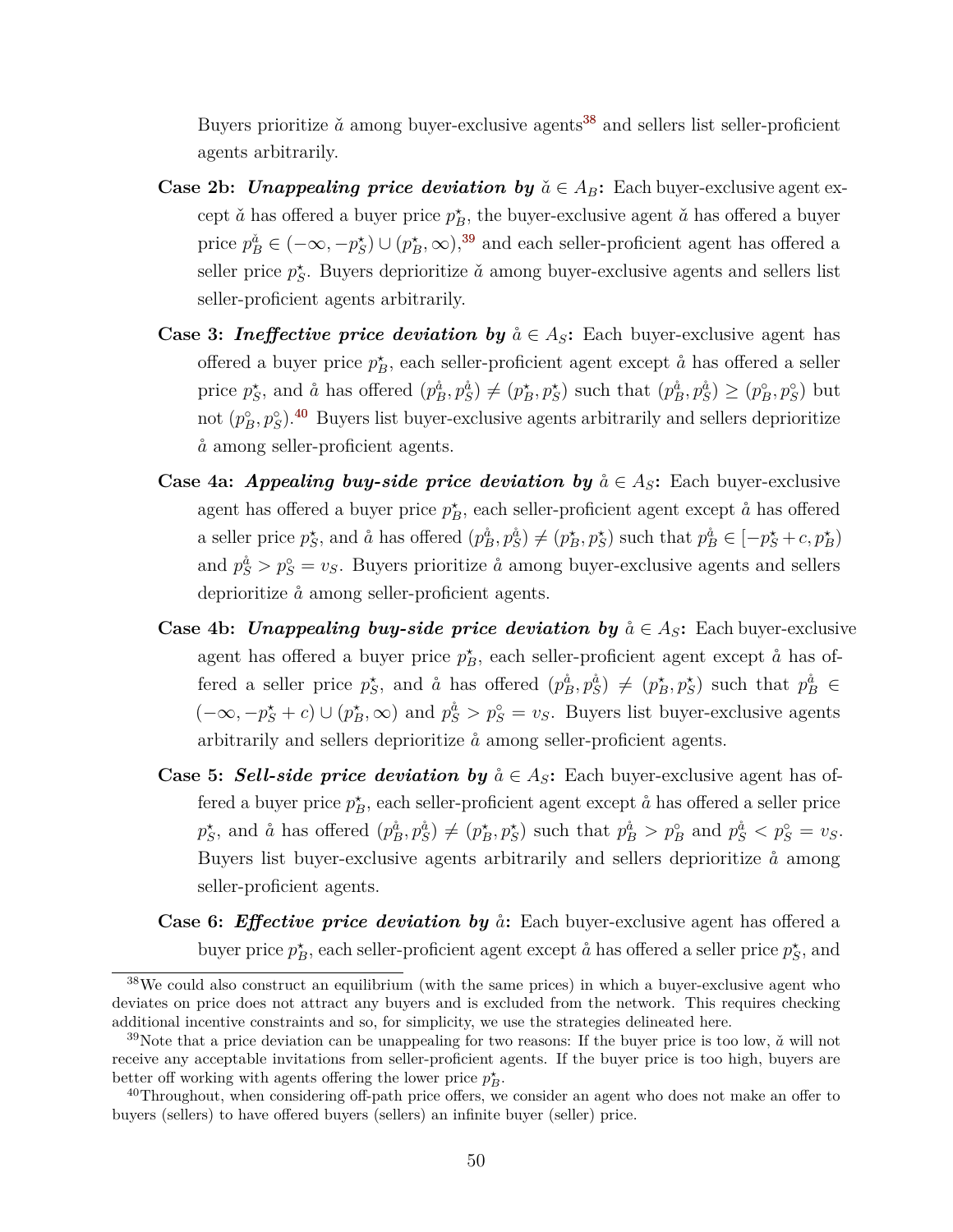Buyers prioritize  $\check{a}$  among buyer-exclusive agents<sup>[38](#page-51-0)</sup> and sellers list seller-proficient agents arbitrarily.

- **Case 2b:** *Unappealing price deviation by*  $\check{a} \in A_B$ : Each buyer-exclusive agent except  $\check{a}$  has offered a buyer price  $p_B^*$ , the buyer-exclusive agent  $\check{a}$  has offered a buyer price  $p_B^{\check{a}} \in (-\infty, -p_S^*) \cup (p_B^*, \infty),$ <sup>[39](#page-51-1)</sup> and each seller-proficient agent has offered a seller price  $p_S^*$ . Buyers deprioritize  $\check{a}$  among buyer-exclusive agents and sellers list seller-proficient agents arbitrarily.
- **Case 3:** *Ineffective price deviation by*  $\aa \in A_S$ : Each buyer-exclusive agent has offered a buyer price  $p_B^*$ , each seller-proficient agent except  $\hat{a}$  has offered a seller price  $p_S^*$ , and  $\aa$  has offered  $(p_B^{\aa}, p_S^{\aa}) \neq (p_B^*, p_S^*)$  such that  $(p_B^{\aa}, p_S^{\aa}) \geq (p_B^{\circ}, p_S^{\circ})$  but not  $(p_B^{\circ}, p_S^{\circ})$ .<sup>[40](#page-51-2)</sup> Buyers list buyer-exclusive agents arbitrarily and sellers deprioritize  $\aa$  among seller-proficient agents.
- **Case 4a:** *Appealing buy-side price deviation by*  $\aa \in A_S$ : Each buyer-exclusive agent has offered a buyer price  $p_B^*$ , each seller-proficient agent except  $\mathring{a}$  has offered a seller price  $p_S^*$ , and  $\aa$  has offered  $(p_B^{\aa}, p_S^{\aa}) \neq (p_B^*, p_S^*)$  such that  $p_B^{\aa} \in [-p_S^* + c, p_B^*)$ and  $p_S^{\hat{a}} > p_S^{\circ} = v_S$ . Buyers prioritize  $\hat{a}$  among buyer-exclusive agents and sellers deprioritize  $\hat{a}$  among seller-proficient agents.
- **Case 4b:** *Unappealing buy-side price deviation by*  $\aa \in A_S$ : Each buyer-exclusive agent has offered a buyer price  $p_B^*$ , each seller-proficient agent except  $\mathring{a}$  has offered a seller price  $p_S^*$ , and  $\aa$  has offered  $(p_B^{\aa}, p_S^{\aa}) \neq (p_B^*, p_S^*)$  such that  $p_B^{\aa} \in$  $(-\infty, -p^*_{\mathcal{S}} + c) \cup (p^*_{\mathcal{B}}, \infty)$  and  $p^{\hat{a}}_{\mathcal{S}} > p^{\circ}_{\mathcal{S}} = v_{\mathcal{S}}$ . Buyers list buyer-exclusive agents arbitrarily and sellers deprioritize  $\hat{a}$  among seller-proficient agents.
- **Case 5:** Sell-side price deviation by  $\check{a} \in A_S$ : Each buyer-exclusive agent has offered a buyer price  $p_B^*$ , each seller-proficient agent except  $\aa$  has offered a seller price  $p_S^*$ , and  $\aa$  has offered  $(p_B^{\aa}, p_S^{\aa}) \neq (p_B^*, p_S^*)$  such that  $p_B^{\aa} > p_B^{\circ}$  and  $p_S^{\aa} < p_S^{\circ} = v_S$ . Buyers list buyer-exclusive agents arbitrarily and sellers deprioritize  $\hat{a}$  among seller-proficient agents.
- **Case 6:** *Effective price deviation by*  $\hat{a}$ *:* Each buyer-exclusive agent has offered a buyer price  $p_B^*$ , each seller-proficient agent except  $\aa$  has offered a seller price  $p_S^*$ , and

<span id="page-51-0"></span><sup>&</sup>lt;sup>38</sup>We could also construct an equilibrium (with the same prices) in which a buyer-exclusive agent who deviates on price does not attract any buyers and is excluded from the network. This requires checking additional incentive constraints and so, for simplicity, we use the strategies delineated here.

<span id="page-51-1"></span><sup>&</sup>lt;sup>39</sup>Note that a price deviation can be unappealing for two reasons: If the buyer price is too low,  $\check{a}$  will not receive any acceptable invitations from seller-proficient agents. If the buyer price is too high, buyers are better off working with agents offering the lower price  $p_B^*$ .

<span id="page-51-2"></span><sup>&</sup>lt;sup>40</sup>Throughout, when considering off-path price offers, we consider an agent who does not make an offer to buyers (sellers) to have offered buyers (sellers) an infinite buyer (seller) price.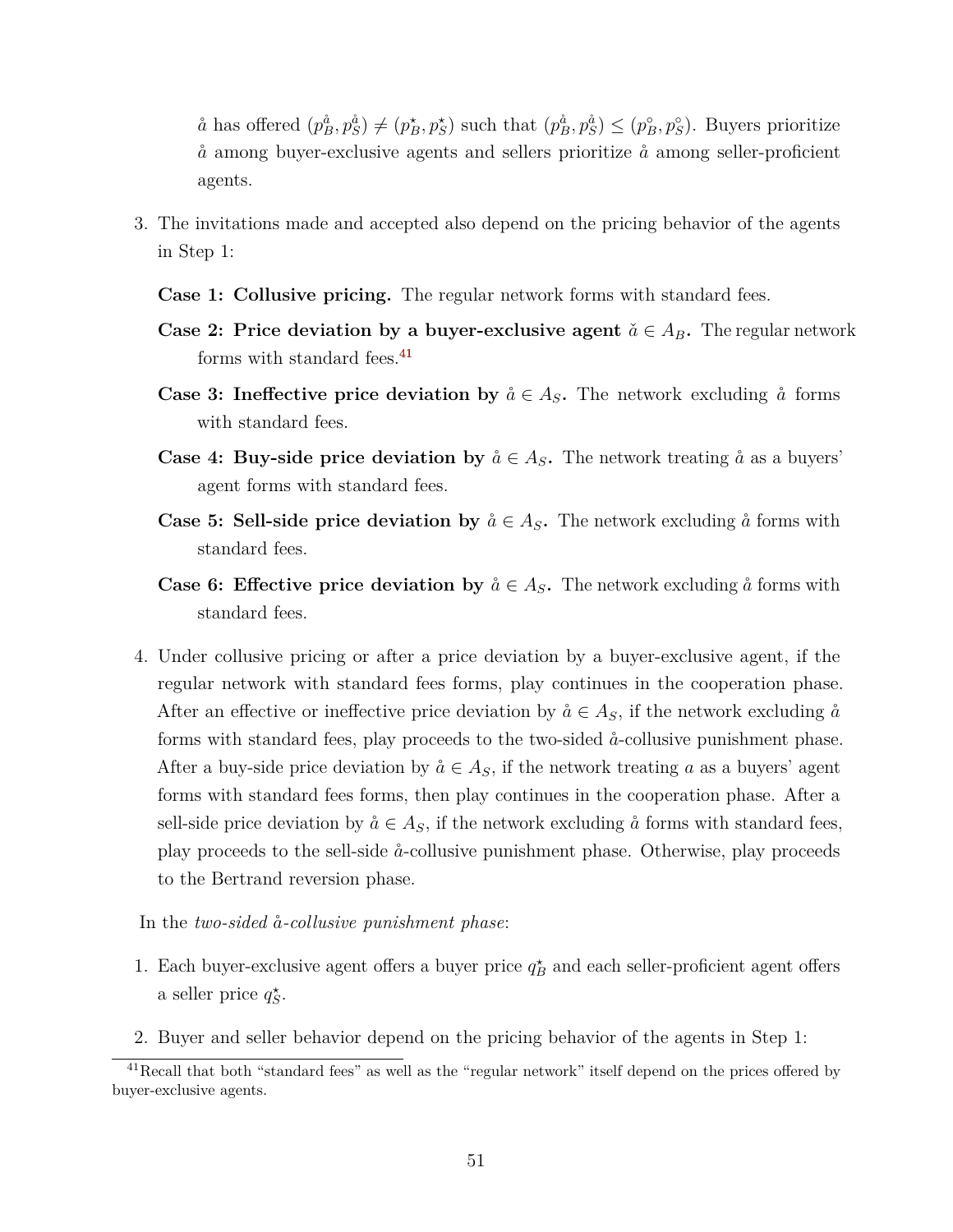$\aa$  has offered  $(p_B^{\dot{a}}, p_S^{\dot{a}}) \neq (p_B^{\star}, p_S^{\star})$  such that  $(p_B^{\dot{a}}, p_S^{\dot{a}}) \leq (p_B^{\circ}, p_S^{\circ})$ . Buyers prioritize  $\dot{a}$  among buyer-exclusive agents and sellers prioritize  $\dot{a}$  among seller-proficient agents.

- 3. The invitations made and accepted also depend on the pricing behavior of the agents in Step 1:
	- **Case 1: Collusive pricing.** The regular network forms with standard fees.
	- **Case 2: Price deviation by a buyer-exclusive agent**  $\check{a} \in A_B$ . The regular network forms with standard fees.<sup>[41](#page-52-0)</sup>
	- **Case 3: Ineffective price deviation by**  $\aa \in A_S$ . The network excluding  $\aa$  forms with standard fees.
	- **Case 4: Buy-side price deviation by**  $\aa \in A_S$ . The network treating  $\aa$  as a buyers' agent forms with standard fees.
	- **Case 5: Sell-side price deviation by**  $\aa \in A_S$ . The network excluding  $\aa$  forms with standard fees.
	- **Case 6: Effective price deviation by**  $\aa \in A_S$ . The network excluding  $\aa$  forms with standard fees.
- 4. Under collusive pricing or after a price deviation by a buyer-exclusive agent, if the regular network with standard fees forms, play continues in the cooperation phase. After an effective or ineffective price deviation by  $\aa \in A_S$ , if the network excluding  $\aa$ forms with standard fees, play proceeds to the two-sided  $\hat{a}$ -collusive punishment phase. After a buy-side price deviation by  $\aa \in A_S$ , if the network treating *a* as a buyers' agent forms with standard fees forms, then play continues in the cooperation phase. After a sell-side price deviation by  $\aa \in A_S$ , if the network excluding  $\aa$  forms with standard fees, play proceeds to the sell-side ˚*a*-collusive punishment phase. Otherwise, play proceeds to the Bertrand reversion phase.

In the *two-sided*  $\aa$ -*collusive punishment phase*:

- 1. Each buyer-exclusive agent offers a buyer price  $q_B^{\star}$  and each seller-proficient agent offers a seller price  $q_S^*$ .
- 2. Buyer and seller behavior depend on the pricing behavior of the agents in Step 1:

<span id="page-52-0"></span><sup>&</sup>lt;sup>41</sup>Recall that both "standard fees" as well as the "regular network" itself depend on the prices offered by buyer-exclusive agents.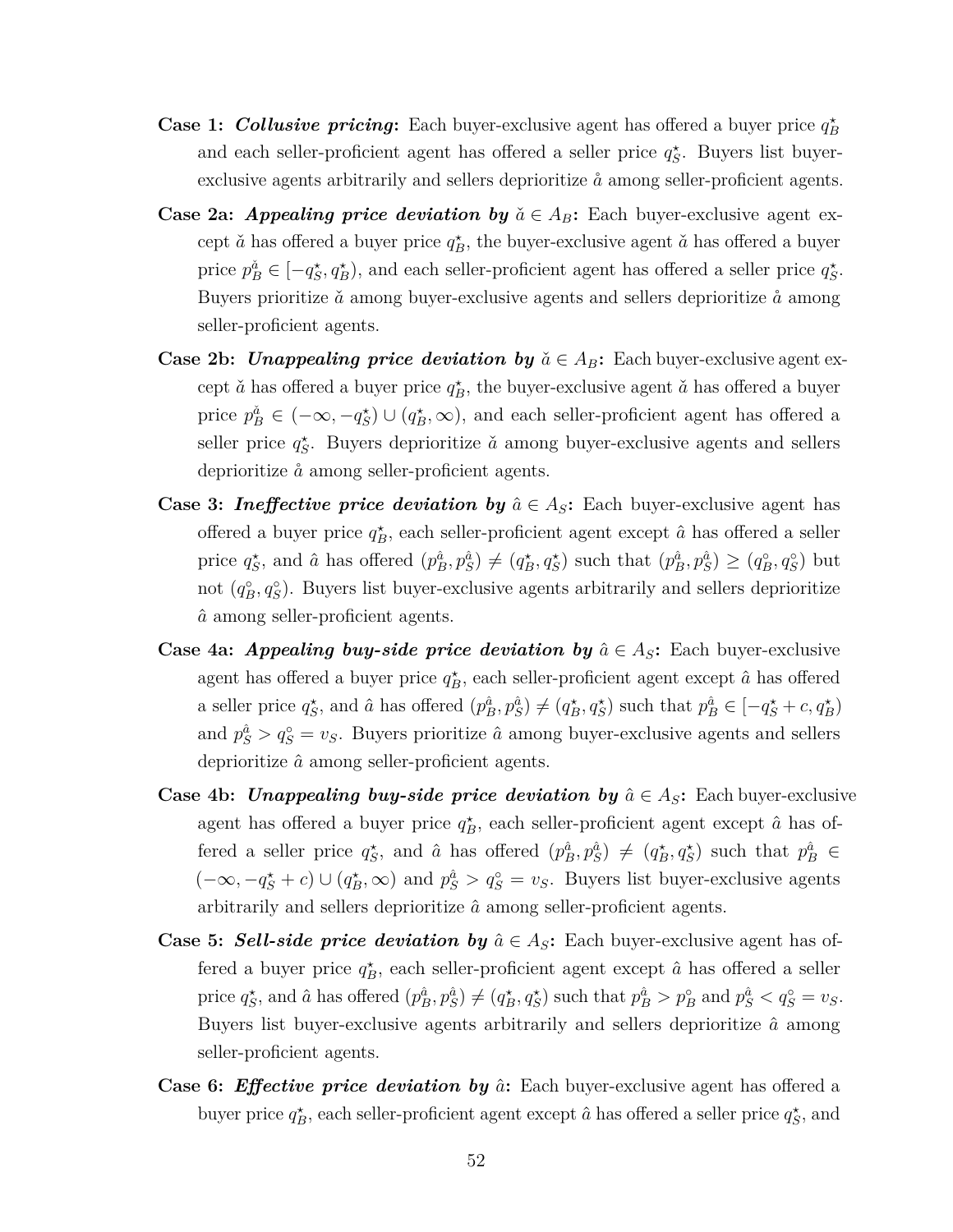- **Case 1: Collusive pricing:** Each buyer-exclusive agent has offered a buyer price  $q_B^*$ and each seller-proficient agent has offered a seller price  $q_S^*$ . Buyers list buyerexclusive agents arbitrarily and sellers deprioritize  $\dot{a}$  among seller-proficient agents.
- **Case 2a:** *Appealing price deviation by*  $\check{a} \in A_B$ : Each buyer-exclusive agent except  $\check{a}$  has offered a buyer price  $q_B^*$ , the buyer-exclusive agent  $\check{a}$  has offered a buyer price  $p_B^{\check{a}} \in [-q_S^{\star}, q_B^{\star})$ , and each seller-proficient agent has offered a seller price  $q_S^{\star}$ . Buyers prioritize  $\check{a}$  among buyer-exclusive agents and sellers deprioritize  $\mathring{a}$  among seller-proficient agents.
- **Case 2b:** *Unappealing price deviation by*  $\check{a} \in A_B$ : Each buyer-exclusive agent except  $\check{a}$  has offered a buyer price  $q_B^*$ , the buyer-exclusive agent  $\check{a}$  has offered a buyer price  $p_B^{\check{a}} \in (-\infty, -q_S^*) \cup (q_B^*, \infty)$ , and each seller-proficient agent has offered a seller price  $q_S^*$ . Buyers deprioritize  $\check{a}$  among buyer-exclusive agents and sellers deprioritize  $\hat{a}$  among seller-proficient agents.
- **Case 3:** *Ineffective price deviation by*  $\hat{a} \in A_S$ : Each buyer-exclusive agent has offered a buyer price  $q_B^*$ , each seller-proficient agent except  $\hat{a}$  has offered a seller price  $q_S^*$ , and  $\hat{a}$  has offered  $(p_B^{\hat{a}}, p_S^{\hat{a}}) \neq (q_B^*, q_S^*)$  such that  $(p_B^{\hat{a}}, p_S^{\hat{a}}) \geq (q_B^{\circ}, q_S^{\circ})$  but not  $(q_B^{\circ}, q_S^{\circ})$ . Buyers list buyer-exclusive agents arbitrarily and sellers deprioritize  $\hat{a}$  among seller-proficient agents.
- **Case 4a:** *Appealing buy-side price deviation by*  $\hat{a} \in A_S$ : Each buyer-exclusive agent has offered a buyer price  $q_B^*$ , each seller-proficient agent except  $\hat{a}$  has offered a seller price  $q_S^*$ , and  $\hat{a}$  has offered  $(p_B^{\hat{a}}, p_S^{\hat{a}}) \neq (q_B^*, q_S^*)$  such that  $p_B^{\hat{a}} \in [-q_S^* + c, q_B^*)$ and  $p_S^{\hat{a}} > q_S^{\circ} = v_S$ . Buyers prioritize  $\hat{a}$  among buyer-exclusive agents and sellers deprioritize *a*ˆ among seller-proficient agents.
- **Case 4b:** *Unappealing buy-side price deviation by*  $\hat{a} \in A_S$ : Each buyer-exclusive agent has offered a buyer price  $q_B^*$ , each seller-proficient agent except  $\hat{a}$  has offered a seller price  $q_S^*$ , and  $\hat{a}$  has offered  $(p_B^{\hat{a}}, p_S^{\hat{a}}) \neq (q_B^*, q_S^*)$  such that  $p_B^{\hat{a}} \in$  $(-\infty, -q_S^* + c) \cup (q_B^*, \infty)$  and  $p_S^{\hat{a}} > q_S^{\circ} = v_S$ . Buyers list buyer-exclusive agents arbitrarily and sellers deprioritize *a*ˆ among seller-proficient agents.
- **Case 5:** Sell-side price deviation by  $\hat{a} \in A_S$ : Each buyer-exclusive agent has offered a buyer price  $q_B^*$ , each seller-proficient agent except  $\hat{a}$  has offered a seller price  $q_S^*$ , and  $\hat{a}$  has offered  $(p_B^{\hat{a}}, p_S^{\hat{a}}) \neq (q_B^*, q_S^*)$  such that  $p_B^{\hat{a}} > p_B^{\circ}$  and  $p_S^{\hat{a}} < q_S^{\circ} = v_S$ . Buyers list buyer-exclusive agents arbitrarily and sellers deprioritize *a*ˆ among seller-proficient agents.
- **Case 6:** *Effective price deviation by*  $\hat{a}$ : Each buyer-exclusive agent has offered a buyer price  $q_B^*$ , each seller-proficient agent except  $\hat{a}$  has offered a seller price  $q_S^*$ , and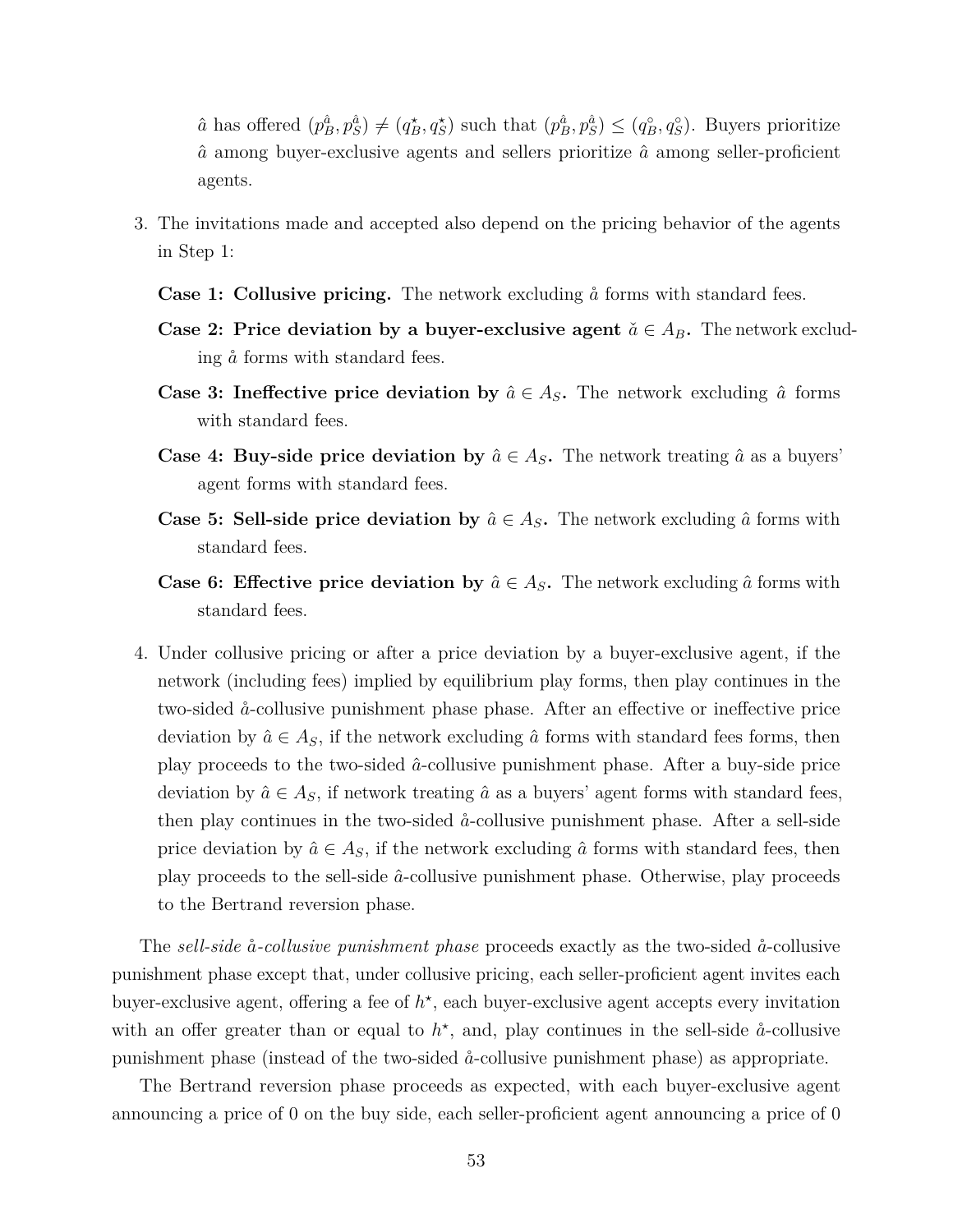$\hat{a}$  has offered  $(p_B^{\hat{a}}, p_S^{\hat{a}}) \neq (q_B^*, q_S^*)$  such that  $(p_B^{\hat{a}}, p_S^{\hat{a}}) \leq (q_B^{\circ}, q_S^{\circ})$ . Buyers prioritize *a*ˆ among buyer-exclusive agents and sellers prioritize *a*ˆ among seller-proficient agents.

- 3. The invitations made and accepted also depend on the pricing behavior of the agents in Step 1:
	- **Case 1: Collusive pricing.** The network excluding  $\hat{a}$  forms with standard fees.
	- **Case 2: Price deviation by a buyer-exclusive agent**  $\check{a} \in A_B$ . The network excluding  $\aa$  forms with standard fees.
	- **Case 3: Ineffective price deviation by**  $\hat{a} \in A_S$ . The network excluding  $\hat{a}$  forms with standard fees.
	- **Case 4: Buy-side price deviation by**  $\hat{a} \in A_S$ . The network treating  $\hat{a}$  as a buyers' agent forms with standard fees.
	- **Case 5: Sell-side price deviation by**  $\hat{a} \in A_S$ . The network excluding  $\hat{a}$  forms with standard fees.
	- **Case 6: Effective price deviation by**  $\hat{a} \in A_S$ . The network excluding  $\hat{a}$  forms with standard fees.
- 4. Under collusive pricing or after a price deviation by a buyer-exclusive agent, if the network (including fees) implied by equilibrium play forms, then play continues in the two-sided  $\aa$ -collusive punishment phase phase. After an effective or ineffective price deviation by  $\hat{a} \in A_S$ , if the network excluding  $\hat{a}$  forms with standard fees forms, then play proceeds to the two-sided *a*ˆ-collusive punishment phase. After a buy-side price deviation by  $\hat{a} \in A_S$ , if network treating  $\hat{a}$  as a buyers' agent forms with standard fees, then play continues in the two-sided  $\aa$ -collusive punishment phase. After a sell-side price deviation by  $\hat{a} \in A_S$ , if the network excluding  $\hat{a}$  forms with standard fees, then play proceeds to the sell-side *a*ˆ-collusive punishment phase. Otherwise, play proceeds to the Bertrand reversion phase.

The *sell-side* ˚*a-collusive punishment phase* proceeds exactly as the two-sided ˚*a*-collusive punishment phase except that, under collusive pricing, each seller-proficient agent invites each buyer-exclusive agent, offering a fee of  $h^*$ , each buyer-exclusive agent accepts every invitation with an offer greater than or equal to  $h^*$ , and, play continues in the sell-side  $\aa$ -collusive punishment phase (instead of the two-sided ˚*a*-collusive punishment phase) as appropriate.

The Bertrand reversion phase proceeds as expected, with each buyer-exclusive agent announcing a price of 0 on the buy side, each seller-proficient agent announcing a price of 0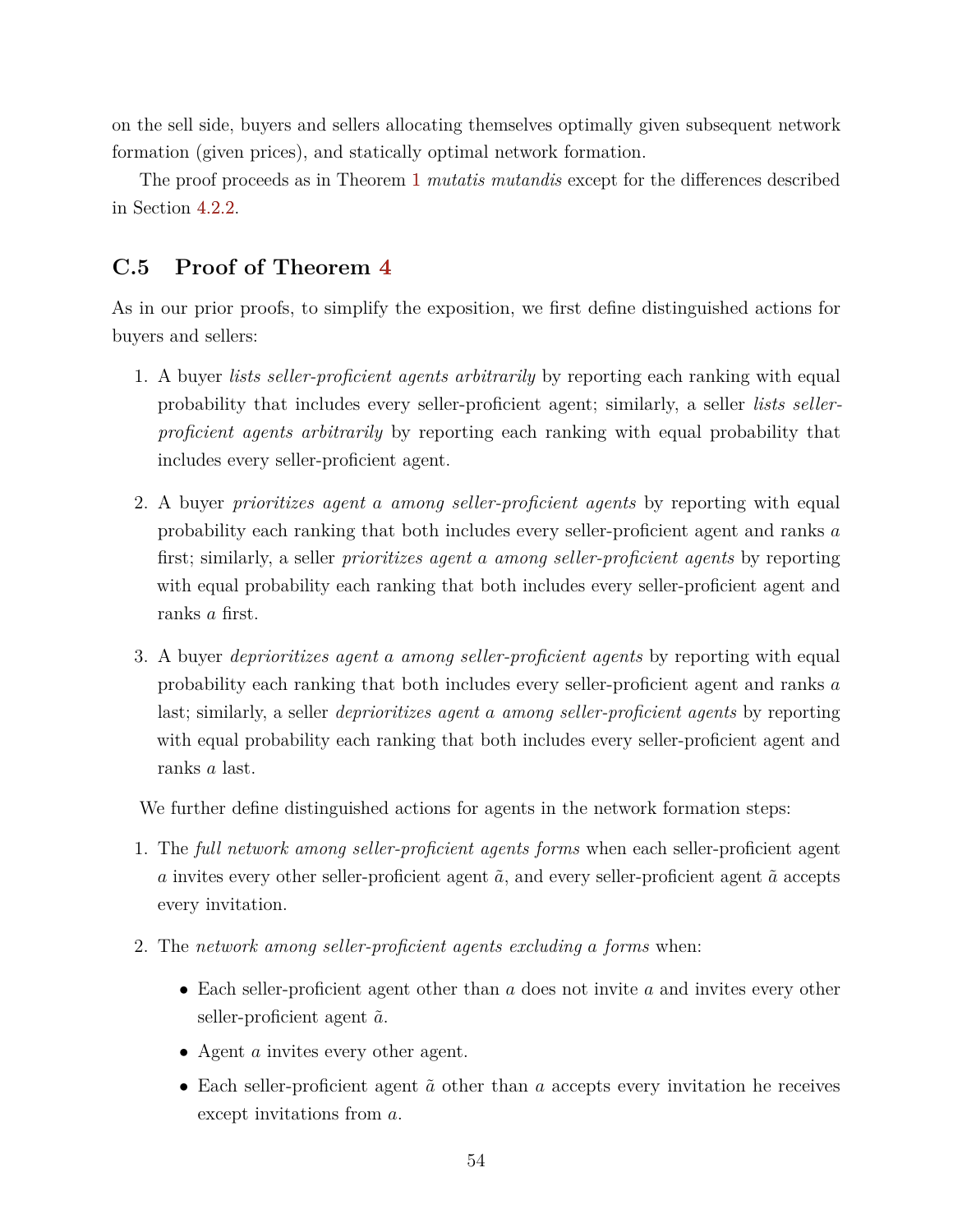on the sell side, buyers and sellers allocating themselves optimally given subsequent network formation (given prices), and statically optimal network formation.

The proof proceeds as in Theorem [1](#page-11-1) *mutatis mutandis* except for the differences described in Section [4.2.2.](#page-27-2)

## **C.5 Proof of Theorem [4](#page-33-0)**

As in our prior proofs, to simplify the exposition, we first define distinguished actions for buyers and sellers:

- 1. A buyer *lists seller-proficient agents arbitrarily* by reporting each ranking with equal probability that includes every seller-proficient agent; similarly, a seller *lists sellerproficient agents arbitrarily* by reporting each ranking with equal probability that includes every seller-proficient agent.
- 2. A buyer *prioritizes agent a among seller-proficient agents* by reporting with equal probability each ranking that both includes every seller-proficient agent and ranks *a* first; similarly, a seller *prioritizes agent a among seller-proficient agents* by reporting with equal probability each ranking that both includes every seller-proficient agent and ranks *a* first.
- 3. A buyer *deprioritizes agent a among seller-proficient agents* by reporting with equal probability each ranking that both includes every seller-proficient agent and ranks *a* last; similarly, a seller *deprioritizes agent a among seller-proficient agents* by reporting with equal probability each ranking that both includes every seller-proficient agent and ranks *a* last.

We further define distinguished actions for agents in the network formation steps:

- 1. The *full network among seller-proficient agents forms* when each seller-proficient agent *a* invites every other seller-proficient agent  $\tilde{a}$ , and every seller-proficient agent  $\tilde{a}$  accepts every invitation.
- 2. The *network among seller-proficient agents excluding a forms* when:
	- Each seller-proficient agent other than *a* does not invite *a* and invites every other seller-proficient agent  $\tilde{a}$ .
	- Agent *a* invites every other agent.
	- Each seller-proficient agent  $\tilde{a}$  other than  $a$  accepts every invitation he receives except invitations from *a*.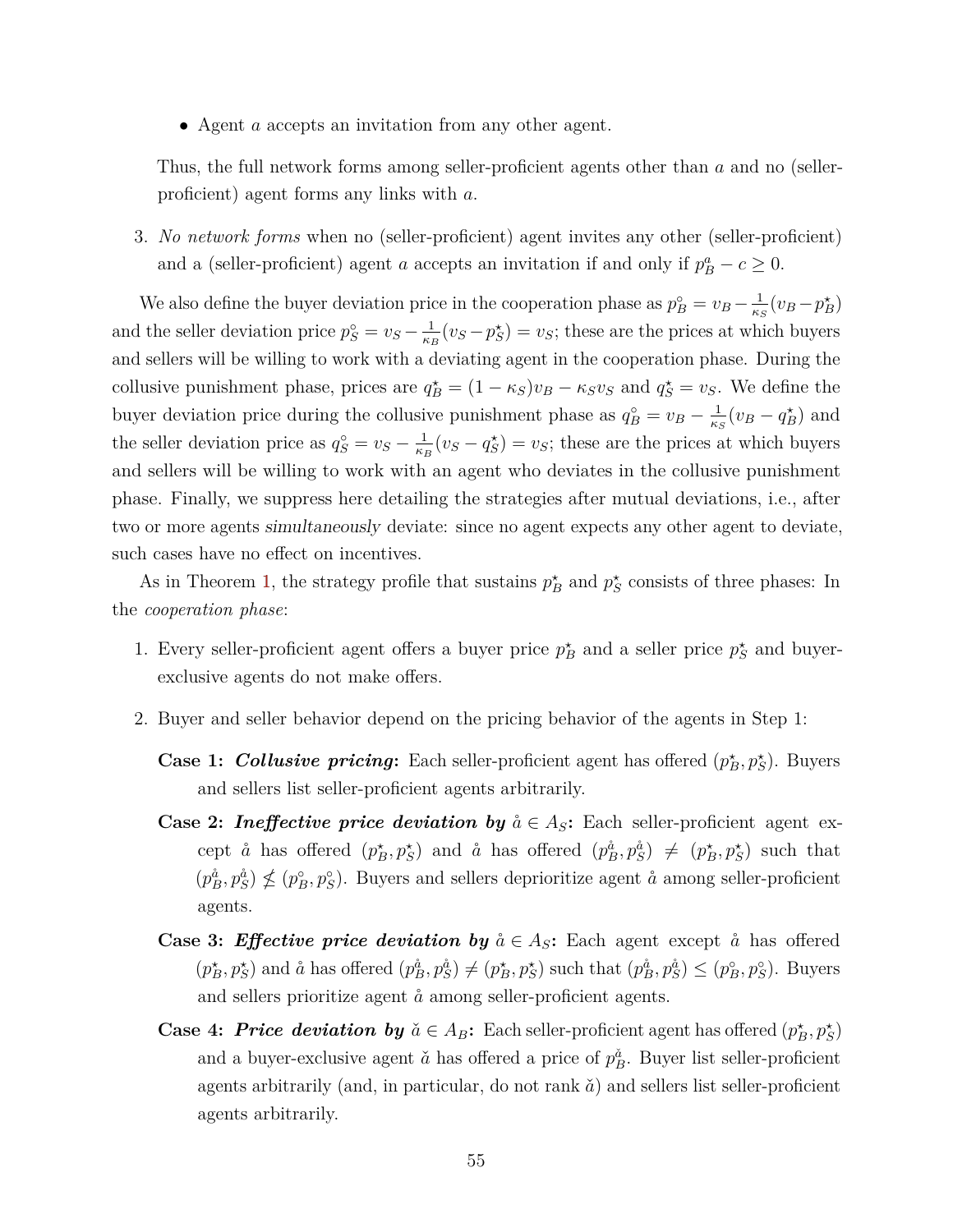• Agent *a* accepts an invitation from any other agent.

Thus, the full network forms among seller-proficient agents other than *a* and no (sellerproficient) agent forms any links with *a*.

3. *No network forms* when no (seller-proficient) agent invites any other (seller-proficient) and a (seller-proficient) agent *a* accepts an invitation if and only if  $p_B^a - c \ge 0$ .

We also define the buyer deviation price in the cooperation phase as  $p_B^{\circ} = v_B - \frac{1}{\kappa^2}$  $\frac{1}{\kappa_S}(v_B - p_B^{\star})$ and the seller deviation price  $p_S^{\circ} = v_S - \frac{1}{\kappa_l}$  $\frac{1}{\kappa_B}(v_S - p_S^*) = v_S$ ; these are the prices at which buyers and sellers will be willing to work with a deviating agent in the cooperation phase. During the collusive punishment phase, prices are  $q_B^* = (1 - \kappa_S)v_B - \kappa_S v_S$  and  $q_S^* = v_S$ . We define the buyer deviation price during the collusive punishment phase as  $q_B^{\circ} = v_B - \frac{1}{\kappa^2}$  $\frac{1}{\kappa_S}(v_B - q_B^{\star})$  and the seller deviation price as  $q_S^{\circ} = v_S - \frac{1}{\kappa_l}$  $\frac{1}{\kappa_B}(v_S - q_S^*) = v_S$ ; these are the prices at which buyers and sellers will be willing to work with an agent who deviates in the collusive punishment phase. Finally, we suppress here detailing the strategies after mutual deviations, i.e., after two or more agents simultaneously deviate: since no agent expects any other agent to deviate, such cases have no effect on incentives.

As in Theorem [1,](#page-11-1) the strategy profile that sustains  $p_B^*$  and  $p_S^*$  consists of three phases: In the *cooperation phase*:

- 1. Every seller-proficient agent offers a buyer price  $p_B^*$  and a seller price  $p_S^*$  and buyerexclusive agents do not make offers.
- 2. Buyer and seller behavior depend on the pricing behavior of the agents in Step 1:
	- **Case 1:** *Collusive pricing***:** Each seller-proficient agent has offered  $(p_B^*, p_S^*)$ . Buyers and sellers list seller-proficient agents arbitrarily.
	- **Case 2:** *Ineffective price deviation by*  $\aa \in A_S$ : Each seller-proficient agent except  $\aa$  has offered  $(p_B^*, p_S^*)$  and  $\aa$  has offered  $(p_B^{\aa}, p_S^{\aa}) \neq (p_B^*, p_S^*)$  such that  $(p_B^{\hat{a}}, p_S^{\hat{a}}) \nleq (p_B^{\circ}, p_S^{\circ})$ . Buyers and sellers deprioritize agent  $\hat{a}$  among seller-proficient agents.
	- **Case 3:** *Effective price deviation by*  $\aa \in A_S$ : Each agent except  $\aa$  has offered  $(p_B^*, p_S^*)$  and  $\aa$  has offered  $(p_B^{\aa}, p_S^{\aa}) \neq (p_B^*, p_S^*)$  such that  $(p_B^{\aa}, p_S^{\aa}) \leq (p_B^{\circ}, p_S^{\circ})$ . Buyers and sellers prioritize agent  $\aa$  among seller-proficient agents.
	- **Case 4:** *Price deviation by*  $\check{a} \in A_B$ : Each seller-proficient agent has offered  $(p_B^*, p_S^*)$ and a buyer-exclusive agent  $\check{a}$  has offered a price of  $p_B^{\check{a}}$ . Buyer list seller-proficient agents arbitrarily (and, in particular, do not rank  $\check{a}$ ) and sellers list seller-proficient agents arbitrarily.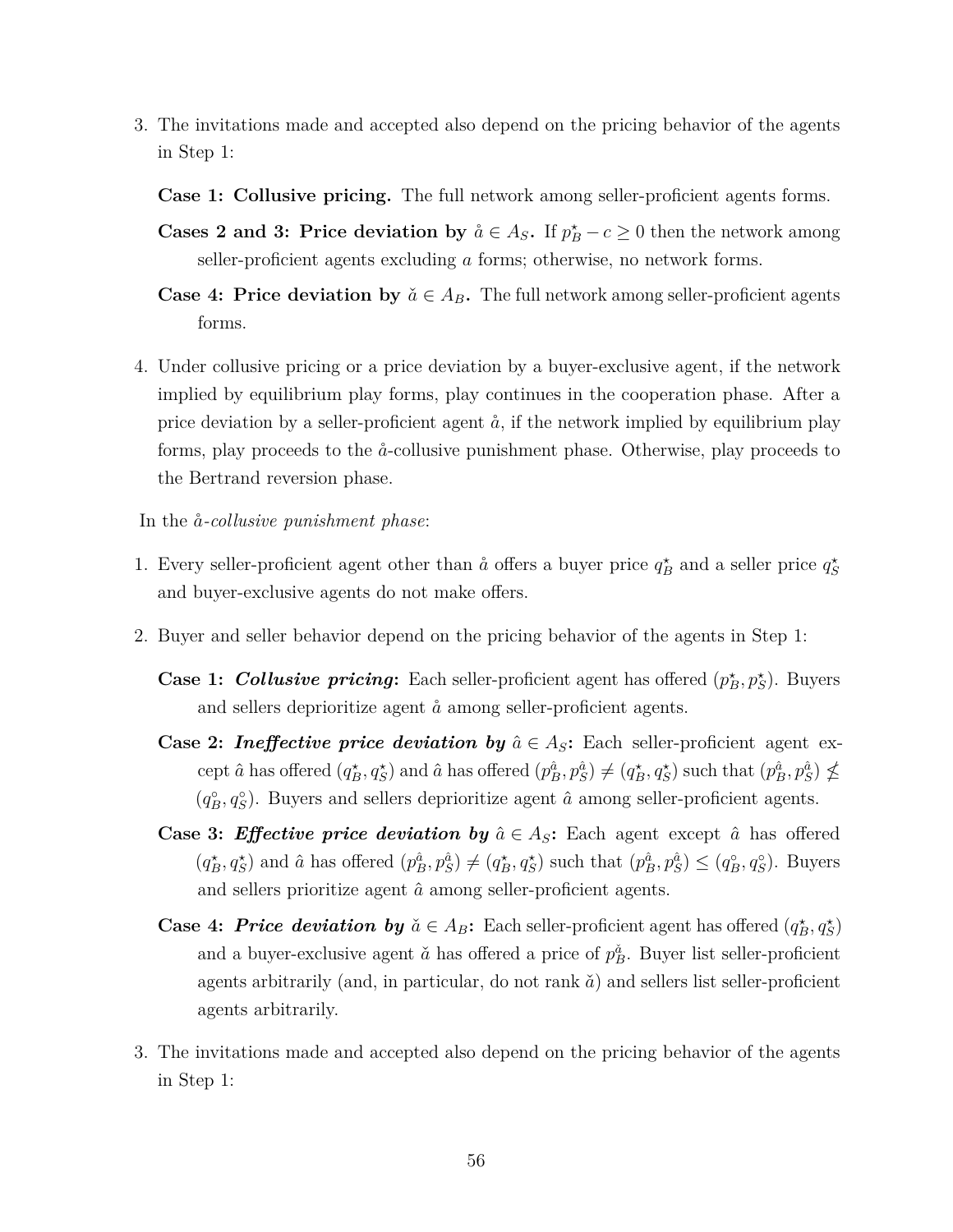- 3. The invitations made and accepted also depend on the pricing behavior of the agents in Step 1:
	- **Case 1: Collusive pricing.** The full network among seller-proficient agents forms.
	- **Cases 2 and 3: Price deviation by**  $\aa \in A_S$ . If  $p_B^* c \geq 0$  then the network among seller-proficient agents excluding *a* forms; otherwise, no network forms.
	- **Case 4: Price deviation by**  $\check{a} \in A_B$ . The full network among seller-proficient agents forms.
- 4. Under collusive pricing or a price deviation by a buyer-exclusive agent, if the network implied by equilibrium play forms, play continues in the cooperation phase. After a price deviation by a seller-proficient agent  $\aa$ , if the network implied by equilibrium play forms, play proceeds to the ˚*a*-collusive punishment phase. Otherwise, play proceeds to the Bertrand reversion phase.
- In the  $\aa$ -*collusive punishment phase*:
- 1. Every seller-proficient agent other than  $\hat{a}$  offers a buyer price  $q_B^*$  and a seller price  $q_S^*$ and buyer-exclusive agents do not make offers.
- 2. Buyer and seller behavior depend on the pricing behavior of the agents in Step 1:
	- **Case 1:** *Collusive pricing***:** Each seller-proficient agent has offered  $(p_B^{\star}, p_S^{\star})$ . Buyers and sellers deprioritize agent  $\hat{a}$  among seller-proficient agents.
	- **Case 2:** *Ineffective price deviation by*  $\hat{a} \in A_S$ : Each seller-proficient agent except  $\hat{a}$  has offered  $(q_B^*, q_S^*)$  and  $\hat{a}$  has offered  $(p_B^{\hat{a}}, p_S^{\hat{a}}) \neq (q_B^*, q_S^*)$  such that  $(p_B^{\hat{a}}, p_S^{\hat{a}}) \nleq$  $(q_B^{\circ}, q_S^{\circ})$ . Buyers and sellers deprioritize agent  $\hat{a}$  among seller-proficient agents.
	- **Case 3:** *Effective price deviation by*  $\hat{a} \in A_S$ : Each agent except  $\hat{a}$  has offered  $(q_B^{\star}, q_S^{\star})$  and  $\hat{a}$  has offered  $(p_B^{\hat{a}}, p_S^{\hat{a}}) \neq (q_B^{\star}, q_S^{\star})$  such that  $(p_B^{\hat{a}}, p_S^{\hat{a}}) \leq (q_B^{\circ}, q_S^{\circ})$ . Buyers and sellers prioritize agent  $\hat{a}$  among seller-proficient agents.
	- **Case 4:** *Price deviation by*  $\check{a} \in A_B$ : Each seller-proficient agent has offered  $(q_B^*, q_S^*)$ and a buyer-exclusive agent  $\check{a}$  has offered a price of  $p_B^{\check{a}}$ . Buyer list seller-proficient agents arbitrarily (and, in particular, do not rank  $\check{a}$ ) and sellers list seller-proficient agents arbitrarily.
- 3. The invitations made and accepted also depend on the pricing behavior of the agents in Step 1: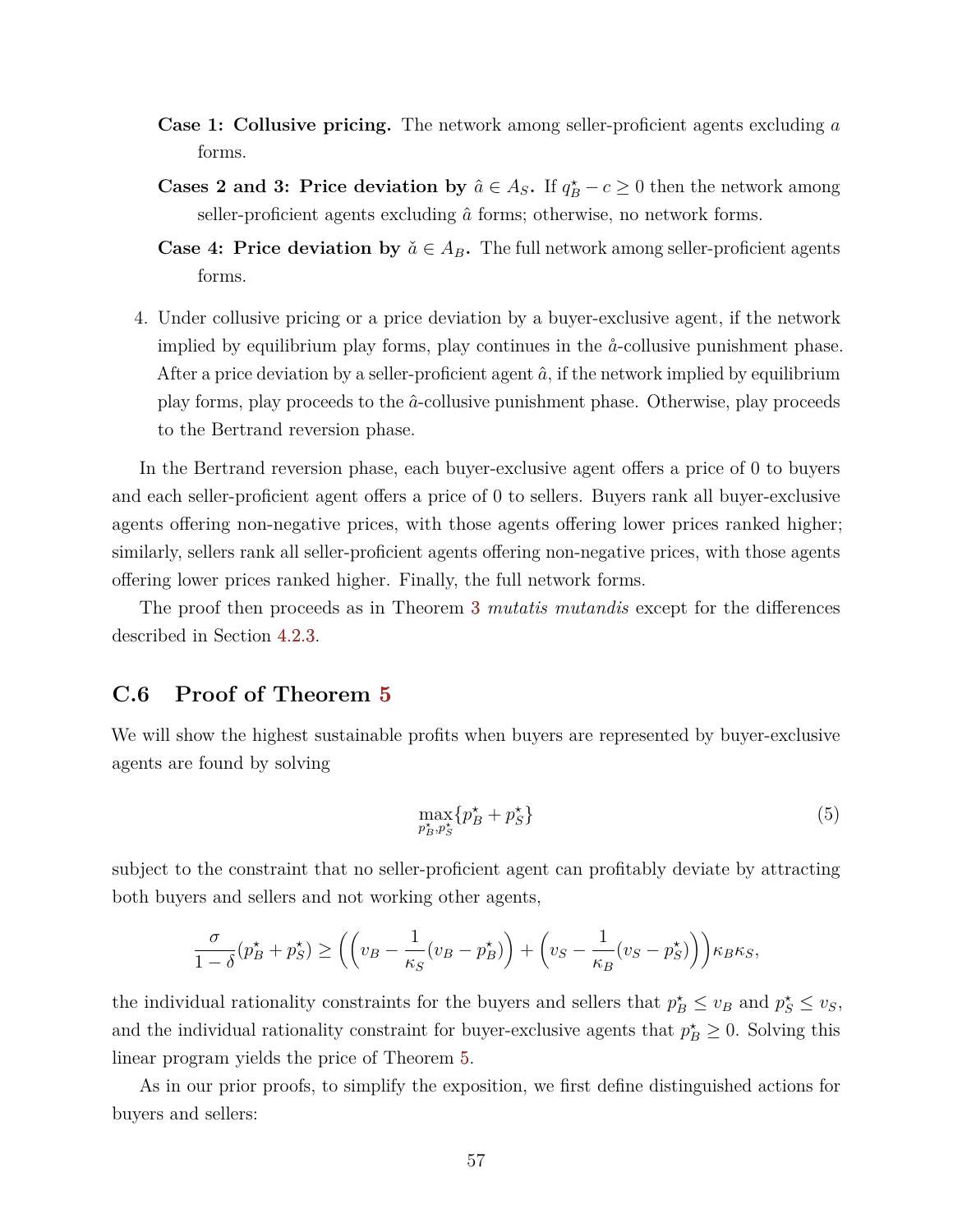- **Case 1: Collusive pricing.** The network among seller-proficient agents excluding *a* forms.
- **Cases 2 and 3: Price deviation by**  $\hat{a} \in A_S$ . If  $q_B^* c \geq 0$  then the network among seller-proficient agents excluding  $\hat{a}$  forms; otherwise, no network forms.
- **Case 4: Price deviation by**  $\check{a} \in A_B$ . The full network among seller-proficient agents forms.
- 4. Under collusive pricing or a price deviation by a buyer-exclusive agent, if the network implied by equilibrium play forms, play continues in the  $\aa$ -collusive punishment phase. After a price deviation by a seller-proficient agent  $\hat{a}$ , if the network implied by equilibrium play forms, play proceeds to the *a*ˆ-collusive punishment phase. Otherwise, play proceeds to the Bertrand reversion phase.

In the Bertrand reversion phase, each buyer-exclusive agent offers a price of 0 to buyers and each seller-proficient agent offers a price of 0 to sellers. Buyers rank all buyer-exclusive agents offering non-negative prices, with those agents offering lower prices ranked higher; similarly, sellers rank all seller-proficient agents offering non-negative prices, with those agents offering lower prices ranked higher. Finally, the full network forms.

The proof then proceeds as in Theorem [3](#page-27-0) *mutatis mutandis* except for the differences described in Section [4.2.3.](#page-33-1)

## **C.6 Proof of Theorem [5](#page-34-2)**

We will show the highest sustainable profits when buyers are represented by buyer-exclusive agents are found by solving

<span id="page-58-0"></span>
$$
\max_{p_B^{\star}, p_S^{\star}} \{ p_B^{\star} + p_S^{\star} \} \tag{5}
$$

subject to the constraint that no seller-proficient agent can profitably deviate by attracting both buyers and sellers and not working other agents,

$$
\frac{\sigma}{1-\delta}(p_B^\star+p_S^\star) \ge \left(\left(v_B-\frac{1}{\kappa_S}(v_B-p_B^\star)\right)+\left(v_S-\frac{1}{\kappa_B}(v_S-p_S^\star)\right)\right)\kappa_B\kappa_S,
$$

the individual rationality constraints for the buyers and sellers that  $p_B^* \le v_B$  and  $p_S^* \le v_S$ , and the individual rationality constraint for buyer-exclusive agents that  $p_B^* \geq 0$ . Solving this linear program yields the price of Theorem [5.](#page-34-2)

As in our prior proofs, to simplify the exposition, we first define distinguished actions for buyers and sellers: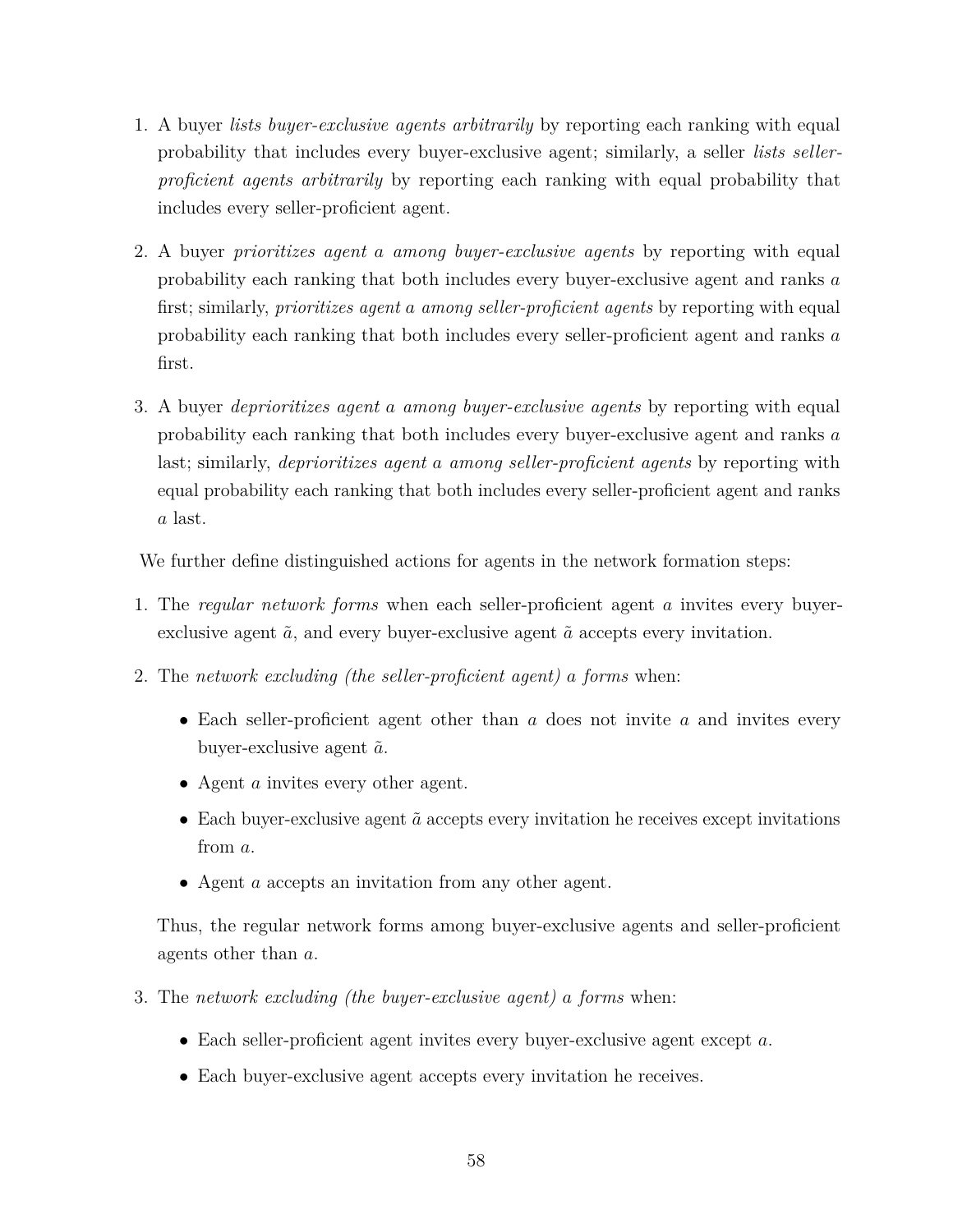- 1. A buyer *lists buyer-exclusive agents arbitrarily* by reporting each ranking with equal probability that includes every buyer-exclusive agent; similarly, a seller *lists sellerproficient agents arbitrarily* by reporting each ranking with equal probability that includes every seller-proficient agent.
- 2. A buyer *prioritizes agent a among buyer-exclusive agents* by reporting with equal probability each ranking that both includes every buyer-exclusive agent and ranks *a* first; similarly, *prioritizes agent a among seller-proficient agents* by reporting with equal probability each ranking that both includes every seller-proficient agent and ranks *a* first.
- 3. A buyer *deprioritizes agent a among buyer-exclusive agents* by reporting with equal probability each ranking that both includes every buyer-exclusive agent and ranks *a* last; similarly, *deprioritizes agent a among seller-proficient agents* by reporting with equal probability each ranking that both includes every seller-proficient agent and ranks *a* last.

We further define distinguished actions for agents in the network formation steps:

- 1. The *regular network forms* when each seller-proficient agent *a* invites every buyerexclusive agent  $\tilde{a}$ , and every buyer-exclusive agent  $\tilde{a}$  accepts every invitation.
- 2. The *network excluding (the seller-proficient agent) a forms* when:
	- Each seller-proficient agent other than *a* does not invite *a* and invites every buyer-exclusive agent  $\tilde{a}$ .
	- Agent *a* invites every other agent.
	- Each buyer-exclusive agent  $\tilde{a}$  accepts every invitation he receives except invitations from *a*.
	- Agent *a* accepts an invitation from any other agent.

Thus, the regular network forms among buyer-exclusive agents and seller-proficient agents other than *a*.

- 3. The *network excluding (the buyer-exclusive agent) a forms* when:
	- Each seller-proficient agent invites every buyer-exclusive agent except *a*.
	- Each buyer-exclusive agent accepts every invitation he receives.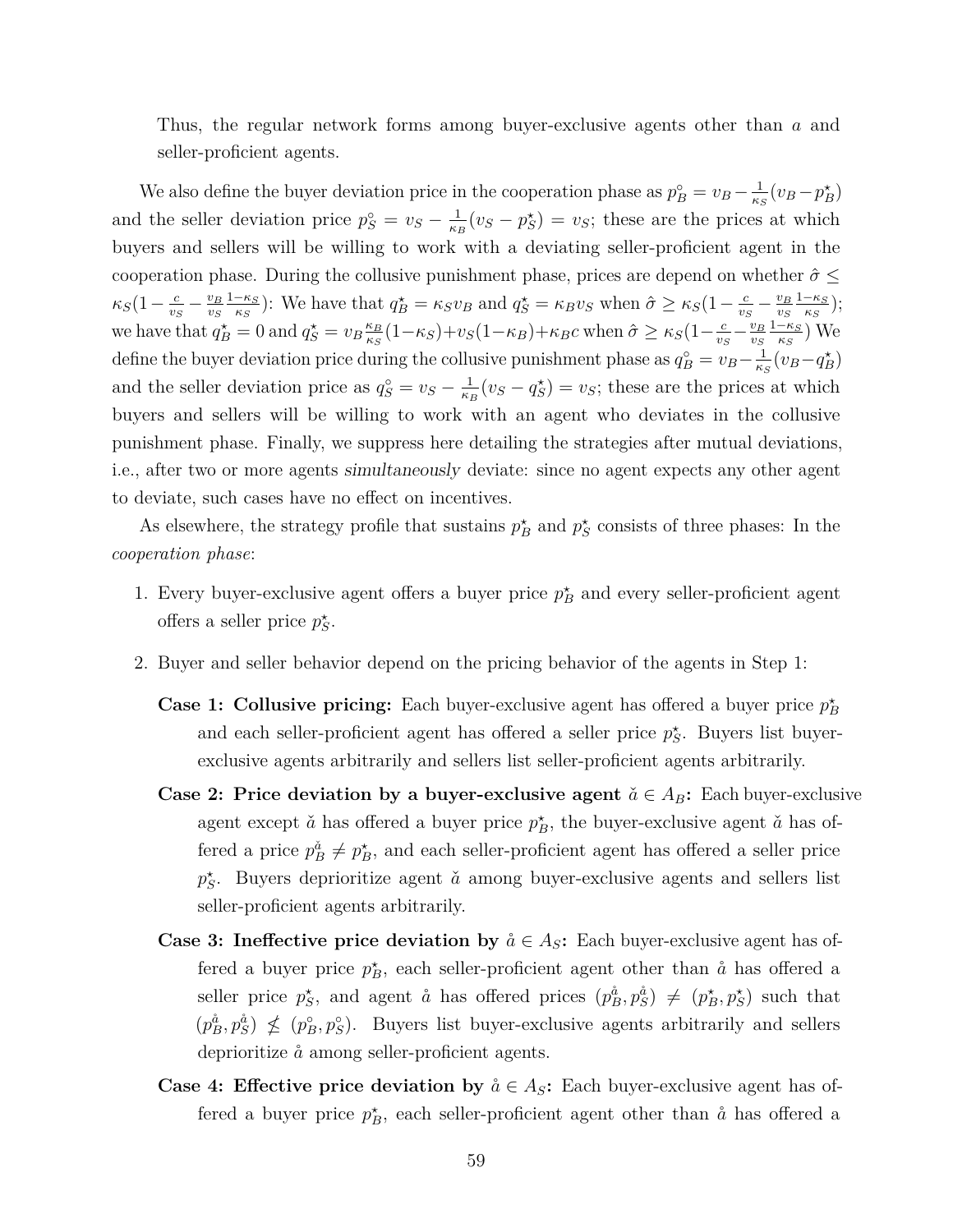Thus, the regular network forms among buyer-exclusive agents other than *a* and seller-proficient agents.

We also define the buyer deviation price in the cooperation phase as  $p_B^{\circ} = v_B - \frac{1}{\kappa s}$  $\frac{1}{\kappa_S}(v_B - p_B^{\star})$ and the seller deviation price  $p_S^{\circ} = v_S - \frac{1}{\kappa_l}$  $\frac{1}{\kappa_B}(v_S - p_S^*) = v_S$ ; these are the prices at which buyers and sellers will be willing to work with a deviating seller-proficient agent in the cooperation phase. During the collusive punishment phase, prices are depend on whether  $\hat{\sigma}$  <  $\kappa_S(1-\frac{c}{v_s})$  $\frac{c}{v_S} - \frac{v_B}{v_S}$ *vS* 1−*κ<sup>S</sup> f*<sub>*KS</sub> S S C S S B**C***<sub>***S***</sub>** *C<sub><i>S***</sub>** *C<sub><i>S***</sub>** *C<sub><i>S***</sub>** *C<sub><i>S***</sub>** *C<sub><i>S***</sub>** *C<sub><i>S***</sub>** *C<sub><i>S***</sub>** *C<sub><i>S***</sub>** *C<sub><i>S***</sub>** *C<sub><i>S***</sub>** *C<sub><i>S***</sub>** *C<sub><i>S***</sub>** *C<sub><i>S***</sub>** *C<sub><i>S***</sub>** *C<sub><i>S***</sub>** *C<sub><i>S***</sub>** *C<sub><i>S***</sub>** *C<sub><i>S***</sub>** *C<sub><i>S***</sub>** *</sub>*  $\frac{c}{v_S} - \frac{v_B}{v_S}$ *vS* 1−*κ<sup>S</sup>*  $\frac{-\kappa_S}{\kappa_S}$ ); we have that  $q_B^* = 0$  and  $q_S^* = v_B \frac{\kappa_B}{\kappa_S}$  $\frac{\kappa_B}{\kappa_S}(1-\kappa_S)+v_S(1-\kappa_B)+\kappa_B c$  when  $\hat{\sigma} \geq \kappa_S(1-\frac{c}{v_S})$  $\frac{c}{v_S} - \frac{v_B}{v_S}$ *vS* 1−*κ<sup>S</sup>*  $\frac{-\kappa_S}{\kappa_S}$ ) We define the buyer deviation price during the collusive punishment phase as  $q_B^{\circ} = v_B - \frac{1}{\kappa}$  $\frac{1}{\kappa_S}(v_B-q_B)$ and the seller deviation price as  $q_S^{\circ} = v_S - \frac{1}{\kappa_I}$  $\frac{1}{\kappa_B}(v_S - q_S^*) = v_S$ ; these are the prices at which buyers and sellers will be willing to work with an agent who deviates in the collusive punishment phase. Finally, we suppress here detailing the strategies after mutual deviations, i.e., after two or more agents simultaneously deviate: since no agent expects any other agent to deviate, such cases have no effect on incentives.

As elsewhere, the strategy profile that sustains  $p_B^*$  and  $p_S^*$  consists of three phases: In the *cooperation phase*:

- 1. Every buyer-exclusive agent offers a buyer price  $p_B^*$  and every seller-proficient agent offers a seller price  $p_S^*$ .
- 2. Buyer and seller behavior depend on the pricing behavior of the agents in Step 1:
	- **Case 1: Collusive pricing:** Each buyer-exclusive agent has offered a buyer price  $p_B^*$ and each seller-proficient agent has offered a seller price  $p_S^*$ . Buyers list buyerexclusive agents arbitrarily and sellers list seller-proficient agents arbitrarily.
	- **Case 2: Price deviation by a buyer-exclusive agent**  $\check{a} \in A_B$ : Each buyer-exclusive agent except  $\check{a}$  has offered a buyer price  $p_B^*$ , the buyer-exclusive agent  $\check{a}$  has offered a price  $p_B^{\check{a}} \neq p_B^*$ , and each seller-proficient agent has offered a seller price  $p_S^*$ . Buyers deprioritize agent  $\check{a}$  among buyer-exclusive agents and sellers list seller-proficient agents arbitrarily.
	- **Case 3: Ineffective price deviation by**  $\aa \in A_S$ : Each buyer-exclusive agent has offered a buyer price  $p_B^*$ , each seller-proficient agent other than  $\aa$  has offered a seller price  $p_S^*$ , and agent  $\aa$  has offered prices  $(p_B^{\aa}, p_S^{\aa}) \neq (p_B^*, p_S^*)$  such that  $(p_B^{\hat{a}}, p_S^{\hat{a}}) \nleq (p_B^{\circ}, p_S^{\circ})$ . Buyers list buyer-exclusive agents arbitrarily and sellers deprioritize  $\aa$  among seller-proficient agents.
	- **Case 4: Effective price deviation by**  $\aa \in A_S$ : Each buyer-exclusive agent has offered a buyer price  $p_B^*$ , each seller-proficient agent other than  $\hat{a}$  has offered a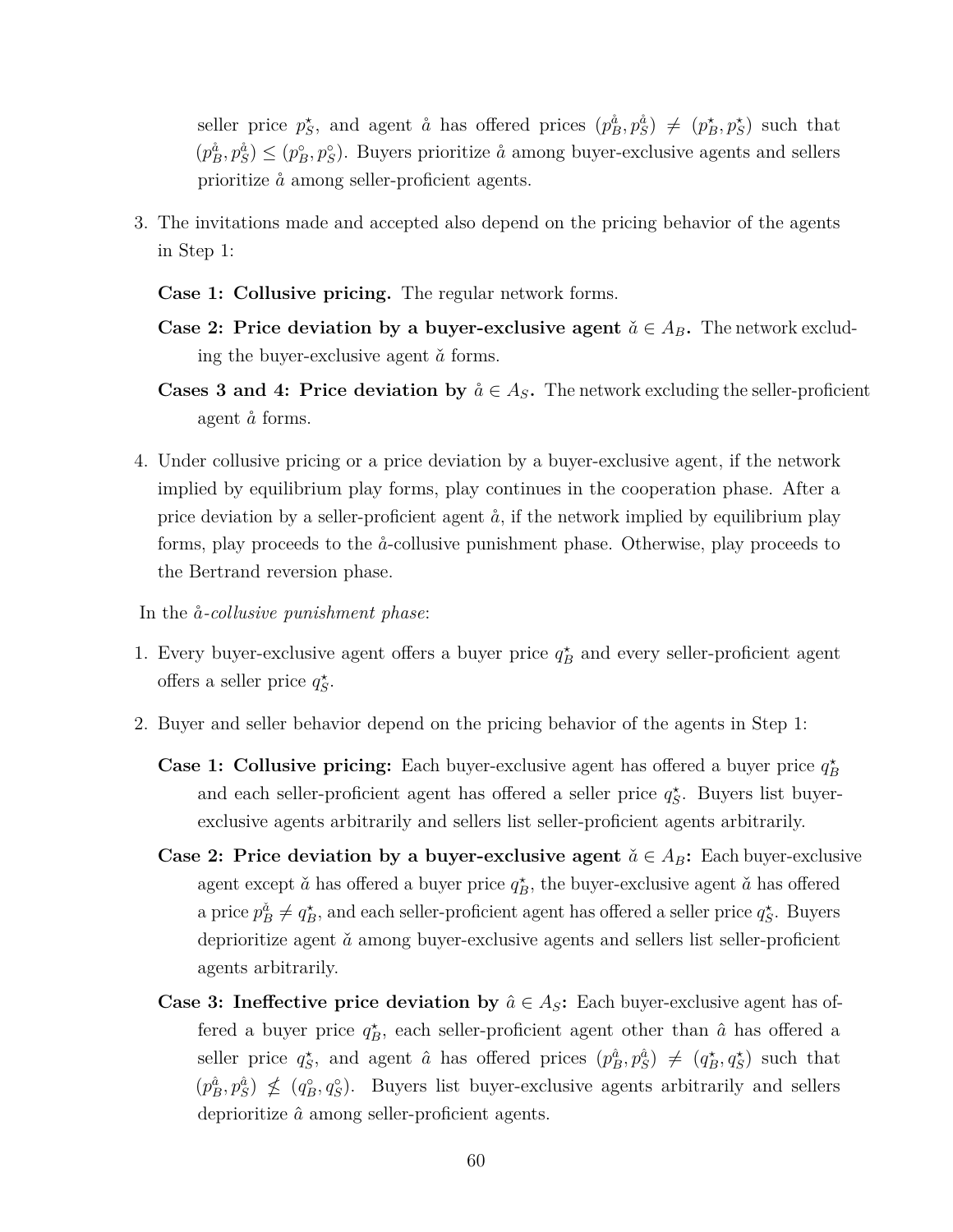seller price  $p_S^*$ , and agent  $\aa$  has offered prices  $(p_B^{\aa}, p_S^{\aa}) \neq (p_B^*, p_S^*)$  such that  $(p_B^{\hat{a}}, p_S^{\hat{a}}) \leq (p_B^{\circ}, p_S^{\circ})$ . Buyers prioritize  $\hat{a}$  among buyer-exclusive agents and sellers prioritize  $\aa$  among seller-proficient agents.

- 3. The invitations made and accepted also depend on the pricing behavior of the agents in Step 1:
	- **Case 1: Collusive pricing.** The regular network forms.
	- **Case 2: Price deviation by a buyer-exclusive agent**  $\check{a} \in A_B$ . The network excluding the buyer-exclusive agent  $\check{a}$  forms.
	- **Cases 3 and 4: Price deviation by**  $\aa \in A_S$ . The network excluding the seller-proficient agent  $\aa$  forms.
- 4. Under collusive pricing or a price deviation by a buyer-exclusive agent, if the network implied by equilibrium play forms, play continues in the cooperation phase. After a price deviation by a seller-proficient agent  $\dot{a}$ , if the network implied by equilibrium play forms, play proceeds to the ˚*a*-collusive punishment phase. Otherwise, play proceeds to the Bertrand reversion phase.

In the  $\aa$ -*collusive punishment phase*:

- 1. Every buyer-exclusive agent offers a buyer price  $q_B^*$  and every seller-proficient agent offers a seller price  $q_S^*$ .
- 2. Buyer and seller behavior depend on the pricing behavior of the agents in Step 1:
	- **Case 1: Collusive pricing:** Each buyer-exclusive agent has offered a buyer price  $q_B^*$ and each seller-proficient agent has offered a seller price  $q_S^*$ . Buyers list buyerexclusive agents arbitrarily and sellers list seller-proficient agents arbitrarily.
	- **Case 2: Price deviation by a buyer-exclusive agent**  $\check{a} \in A_B$ : Each buyer-exclusive agent except  $\check{a}$  has offered a buyer price  $q_B^{\star}$ , the buyer-exclusive agent  $\check{a}$  has offered a price  $p_B^{\check{a}} \neq q_B^*$ , and each seller-proficient agent has offered a seller price  $q_S^*$ . Buyers deprioritize agent  $\check{a}$  among buyer-exclusive agents and sellers list seller-proficient agents arbitrarily.
	- **Case 3: Ineffective price deviation by**  $\hat{a} \in A_S$ : Each buyer-exclusive agent has offered a buyer price  $q_B^*$ , each seller-proficient agent other than  $\hat{a}$  has offered a seller price  $q_S^*$ , and agent  $\hat{a}$  has offered prices  $(p_B^{\hat{a}}, p_S^{\hat{a}}) \neq (q_B^*, q_S^*)$  such that  $(p_B^{\hat{a}}, p_S^{\hat{a}}) \nleq (q_B^{\circ}, q_S^{\circ})$ . Buyers list buyer-exclusive agents arbitrarily and sellers deprioritize *a*ˆ among seller-proficient agents.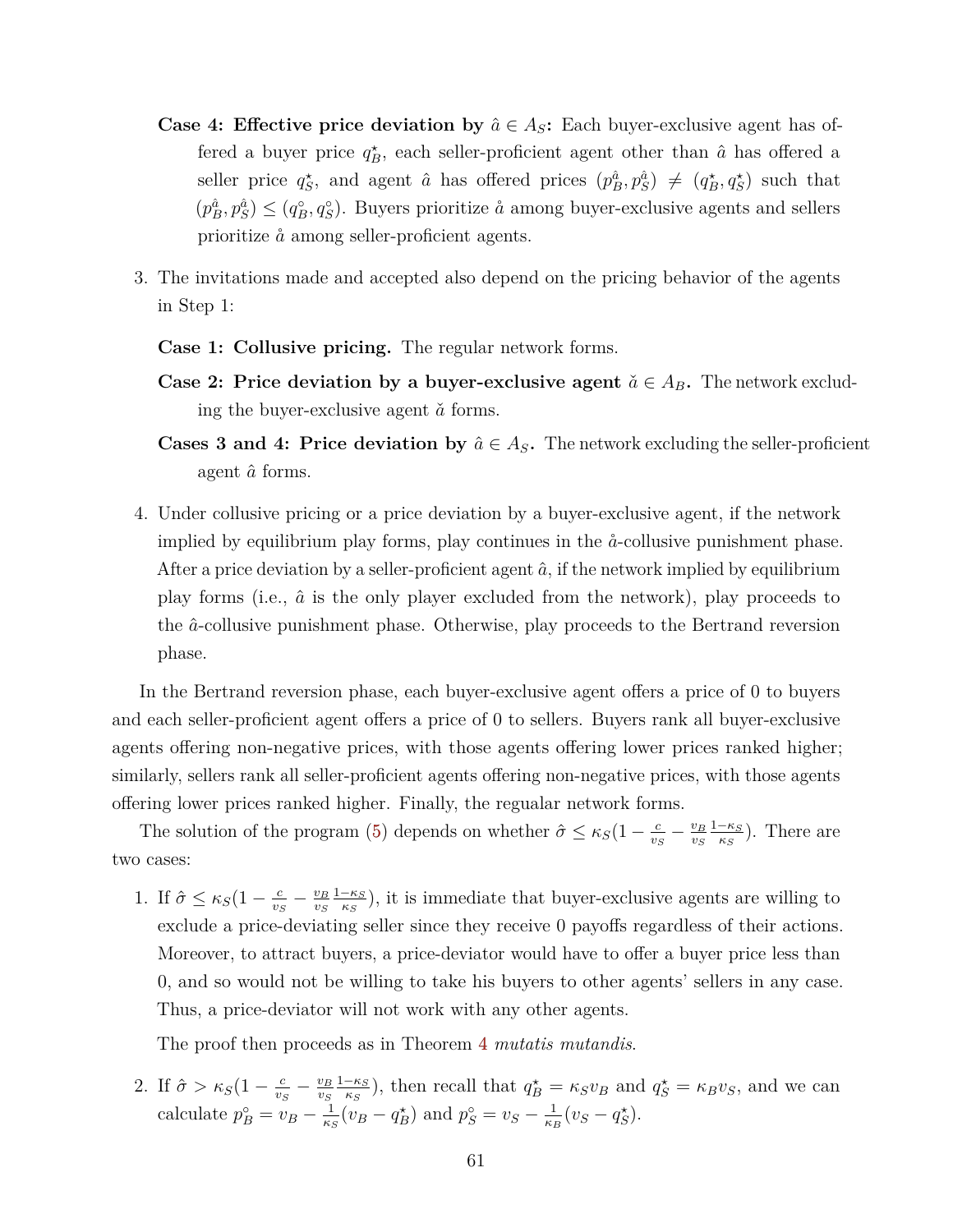- **Case 4: Effective price deviation by**  $\hat{a} \in A_S$ : Each buyer-exclusive agent has offered a buyer price  $q_B^*$ , each seller-proficient agent other than  $\hat{a}$  has offered a seller price  $q_S^*$ , and agent  $\hat{a}$  has offered prices  $(p_B^{\hat{a}}, p_S^{\hat{a}}) \neq (q_B^*, q_S^*)$  such that  $(p_B^{\hat{a}}, p_S^{\hat{a}}) \leq (q_B^{\circ}, q_S^{\circ})$ . Buyers prioritize  $\hat{a}$  among buyer-exclusive agents and sellers prioritize  $\aa$  among seller-proficient agents.
- 3. The invitations made and accepted also depend on the pricing behavior of the agents in Step 1:
	- **Case 1: Collusive pricing.** The regular network forms.
	- **Case 2: Price deviation by a buyer-exclusive agent**  $\check{a} \in A_B$ . The network excluding the buyer-exclusive agent  $\check{a}$  forms.
	- **Cases 3 and 4: Price deviation by**  $\hat{a} \in A_S$ . The network excluding the seller-proficient agent *a*ˆ forms.
- 4. Under collusive pricing or a price deviation by a buyer-exclusive agent, if the network implied by equilibrium play forms, play continues in the  $\aa$ -collusive punishment phase. After a price deviation by a seller-proficient agent  $\hat{a}$ , if the network implied by equilibrium play forms (i.e.,  $\hat{a}$  is the only player excluded from the network), play proceeds to the *a*ˆ-collusive punishment phase. Otherwise, play proceeds to the Bertrand reversion phase.

In the Bertrand reversion phase, each buyer-exclusive agent offers a price of 0 to buyers and each seller-proficient agent offers a price of 0 to sellers. Buyers rank all buyer-exclusive agents offering non-negative prices, with those agents offering lower prices ranked higher; similarly, sellers rank all seller-proficient agents offering non-negative prices, with those agents offering lower prices ranked higher. Finally, the regualar network forms.

The solution of the program [\(5\)](#page-58-0) depends on whether  $\hat{\sigma} \leq \kappa_S(1 - \frac{c}{n_c})$  $\frac{c}{v_S} - \frac{v_B}{v_S}$ *vS* 1−*κ<sup>S</sup>*  $\frac{-\kappa_S}{\kappa_S}$ ). There are two cases:

1. If  $\hat{\sigma} \leq \kappa_S(1 - \frac{c}{n_s})$  $\frac{c}{v_S} - \frac{v_B}{v_S}$ *vS* 1−*κ<sup>S</sup>*  $\frac{-\kappa_S}{\kappa_S}$ ), it is immediate that buyer-exclusive agents are willing to exclude a price-deviating seller since they receive 0 payoffs regardless of their actions. Moreover, to attract buyers, a price-deviator would have to offer a buyer price less than 0, and so would not be willing to take his buyers to other agents' sellers in any case. Thus, a price-deviator will not work with any other agents.

The proof then proceeds as in Theorem [4](#page-33-0) *mutatis mutandis*.

2. If  $\hat{\sigma} > \kappa_S (1 - \frac{c}{v_s})$  $\frac{c}{v_S} - \frac{v_B}{v_S}$ *vS* 1−*κ<sup>S</sup>*  $\frac{-\kappa_S}{\kappa_S}$ ), then recall that  $q_B^* = \kappa_S v_B$  and  $q_S^* = \kappa_B v_S$ , and we can calculate  $p_B^{\circ} = v_B - \frac{1}{\kappa \kappa}$  $\frac{1}{\kappa_S}(v_B - q_B^{\star})$  and  $p_S^{\circ} = v_S - \frac{1}{\kappa_B}$  $\frac{1}{\kappa_B}(v_S - q_S^*).$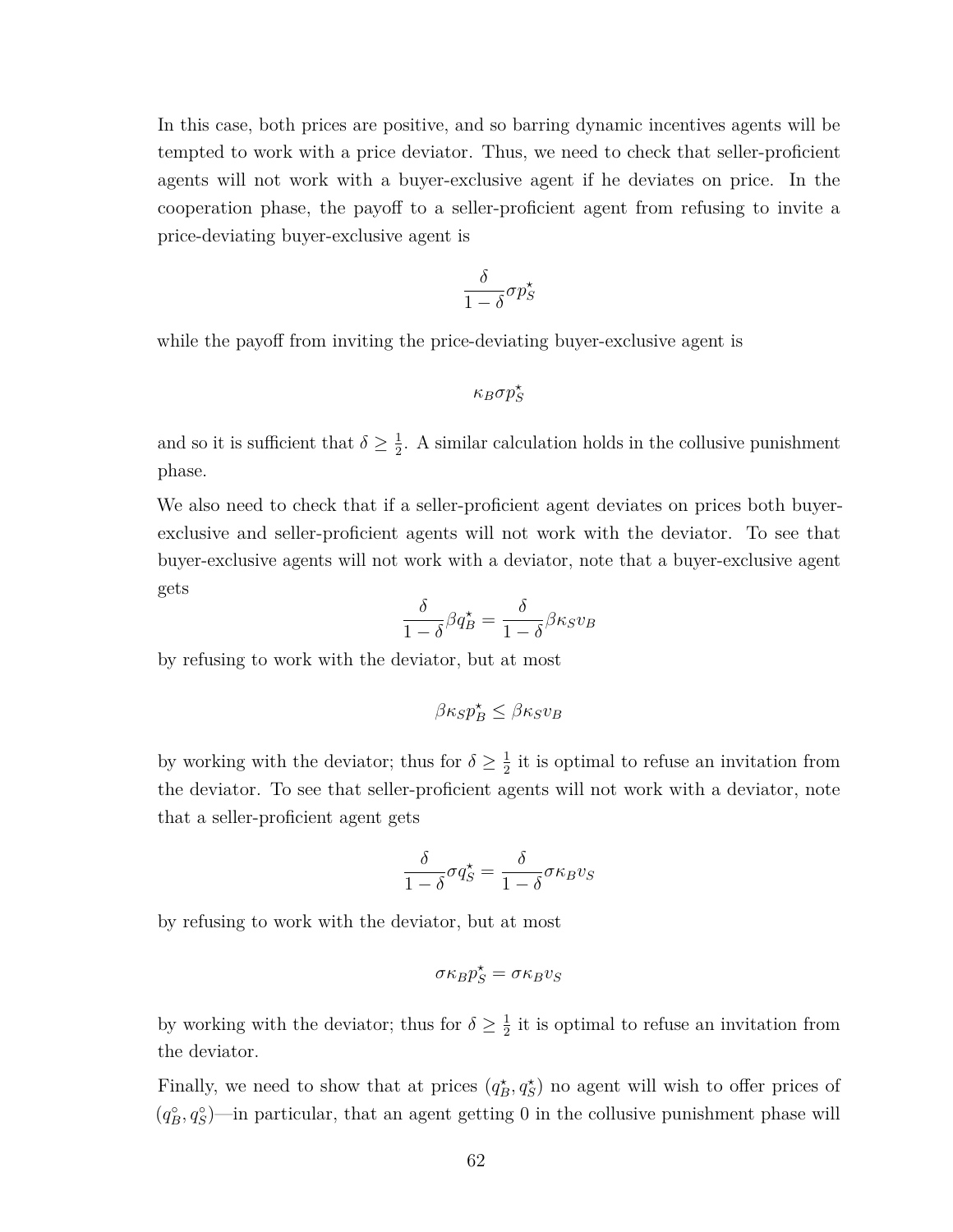In this case, both prices are positive, and so barring dynamic incentives agents will be tempted to work with a price deviator. Thus, we need to check that seller-proficient agents will not work with a buyer-exclusive agent if he deviates on price. In the cooperation phase, the payoff to a seller-proficient agent from refusing to invite a price-deviating buyer-exclusive agent is

$$
\frac{\delta}{1-\delta}\sigma p_S^\star
$$

while the payoff from inviting the price-deviating buyer-exclusive agent is

*κBσp? S*

and so it is sufficient that  $\delta \geq \frac{1}{2}$  $\frac{1}{2}$ . A similar calculation holds in the collusive punishment phase.

We also need to check that if a seller-proficient agent deviates on prices both buyerexclusive and seller-proficient agents will not work with the deviator. To see that buyer-exclusive agents will not work with a deviator, note that a buyer-exclusive agent gets

$$
\frac{\delta}{1-\delta}\beta q_B^\star = \frac{\delta}{1-\delta}\beta \kappa_S v_B
$$

by refusing to work with the deviator, but at most

$$
\beta\kappa_S p_B^\star \leq \beta\kappa_S v_B
$$

by working with the deviator; thus for  $\delta \geq \frac{1}{2}$  $\frac{1}{2}$  it is optimal to refuse an invitation from the deviator. To see that seller-proficient agents will not work with a deviator, note that a seller-proficient agent gets

$$
\frac{\delta}{1-\delta}\sigma q_S^\star = \frac{\delta}{1-\delta}\sigma\kappa_B v_S
$$

by refusing to work with the deviator, but at most

$$
\sigma\kappa_B p_S^\star = \sigma\kappa_B v_S
$$

by working with the deviator; thus for  $\delta \geq \frac{1}{2}$  $\frac{1}{2}$  it is optimal to refuse an invitation from the deviator.

Finally, we need to show that at prices  $(q_B^{\star}, q_S^{\star})$  no agent will wish to offer prices of  $(q_B^{\circ}, q_S^{\circ})$ —in particular, that an agent getting 0 in the collusive punishment phase will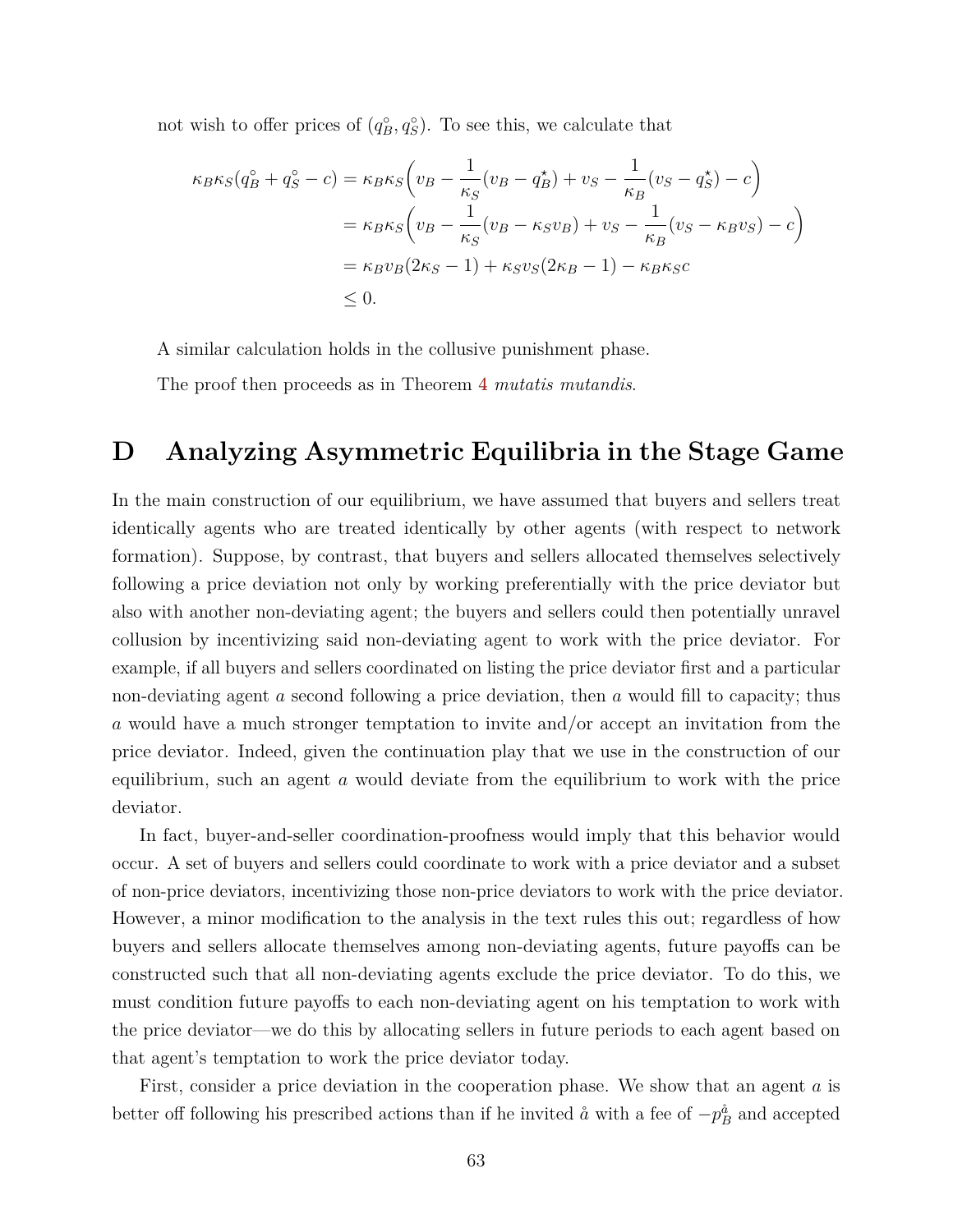not wish to offer prices of  $(q_B^{\circ}, q_S^{\circ})$ . To see this, we calculate that

$$
\kappa_B \kappa_S (q_B^{\circ} + q_S^{\circ} - c) = \kappa_B \kappa_S \left( v_B - \frac{1}{\kappa_S} (v_B - q_B^{\star}) + v_S - \frac{1}{\kappa_B} (v_S - q_S^{\star}) - c \right)
$$
  
=  $\kappa_B \kappa_S \left( v_B - \frac{1}{\kappa_S} (v_B - \kappa_S v_B) + v_S - \frac{1}{\kappa_B} (v_S - \kappa_B v_S) - c \right)$   
=  $\kappa_B v_B (2\kappa_S - 1) + \kappa_S v_S (2\kappa_B - 1) - \kappa_B \kappa_S c$   
 $\leq 0.$ 

A similar calculation holds in the collusive punishment phase.

The proof then proceeds as in Theorem [4](#page-33-0) *mutatis mutandis*.

## <span id="page-64-0"></span>**D Analyzing Asymmetric Equilibria in the Stage Game**

In the main construction of our equilibrium, we have assumed that buyers and sellers treat identically agents who are treated identically by other agents (with respect to network formation). Suppose, by contrast, that buyers and sellers allocated themselves selectively following a price deviation not only by working preferentially with the price deviator but also with another non-deviating agent; the buyers and sellers could then potentially unravel collusion by incentivizing said non-deviating agent to work with the price deviator. For example, if all buyers and sellers coordinated on listing the price deviator first and a particular non-deviating agent *a* second following a price deviation, then *a* would fill to capacity; thus *a* would have a much stronger temptation to invite and/or accept an invitation from the price deviator. Indeed, given the continuation play that we use in the construction of our equilibrium, such an agent *a* would deviate from the equilibrium to work with the price deviator.

In fact, buyer-and-seller coordination-proofness would imply that this behavior would occur. A set of buyers and sellers could coordinate to work with a price deviator and a subset of non-price deviators, incentivizing those non-price deviators to work with the price deviator. However, a minor modification to the analysis in the text rules this out; regardless of how buyers and sellers allocate themselves among non-deviating agents, future payoffs can be constructed such that all non-deviating agents exclude the price deviator. To do this, we must condition future payoffs to each non-deviating agent on his temptation to work with the price deviator—we do this by allocating sellers in future periods to each agent based on that agent's temptation to work the price deviator today.

First, consider a price deviation in the cooperation phase. We show that an agent *a* is better off following his prescribed actions than if he invited  $\mathring{a}$  with a fee of  $-p_B^{\mathring{a}}$  and accepted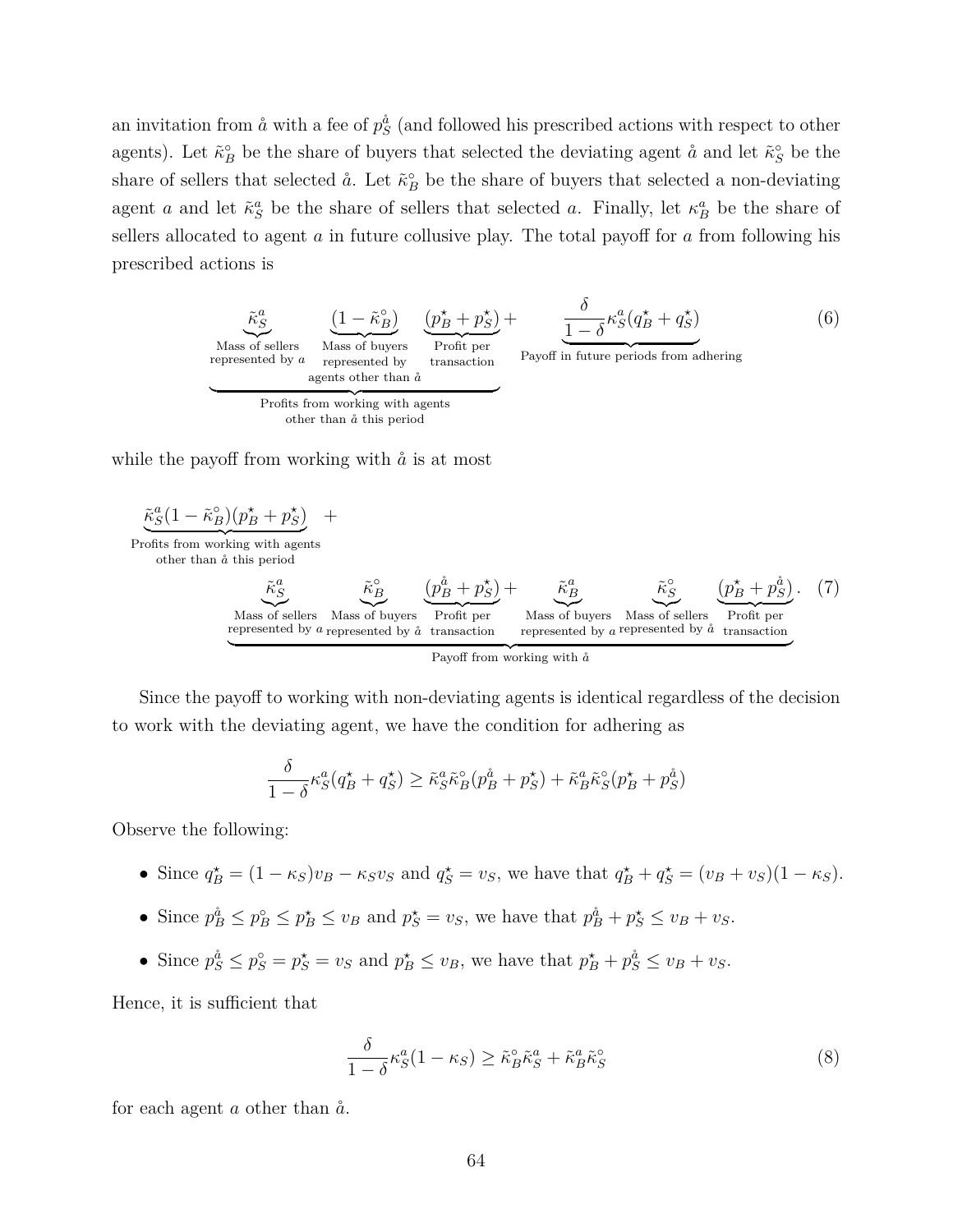an invitation from  $\aa$  with a fee of  $p_S^{\aa}$  (and followed his prescribed actions with respect to other agents). Let  $\tilde{\kappa}_B^{\circ}$  be the share of buyers that selected the deviating agent  $\aa$  and let  $\tilde{\kappa}_S^{\circ}$  be the share of sellers that selected  $\aa$ . Let  $\tilde{\kappa}_B^{\circ}$  be the share of buyers that selected a non-deviating agent *a* and let  $\tilde{\kappa}_S^a$  be the share of sellers that selected *a*. Finally, let  $\kappa_B^a$  be the share of sellers allocated to agent *a* in future collusive play. The total payoff for *a* from following his prescribed actions is





Since the payoff to working with non-deviating agents is identical regardless of the decision to work with the deviating agent, we have the condition for adhering as

Profit per

$$
\frac{\delta}{1-\delta} \kappa_S^a(q_B^\star+q_S^\star) \geq \tilde\kappa_S^a \tilde\kappa_B^{\circ}(p_B^{\mathring{a}}+p_S^\star) + \tilde\kappa_B^a \tilde\kappa_S^{\circ}(p_B^\star+p_S^{\mathring{a}})
$$

Observe the following:

Mass of sellers Mass of buyers

represented by  $a$  represented by  $\aa$  transaction

- Since  $q_B^* = (1 \kappa_S)v_B \kappa_S v_S$  and  $q_S^* = v_S$ , we have that  $q_B^* + q_S^* = (v_B + v_S)(1 \kappa_S)$ .
- Since  $p_B^{\hat{a}} \leq p_B^{\circ} \leq p_B^{\star} \leq v_B$  and  $p_S^{\star} = v_S$ , we have that  $p_B^{\hat{a}} + p_S^{\star} \leq v_B + v_S$ .
- Since  $p_S^{\hat{a}} \leq p_S^{\circ} = p_S^{\star} = v_S$  and  $p_B^{\star} \leq v_B$ , we have that  $p_B^{\star} + p_S^{\hat{a}} \leq v_B + v_S$ .

Hence, it is sufficient that

$$
\frac{\delta}{1-\delta} \kappa_S^a (1-\kappa_S) \ge \tilde{\kappa}_B^{\circ} \tilde{\kappa}_S^a + \tilde{\kappa}_B^a \tilde{\kappa}_S^{\circ} \tag{8}
$$

Mass of buyers Mass of sellers represented by  $a$  represented by  $\aa$ 

<span id="page-65-0"></span> $\overline{Profit}$ Profit per transaction

for each agent  $a$  other than  $\aa$ .